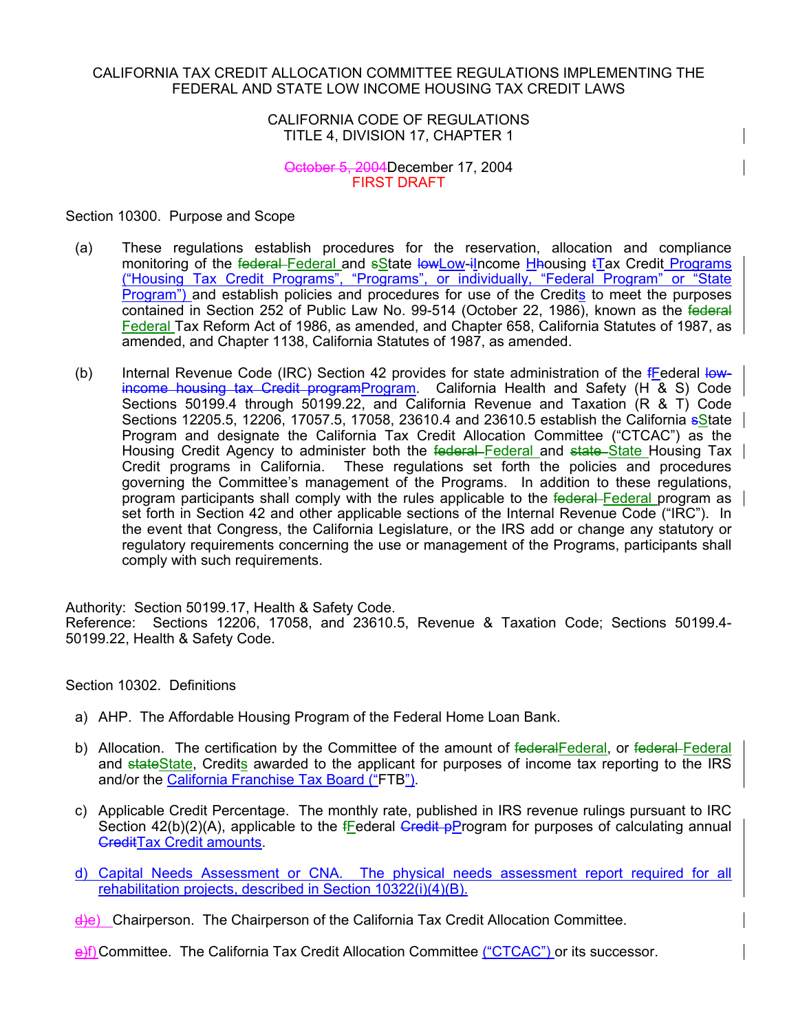### CALIFORNIA TAX CREDIT ALLOCATION COMMITTEE REGULATIONS IMPLEMENTING THE FEDERAL AND STATE LOW INCOME HOUSING TAX CREDIT LAWS

## CALIFORNIA CODE OF REGULATIONS TITLE 4, DIVISION 17, CHAPTER 1

## October 5, 2004December 17, 2004 FIRST DRAFT

Section 10300. Purpose and Scope

- (a) These regulations establish procedures for the reservation, allocation and compliance monitoring of the federal-Federal and sState lowLow-iIncome Hhousing tTax Credit Programs ("Housing Tax Credit Programs", "Programs", or individually, "Federal Program" or "State Program") and establish policies and procedures for use of the Credits to meet the purposes contained in Section 252 of Public Law No. 99-514 (October 22, 1986), known as the federal Federal Tax Reform Act of 1986, as amended, and Chapter 658, California Statutes of 1987, as amended, and Chapter 1138, California Statutes of 1987, as amended.
- (b) Internal Revenue Code (IRC) Section 42 provides for state administration of the  $f$ Federal lowincome housing tax Credit programProgram. California Health and Safety (H & S) Code Sections 50199.4 through 50199.22, and California Revenue and Taxation (R & T) Code Sections 12205.5, 12206, 17057.5, 17058, 23610.4 and 23610.5 establish the California sState | Program and designate the California Tax Credit Allocation Committee ("CTCAC") as the Housing Credit Agency to administer both the federal Federal and state State Housing Tax Credit programs in California. These regulations set forth the policies and procedures governing the Committee's management of the Programs. In addition to these regulations, program participants shall comply with the rules applicable to the federal-Federal program as set forth in Section 42 and other applicable sections of the Internal Revenue Code ("IRC"). In the event that Congress, the California Legislature, or the IRS add or change any statutory or regulatory requirements concerning the use or management of the Programs, participants shall comply with such requirements.

Authority: Section 50199.17, Health & Safety Code. Reference: Sections 12206, 17058, and 23610.5, Revenue & Taxation Code; Sections 50199.4- 50199.22, Health & Safety Code.

Section 10302. Definitions

- a) AHP. The Affordable Housing Program of the Federal Home Loan Bank.
- b) Allocation. The certification by the Committee of the amount of federal Federal, or federal Federal and stateState, Credits awarded to the applicant for purposes of income tax reporting to the IRS and/or the California Franchise Tax Board ("FTB").
- c) Applicable Credit Percentage. The monthly rate, published in IRS revenue rulings pursuant to IRC Section 42(b)(2)(A), applicable to the  $f$ Federal Credit pProgram for purposes of calculating annual **CreditTax Credit amounts.**
- d) Capital Needs Assessment or CNA. The physical needs assessment report required for all rehabilitation projects, described in Section 10322(i)(4)(B).
- d)e) Chairperson. The Chairperson of the California Tax Credit Allocation Committee.

e)f) Committee. The California Tax Credit Allocation Committee ("CTCAC") or its successor.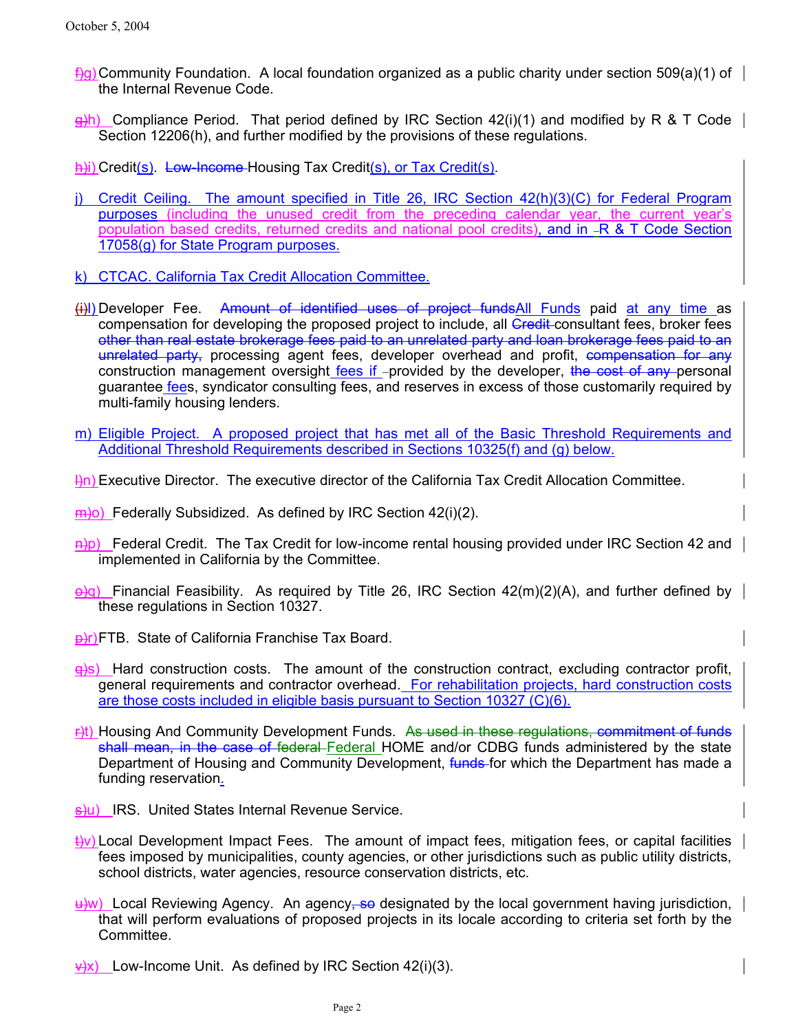- $\frac{f}{g}$ g) Community Foundation. A local foundation organized as a public charity under section 509(a)(1) of the Internal Revenue Code.
- $\frac{g(h)}{h}$  Compliance Period. That period defined by IRC Section 42(i)(1) and modified by R & T Code Section 12206(h), and further modified by the provisions of these regulations.
- h)i) Credit(s). Low-Income-Housing Tax Credit(s), or Tax Credit(s).
- j) Credit Ceiling. The amount specified in Title 26, IRC Section 42(h)(3)(C) for Federal Program purposes (including the unused credit from the preceding calendar year, the current year's population based credits, returned credits and national pool credits), and in -R & T Code Section 17058(g) for State Program purposes.
- k) CTCAC. California Tax Credit Allocation Committee.
- (i)) Developer Fee. Amount of identified uses of project funds All Funds paid at any time as compensation for developing the proposed project to include, all Credit consultant fees, broker fees other than real estate brokerage fees paid to an unrelated party and loan brokerage fees paid to an unrelated party, processing agent fees, developer overhead and profit, compensation for any construction management oversight fees if - provided by the developer, the cost of any personal guarantee fees, syndicator consulting fees, and reserves in excess of those customarily required by multi-family housing lenders.
- m) Eligible Project. A proposed project that has met all of the Basic Threshold Requirements and Additional Threshold Requirements described in Sections 10325(f) and (g) below.
- $\frac{1}{n}$ ) Executive Director. The executive director of the California Tax Credit Allocation Committee.
- $\overline{m}$ )o) Federally Subsidized. As defined by IRC Section 42(i)(2).
- $\frac{f(x)}{g(x)}$  Federal Credit. The Tax Credit for low-income rental housing provided under IRC Section 42 and implemented in California by the Committee.
- $\Theta$ ) Financial Feasibility. As required by Title 26, IRC Section 42(m)(2)(A), and further defined by these regulations in Section 10327.
- **p**)r) FTB. State of California Franchise Tax Board.
- $\Theta$ s) Hard construction costs. The amount of the construction contract, excluding contractor profit, general requirements and contractor overhead. For rehabilitation projects, hard construction costs are those costs included in eligible basis pursuant to Section 10327 (C)(6).
- F)t) Housing And Community Development Funds. As used in these regulations, commitment of funds shall mean, in the case of federal Federal HOME and/or CDBG funds administered by the state Department of Housing and Community Development, funds for which the Department has made a funding reservation.
- s)u) IRS. United States Internal Revenue Service.
- $\leftrightarrow$ ) Local Development Impact Fees. The amount of impact fees, mitigation fees, or capital facilities fees imposed by municipalities, county agencies, or other jurisdictions such as public utility districts, school districts, water agencies, resource conservation districts, etc.
- $\downarrow$ w) Local Reviewing Agency. An agency, so designated by the local government having jurisdiction, that will perform evaluations of proposed projects in its locale according to criteria set forth by the Committee.
- $\frac{\psi(x)}{\psi(x)}$  Low-Income Unit. As defined by IRC Section 42(i)(3).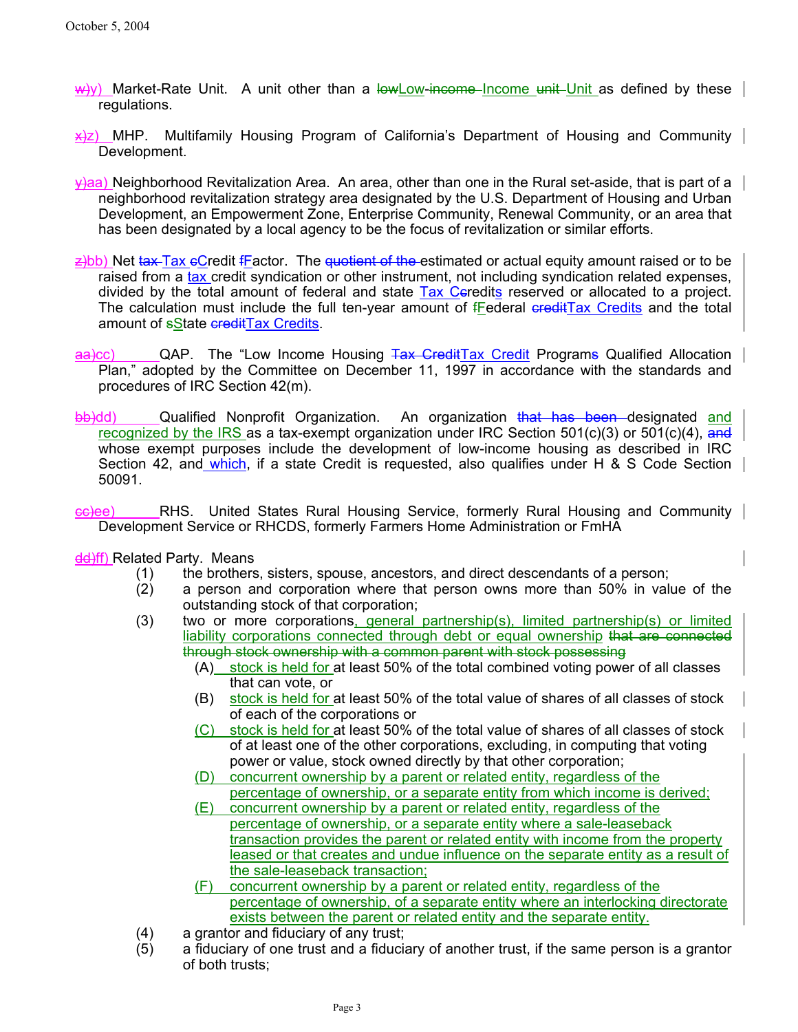- $\frac{w}{w}$ y) Market-Rate Unit. A unit other than a low Low-income Income unit Unit as defined by these regulations.
- $x/2$  MHP. Multifamily Housing Program of California's Department of Housing and Community Development.
- $\forall$ aa) Neighborhood Revitalization Area. An area, other than one in the Rural set-aside, that is part of a neighborhood revitalization strategy area designated by the U.S. Department of Housing and Urban Development, an Empowerment Zone, Enterprise Community, Renewal Community, or an area that has been designated by a local agency to be the focus of revitalization or similar efforts.
- $z$ )bb) Net tax Tax eCredit fFactor. The quotient of the estimated or actual equity amount raised or to be raised from a tax credit syndication or other instrument, not including syndication related expenses, divided by the total amount of federal and state Tax Ceredits reserved or allocated to a project. The calculation must include the full ten-year amount of  $f_{\text{E}}$ ederal ereditTax Credits and the total amount of **sState creditTax Credits**.
- aa)cc) QAP. The "Low Income Housing Tax GreditTax Credit Programs Qualified Allocation Plan," adopted by the Committee on December 11, 1997 in accordance with the standards and procedures of IRC Section 42(m).
- bb)dd) Qualified Nonprofit Organization. An organization that has been designated and recognized by the IRS as a tax-exempt organization under IRC Section  $501(c)(3)$  or  $501(c)(4)$ , and whose exempt purposes include the development of low-income housing as described in IRC Section 42, and which, if a state Credit is requested, also qualifies under H & S Code Section 50091.
- ee)ee) RHS. United States Rural Housing Service, formerly Rural Housing and Community Development Service or RHCDS, formerly Farmers Home Administration or FmHA
- dd)ff) Related Party. Means
	- (1) the brothers, sisters, spouse, ancestors, and direct descendants of a person;
	- (2) a person and corporation where that person owns more than 50% in value of the outstanding stock of that corporation;
	- (3) two or more corporations, general partnership(s), limited partnership(s) or limited liability corporations connected through debt or equal ownership that are connected through stock ownership with a common parent with stock possessing
		- (A) stock is held for at least 50% of the total combined voting power of all classes that can vote, or
		- (B) stock is held for at least 50% of the total value of shares of all classes of stock of each of the corporations or
		- (C) stock is held for at least 50% of the total value of shares of all classes of stock of at least one of the other corporations, excluding, in computing that voting power or value, stock owned directly by that other corporation;
		- (D) concurrent ownership by a parent or related entity, regardless of the percentage of ownership, or a separate entity from which income is derived;
		- (E) concurrent ownership by a parent or related entity, regardless of the percentage of ownership, or a separate entity where a sale-leaseback transaction provides the parent or related entity with income from the property leased or that creates and undue influence on the separate entity as a result of the sale-leaseback transaction;
		- (F) concurrent ownership by a parent or related entity, regardless of the percentage of ownership, of a separate entity where an interlocking directorate exists between the parent or related entity and the separate entity.
	- (4) a grantor and fiduciary of any trust;
	- (5) a fiduciary of one trust and a fiduciary of another trust, if the same person is a grantor of both trusts;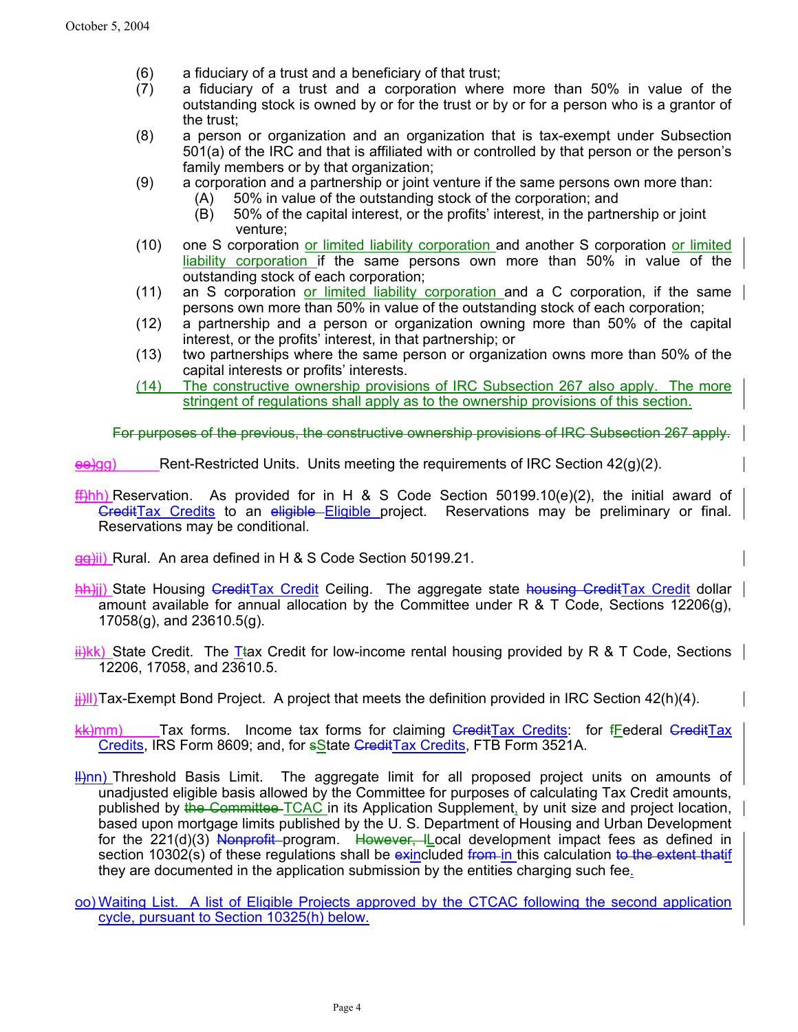- (6) a fiduciary of a trust and a beneficiary of that trust;
- (7) a fiduciary of a trust and a corporation where more than 50% in value of the outstanding stock is owned by or for the trust or by or for a person who is a grantor of the trust;
- (8) a person or organization and an organization that is tax-exempt under Subsection 501(a) of the IRC and that is affiliated with or controlled by that person or the person's family members or by that organization;
- (9) a corporation and a partnership or joint venture if the same persons own more than:
	- (A) 50% in value of the outstanding stock of the corporation; and
	- (B) 50% of the capital interest, or the profits' interest, in the partnership or joint venture;
- (10) one S corporation or limited liability corporation and another S corporation or limited liability corporation if the same persons own more than 50% in value of the outstanding stock of each corporation;
- (11) an S corporation or limited liability corporation and a C corporation, if the same persons own more than 50% in value of the outstanding stock of each corporation;
- (12) a partnership and a person or organization owning more than 50% of the capital interest, or the profits' interest, in that partnership; or
- (13) two partnerships where the same person or organization owns more than 50% of the capital interests or profits' interests.
- (14) The constructive ownership provisions of IRC Subsection 267 also apply. The more stringent of regulations shall apply as to the ownership provisions of this section.

For purposes of the previous, the constructive ownership provisions of IRC Subsection 267 apply.

Rent-Restricted Units. Units meeting the requirements of IRC Section  $42(g)(2)$ .

 $f(x)$ hh) Reservation. As provided for in H & S Code Section 50199.10(e)(2), the initial award of GreditTax Credits to an eligible Eligible project. Reservations may be preliminary or final. Reservations may be conditional.

gg)ii) Rural. An area defined in H & S Code Section 50199.21.

hh)ji) State Housing CreditTax Credit Ceiling. The aggregate state housing CreditTax Credit dollar amount available for annual allocation by the Committee under R & T Code, Sections 12206(g), 17058(g), and 23610.5(g).

 $\frac{H/K}{N}$ ) State Credit. The Ttax Credit for low-income rental housing provided by R & T Code, Sections 12206, 17058, and 23610.5.

- $\frac{1}{2}$ ll) Tax-Exempt Bond Project. A project that meets the definition provided in IRC Section 42(h)(4).
- kk)mm) Tax forms. Income tax forms for claiming GreditTax Credits: for fFederal GreditTax Credits, IRS Form 8609; and, for sState CreditTax Credits, FTB Form 3521A.
- $\#$ Inn) Threshold Basis Limit. The aggregate limit for all proposed project units on amounts of unadjusted eligible basis allowed by the Committee for purposes of calculating Tax Credit amounts, published by the Committee TCAC in its Application Supplement, by unit size and project location, based upon mortgage limits published by the U. S. Department of Housing and Urban Development for the 221(d)(3) Nonprofit program. However, I cal development impact fees as defined in section 10302(s) of these regulations shall be exincluded from in this calculation to the extent that if they are documented in the application submission by the entities charging such fee.
- oo) Waiting List. A list of Eligible Projects approved by the CTCAC following the second application cycle, pursuant to Section 10325(h) below.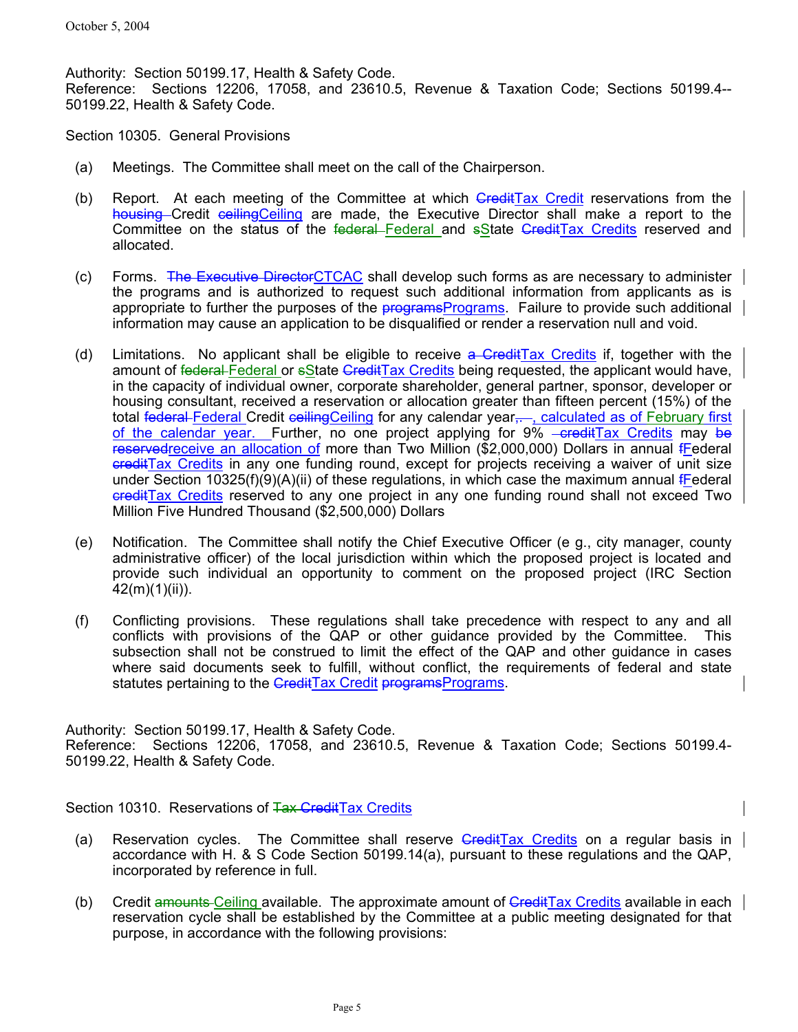Authority: Section 50199.17, Health & Safety Code. Reference: Sections 12206, 17058, and 23610.5, Revenue & Taxation Code; Sections 50199.4-- 50199.22, Health & Safety Code.

Section 10305. General Provisions

- (a) Meetings. The Committee shall meet on the call of the Chairperson.
- (b) Report. At each meeting of the Committee at which GreditTax Credit reservations from the housing Credit ceiling Ceiling are made, the Executive Director shall make a report to the Committee on the status of the federal Federal and sState CreditTax Credits reserved and allocated.
- (c) Forms. The Executive DirectorCTCAC shall develop such forms as are necessary to administer the programs and is authorized to request such additional information from applicants as is appropriate to further the purposes of the  *regrams Programs. Failure to provide such additional* information may cause an application to be disqualified or render a reservation null and void.
- (d) Limitations. No applicant shall be eligible to receive  $a$  CreditTax Credits if, together with the amount of federal Federal or sState GreditTax Credits being requested, the applicant would have, in the capacity of individual owner, corporate shareholder, general partner, sponsor, developer or housing consultant, received a reservation or allocation greater than fifteen percent (15%) of the total federal Federal Credit ceilingCeiling for any calendar year<sub></sub>, calculated as of February first of the calendar year. Further, no one project applying for  $9\%$  -creditTax Credits may be reservedreceive an allocation of more than Two Million (\$2,000,000) Dollars in annual fFederal creditTax Credits in any one funding round, except for projects receiving a waiver of unit size under Section 10325(f)(9)(A)(ii) of these regulations, in which case the maximum annual *Federal* creditTax Credits reserved to any one project in any one funding round shall not exceed Two Million Five Hundred Thousand (\$2,500,000) Dollars
- (e) Notification. The Committee shall notify the Chief Executive Officer (e g., city manager, county administrative officer) of the local jurisdiction within which the proposed project is located and provide such individual an opportunity to comment on the proposed project (IRC Section 42(m)(1)(ii)).
- (f) Conflicting provisions. These regulations shall take precedence with respect to any and all conflicts with provisions of the QAP or other guidance provided by the Committee. This subsection shall not be construed to limit the effect of the QAP and other guidance in cases where said documents seek to fulfill, without conflict, the requirements of federal and state statutes pertaining to the CreditTax Credit programsPrograms.

Authority: Section 50199.17, Health & Safety Code.

Reference: Sections 12206, 17058, and 23610.5, Revenue & Taxation Code; Sections 50199.4- 50199.22, Health & Safety Code.

Section 10310. Reservations of Tax Credit Tax Credits

- (a) Reservation cycles. The Committee shall reserve  $G$ reditTax Credits on a regular basis in  $\vert$ accordance with H. & S Code Section 50199.14(a), pursuant to these regulations and the QAP, incorporated by reference in full.
- (b) Credit amounts Ceiling available. The approximate amount of  $G$ reditTax Credits available in each  $\parallel$ reservation cycle shall be established by the Committee at a public meeting designated for that purpose, in accordance with the following provisions: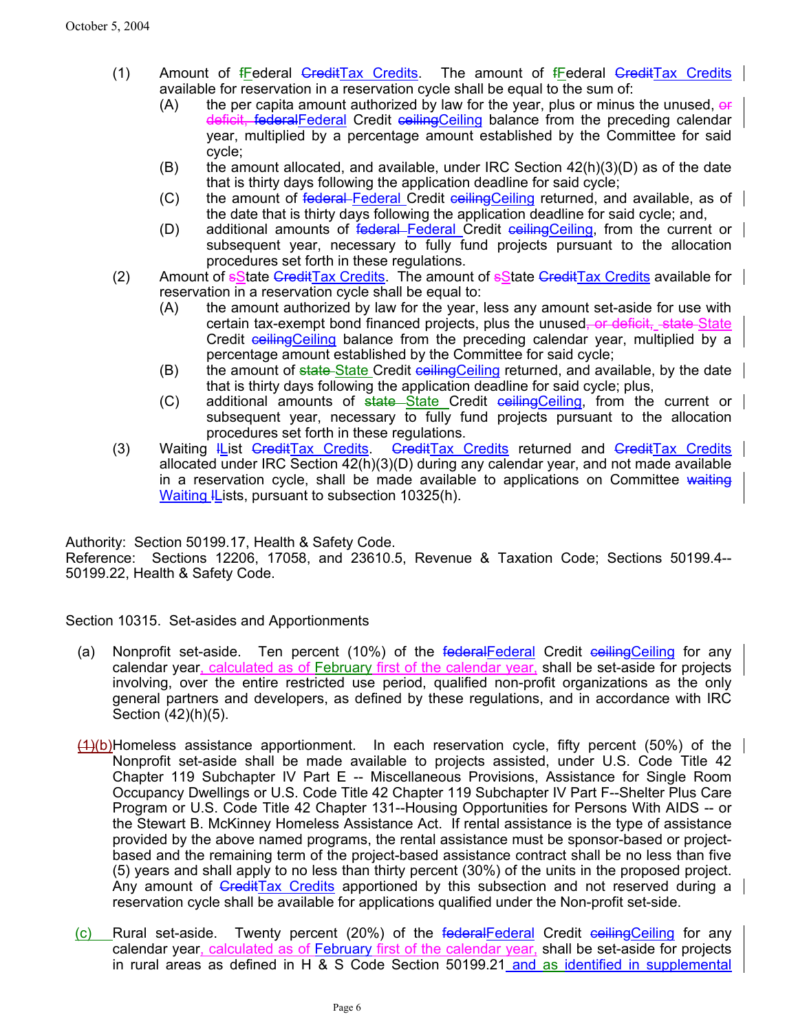- (1) Amount of *fFederal CreditTax Credits*. The amount of *fFederal CreditTax Credits* available for reservation in a reservation cycle shall be equal to the sum of:
	- $(A)$  the per capita amount authorized by law for the year, plus or minus the unused, or deficit, federalFederal Credit ceilingCeiling balance from the preceding calendar year, multiplied by a percentage amount established by the Committee for said cycle;
	- $(B)$  the amount allocated, and available, under IRC Section  $42(h)(3)(D)$  as of the date that is thirty days following the application deadline for said cycle;
	- (C) the amount of federal Federal Credit ceilingCeiling returned, and available, as of the date that is thirty days following the application deadline for said cycle; and,
	- (D) additional amounts of federal Federal Credit ceilingCeiling, from the current or subsequent year, necessary to fully fund projects pursuant to the allocation procedures set forth in these regulations.
- (2) Amount of  $s$ State GreditTax Credits. The amount of  $s$ State GreditTax Credits available for reservation in a reservation cycle shall be equal to:
	- (A) the amount authorized by law for the year, less any amount set-aside for use with certain tax-exempt bond financed projects, plus the unused, or deficit, state-State Credit ceilingCeiling balance from the preceding calendar year, multiplied by a percentage amount established by the Committee for said cycle;
	- (B) the amount of state State Credit ceiling Ceiling returned, and available, by the date that is thirty days following the application deadline for said cycle; plus,
	- (C) additional amounts of state State Credit ceilingCeiling, from the current or subsequent year, necessary to fully fund projects pursuant to the allocation procedures set forth in these regulations.
- (3) Waiting IList CreditTax Credits. CreditTax Credits returned and CreditTax Credits allocated under IRC Section 42(h)(3)(D) during any calendar year, and not made available in a reservation cycle, shall be made available to applications on Committee waiting Waiting lLists, pursuant to subsection 10325(h).

Authority: Section 50199.17, Health & Safety Code.

Reference: Sections 12206, 17058, and 23610.5, Revenue & Taxation Code; Sections 50199.4-- 50199.22, Health & Safety Code.

Section 10315. Set-asides and Apportionments

- (a) Nonprofit set-aside. Ten percent (10%) of the federal Federal Credit ceiling Ceiling for any calendar year, calculated as of February first of the calendar year, shall be set-aside for projects involving, over the entire restricted use period, qualified non-profit organizations as the only general partners and developers, as defined by these regulations, and in accordance with IRC Section (42)(h)(5).
- $(1)(b)$  Homeless assistance apportionment. In each reservation cycle, fifty percent (50%) of the Nonprofit set-aside shall be made available to projects assisted, under U.S. Code Title 42 Chapter 119 Subchapter IV Part E -- Miscellaneous Provisions, Assistance for Single Room Occupancy Dwellings or U.S. Code Title 42 Chapter 119 Subchapter IV Part F--Shelter Plus Care Program or U.S. Code Title 42 Chapter 131--Housing Opportunities for Persons With AIDS -- or the Stewart B. McKinney Homeless Assistance Act. If rental assistance is the type of assistance provided by the above named programs, the rental assistance must be sponsor-based or projectbased and the remaining term of the project-based assistance contract shall be no less than five (5) years and shall apply to no less than thirty percent (30%) of the units in the proposed project. Any amount of  $G_{\text{redit}}$ Tax Credits apportioned by this subsection and not reserved during a reservation cycle shall be available for applications qualified under the Non-profit set-side.
- (c) Rural set-aside. Twenty percent (20%) of the federal Federal Credit ceilingCeiling for any calendar year, calculated as of February first of the calendar year, shall be set-aside for projects in rural areas as defined in H & S Code Section 50199.21 and as identified in supplemental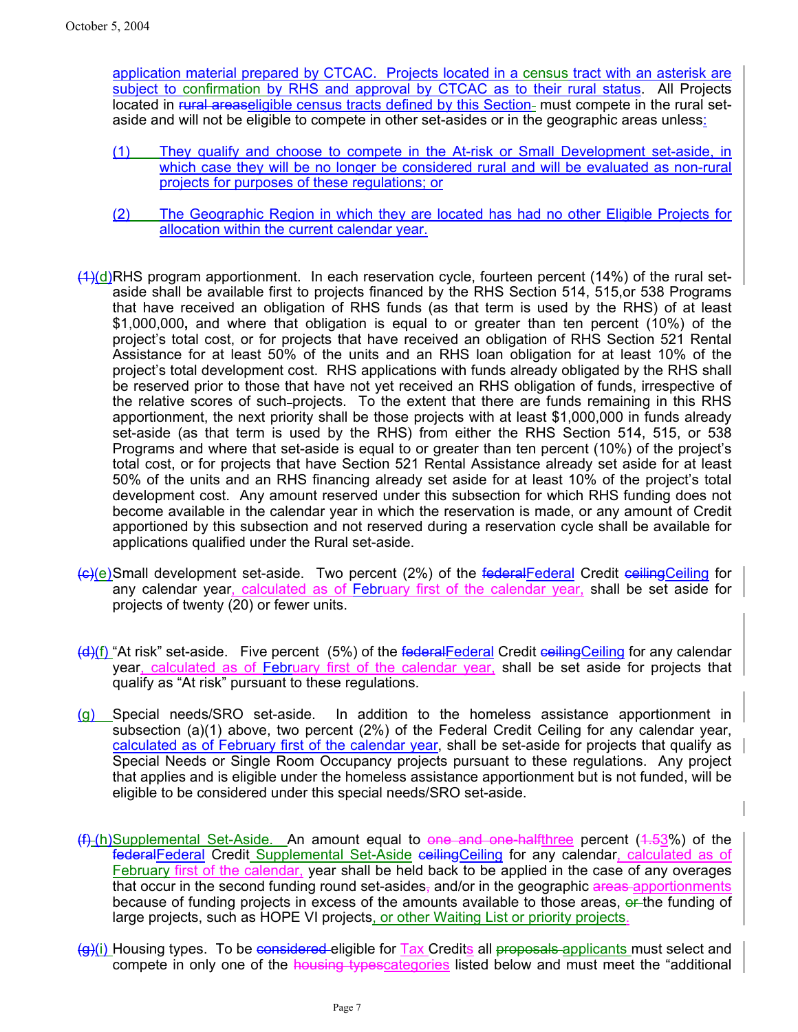application material prepared by CTCAC. Projects located in a census tract with an asterisk are subject to confirmation by RHS and approval by CTCAC as to their rural status. All Projects located in rural areaseligible census tracts defined by this Section- must compete in the rural setaside and will not be eligible to compete in other set-asides or in the geographic areas unless:

- (1) They qualify and choose to compete in the At-risk or Small Development set-aside, in which case they will be no longer be considered rural and will be evaluated as non-rural projects for purposes of these regulations; or
- (2) The Geographic Region in which they are located has had no other Eligible Projects for allocation within the current calendar year.
- $(4)(d)$ RHS program apportionment. In each reservation cycle, fourteen percent (14%) of the rural setaside shall be available first to projects financed by the RHS Section 514, 515,or 538 Programs that have received an obligation of RHS funds (as that term is used by the RHS) of at least \$1,000,000**,** and where that obligation is equal to or greater than ten percent (10%) of the project's total cost, or for projects that have received an obligation of RHS Section 521 Rental Assistance for at least 50% of the units and an RHS loan obligation for at least 10% of the project's total development cost. RHS applications with funds already obligated by the RHS shall be reserved prior to those that have not yet received an RHS obligation of funds, irrespective of the relative scores of such projects. To the extent that there are funds remaining in this RHS apportionment, the next priority shall be those projects with at least \$1,000,000 in funds already set-aside (as that term is used by the RHS) from either the RHS Section 514, 515, or 538 Programs and where that set-aside is equal to or greater than ten percent (10%) of the project's total cost, or for projects that have Section 521 Rental Assistance already set aside for at least 50% of the units and an RHS financing already set aside for at least 10% of the project's total development cost. Any amount reserved under this subsection for which RHS funding does not become available in the calendar year in which the reservation is made, or any amount of Credit apportioned by this subsection and not reserved during a reservation cycle shall be available for applications qualified under the Rural set-aside.
- (c)(e)Small development set-aside. Two percent (2%) of the federalFederal Credit ceilingCeiling for any calendar year, calculated as of February first of the calendar year, shall be set aside for projects of twenty (20) or fewer units.
- (d)(f) "At risk" set-aside. Five percent (5%) of the federal Federal Credit ceiling Ceiling for any calendar year, calculated as of February first of the calendar year, shall be set aside for projects that qualify as "At risk" pursuant to these regulations.
- (g) Special needs/SRO set-aside. In addition to the homeless assistance apportionment in subsection (a)(1) above, two percent (2%) of the Federal Credit Ceiling for any calendar year, calculated as of February first of the calendar year, shall be set-aside for projects that qualify as Special Needs or Single Room Occupancy projects pursuant to these regulations. Any project that applies and is eligible under the homeless assistance apportionment but is not funded, will be eligible to be considered under this special needs/SRO set-aside.
- $(f)$  (h) Supplemental Set-Aside. An amount equal to one and one-halfthree percent (4.53%) of the federalFederal Credit Supplemental Set-Aside ceilingCeiling for any calendar, calculated as of February first of the calendar, year shall be held back to be applied in the case of any overages that occur in the second funding round set-asides, and/or in the geographic areas apportionments because of funding projects in excess of the amounts available to those areas, or the funding of large projects, such as HOPE VI projects, or other Waiting List or priority projects.
- $\left( \frac{1}{2} \right)$  Housing types. To be considered eligible for Tax Credits all proposals applicants must select and compete in only one of the housing typescategories listed below and must meet the "additional"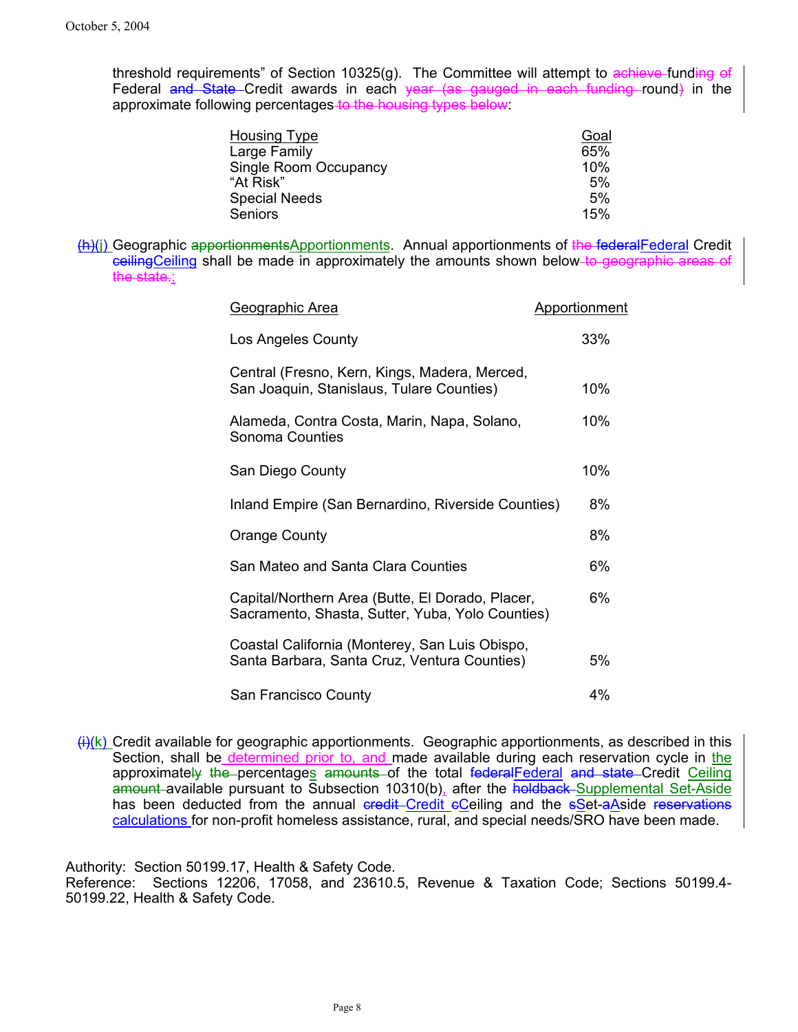threshold requirements" of Section 10325(g). The Committee will attempt to achieve-funding of Federal and State Credit awards in each year (as gauged in each funding round) in the approximate following percentages to the housing types below:

| <b>Housing Type</b>   | Goal |
|-----------------------|------|
| Large Family          | 65%  |
| Single Room Occupancy | 10%  |
| "At Risk"             | 5%   |
| <b>Special Needs</b>  | 5%   |
| Seniors               | 15%  |

(h)(j) Geographic apportionmentsApportionments. Annual apportionments of the federalFederal Credit ceilingCeiling shall be made in approximately the amounts shown below to geographic areas of the state.:

| Geographic Area                                                                                      | Apportionment |
|------------------------------------------------------------------------------------------------------|---------------|
| Los Angeles County                                                                                   | 33%           |
| Central (Fresno, Kern, Kings, Madera, Merced,<br>San Joaquin, Stanislaus, Tulare Counties)           | 10%           |
| Alameda, Contra Costa, Marin, Napa, Solano,<br>Sonoma Counties                                       | 10%           |
| San Diego County                                                                                     | 10%           |
| Inland Empire (San Bernardino, Riverside Counties)                                                   | 8%            |
| Orange County                                                                                        | 8%            |
| San Mateo and Santa Clara Counties                                                                   | 6%            |
| Capital/Northern Area (Butte, El Dorado, Placer,<br>Sacramento, Shasta, Sutter, Yuba, Yolo Counties) | 6%            |
| Coastal California (Monterey, San Luis Obispo,<br>Santa Barbara, Santa Cruz, Ventura Counties)       | 5%            |
| San Francisco County                                                                                 | 4%            |

 $\frac{\mu}{\mu}(k)$  Credit available for geographic apportionments. Geographic apportionments, as described in this Section, shall be determined prior to, and made available during each reservation cycle in the approximately the percentages amounts of the total federalFederal and state Credit Ceiling amount available pursuant to Subsection 10310(b), after the holdback Supplemental Set-Aside has been deducted from the annual credit Credit cCeiling and the sSet-aAside reservations calculations for non-profit homeless assistance, rural, and special needs/SRO have been made.

Authority: Section 50199.17, Health & Safety Code.

Reference: Sections 12206, 17058, and 23610.5, Revenue & Taxation Code; Sections 50199.4- 50199.22, Health & Safety Code.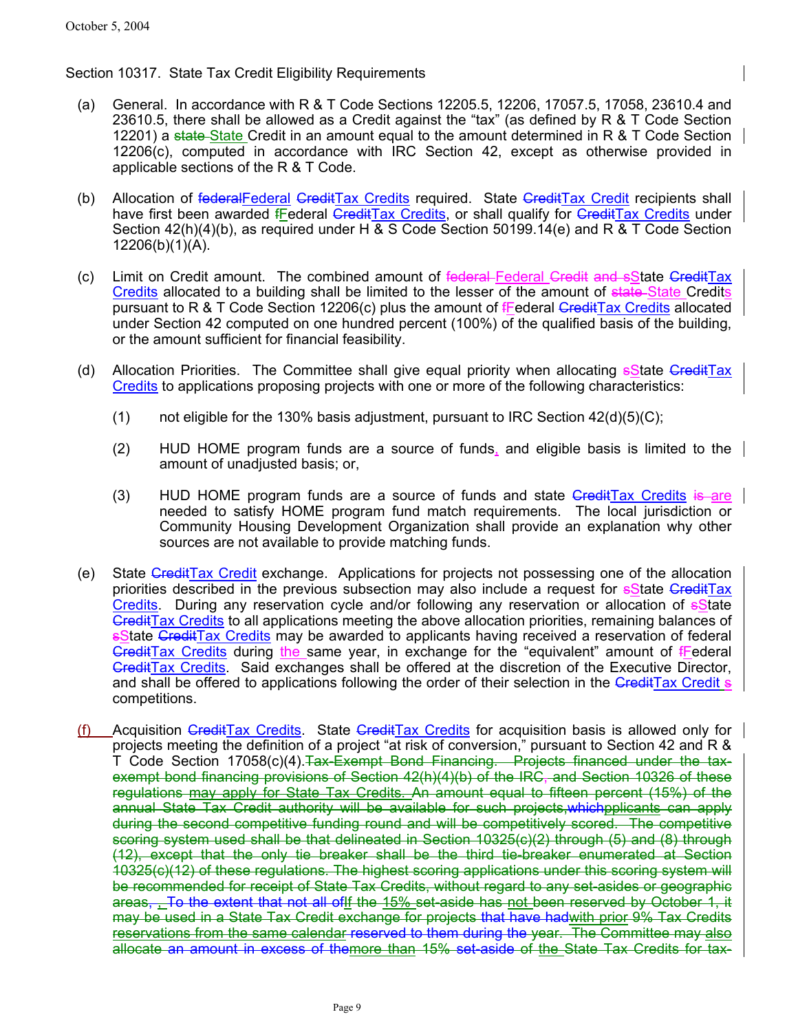# Section 10317. State Tax Credit Eligibility Requirements

- (a) General. In accordance with R & T Code Sections 12205.5, 12206, 17057.5, 17058, 23610.4 and 23610.5, there shall be allowed as a Credit against the "tax" (as defined by R & T Code Section 12201) a state State Credit in an amount equal to the amount determined in R & T Code Section 12206(c), computed in accordance with IRC Section 42, except as otherwise provided in applicable sections of the R & T Code.
- (b) Allocation of federalFederal CreditTax Credits required. State CreditTax Credit recipients shall have first been awarded *fEederal CreditTax Credits*, or shall qualify for *CreditTax Credits* under Section 42(h)(4)(b), as required under H & S Code Section 50199.14(e) and R & T Code Section 12206(b)(1)(A).
- (c) Limit on Credit amount. The combined amount of federal Federal Gredit and sState GreditTax Credits allocated to a building shall be limited to the lesser of the amount of state State Credits pursuant to R & T Code Section 12206(c) plus the amount of **Federal CreditTax Credits** allocated under Section 42 computed on one hundred percent (100%) of the qualified basis of the building, or the amount sufficient for financial feasibility.
- (d) Allocation Priorities. The Committee shall give equal priority when allocating solate CreditTax Credits to applications proposing projects with one or more of the following characteristics:
	- (1) not eligible for the 130% basis adjustment, pursuant to IRC Section  $42(d)(5)(C)$ ;
	- (2) HUD HOME program funds are a source of funds, and eligible basis is limited to the amount of unadjusted basis; or,
	- (3) HUD HOME program funds are a source of funds and state  $G$ redit $T$ ax Credits is are needed to satisfy HOME program fund match requirements. The local jurisdiction or Community Housing Development Organization shall provide an explanation why other sources are not available to provide matching funds.
- (e) State CreditTax Credit exchange. Applications for projects not possessing one of the allocation priorities described in the previous subsection may also include a request for solate CreditTax Credits. During any reservation cycle and/or following any reservation or allocation of sState CreditTax Credits to all applications meeting the above allocation priorities, remaining balances of **sState CreditTax Credits** may be awarded to applicants having received a reservation of federal GreditTax Credits during the same year, in exchange for the "equivalent" amount of *Federal* CreditTax Credits. Said exchanges shall be offered at the discretion of the Executive Director, and shall be offered to applications following the order of their selection in the CreditTax Credit s competitions.
- (f) Acquisition GreditTax Credits. State GreditTax Credits for acquisition basis is allowed only for projects meeting the definition of a project "at risk of conversion," pursuant to Section 42 and R & T Code Section 17058(c)(4). Tax-Exempt Bond Financing. Projects financed under the taxexempt bond financing provisions of Section 42(h)(4)(b) of the IRC, and Section 10326 of these regulations may apply for State Tax Credits. An amount equal to fifteen percent (15%) of the annual State Tax Credit authority will be available for such projects,whichpplicants can apply during the second competitive funding round and will be competitively scored. The competitive scoring system used shall be that delineated in Section 10325(c)(2) through (5) and (8) through (12), except that the only tie breaker shall be the third tie-breaker enumerated at Section 10325(c)(12) of these regulations. The highest scoring applications under this scoring system will be recommended for receipt of State Tax Credits, without regard to any set-asides or geographic areas, To the extent that not all of if the 15% set-aside has not been reserved by October 1, it may be used in a State Tax Credit exchange for projects that have hadwith prior 9% Tax Credits reservations from the same calendar reserved to them during the year. The Committee may also allocate an amount in excess of themore than 15% set-aside of the State Tax Credits for tax-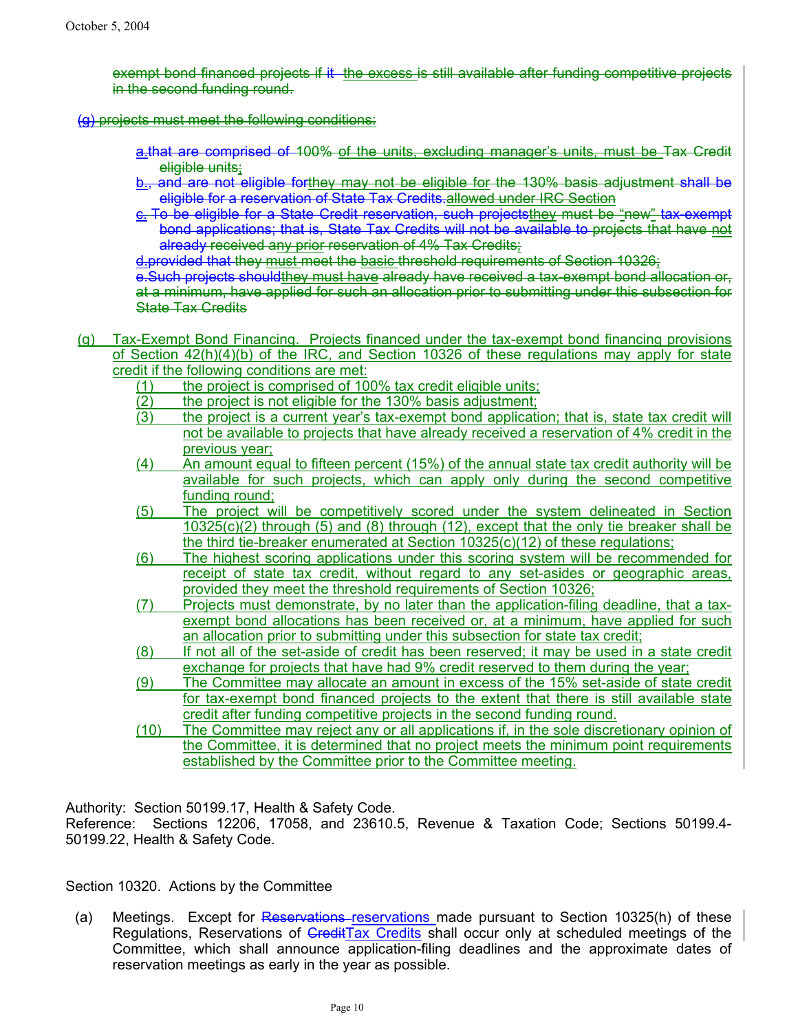exempt bond financed projects if it the excess is still available after funding competitive projects in the second funding round.

#### (g) projects must meet the following conditions:

- a.that are comprised of 100% of the units, excluding manager's units, must be Tax Credit eligible units:
- b., and are not eligible forthey may not be eligible for the 130% basis adjustment shall be eligible for a reservation of State Tax Credits.allowed under IRC Section
- c. To be eligible for a State Credit reservation, such projectsthey must be "new" tax-exempt bond applications; that is, State Tax Credits will not be available to projects that have not already received any prior reservation of 4% Tax Credits;

d.provided that they must meet the basic threshold requirements of Section 10326;

e.Such projects shouldthey must have already have received a tax-exempt bond allocation or, at a minimum, have applied for such an allocation prior to submitting under this subsection for State Tax Credits

- (g) Tax-Exempt Bond Financing. Projects financed under the tax-exempt bond financing provisions of Section 42(h)(4)(b) of the IRC, and Section 10326 of these regulations may apply for state credit if the following conditions are met:
	- (1) the project is comprised of 100% tax credit eligible units;
	- (2) the project is not eligible for the 130% basis adjustment;
	- (3) the project is a current year's tax-exempt bond application; that is, state tax credit will not be available to projects that have already received a reservation of 4% credit in the previous year;
	- (4) An amount equal to fifteen percent (15%) of the annual state tax credit authority will be available for such projects, which can apply only during the second competitive funding round;
	- (5) The project will be competitively scored under the system delineated in Section  $10325(c)(2)$  through (5) and (8) through (12), except that the only tie breaker shall be the third tie-breaker enumerated at Section 10325(c)(12) of these regulations;
	- (6) The highest scoring applications under this scoring system will be recommended for receipt of state tax credit, without regard to any set-asides or geographic areas, provided they meet the threshold requirements of Section 10326;
	- (7) Projects must demonstrate, by no later than the application-filing deadline, that a taxexempt bond allocations has been received or, at a minimum, have applied for such an allocation prior to submitting under this subsection for state tax credit;
	- (8) If not all of the set-aside of credit has been reserved; it may be used in a state credit exchange for projects that have had 9% credit reserved to them during the year;
	- (9) The Committee may allocate an amount in excess of the 15% set-aside of state credit for tax-exempt bond financed projects to the extent that there is still available state credit after funding competitive projects in the second funding round.
	- (10) The Committee may reject any or all applications if, in the sole discretionary opinion of the Committee, it is determined that no project meets the minimum point requirements established by the Committee prior to the Committee meeting.

Authority: Section 50199.17, Health & Safety Code.

Reference: Sections 12206, 17058, and 23610.5, Revenue & Taxation Code; Sections 50199.4- 50199.22, Health & Safety Code.

Section 10320. Actions by the Committee

(a) Meetings. Except for Reservations–reservations made pursuant to Section 10325(h) of these Regulations, Reservations of CreditTax Credits shall occur only at scheduled meetings of the Committee, which shall announce application-filing deadlines and the approximate dates of reservation meetings as early in the year as possible.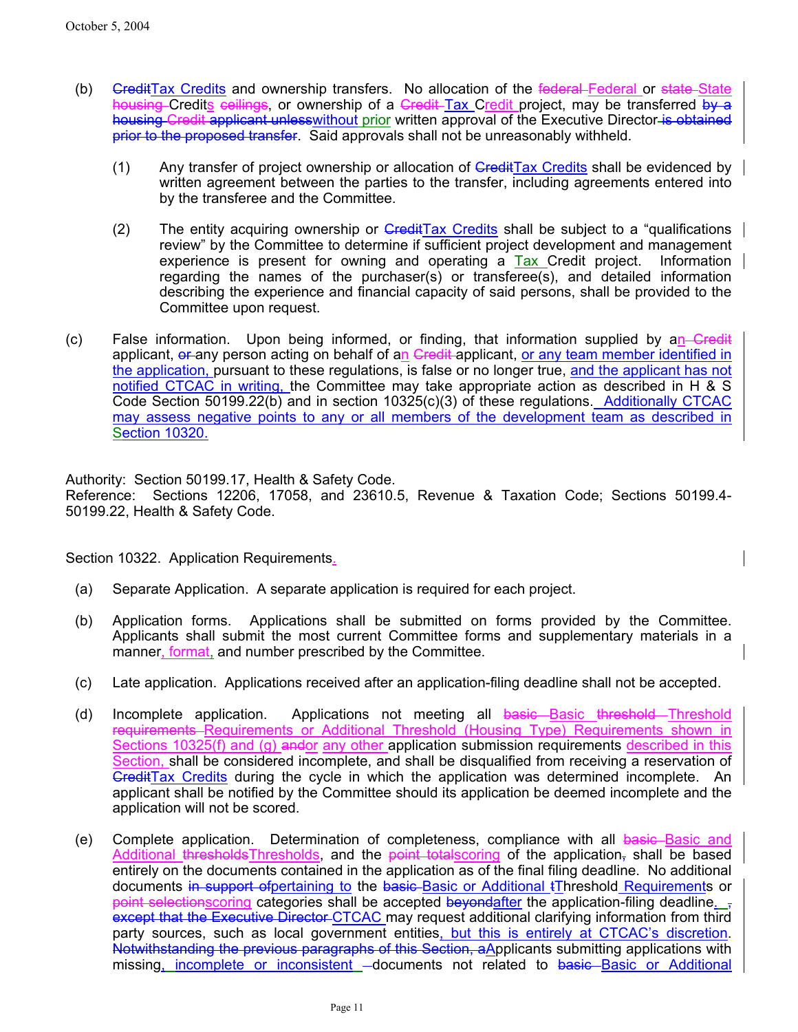- (b) <del>Credit</del>Tax Credits and ownership transfers. No allocation of the federal Federal or state State housing Credits ceilings, or ownership of a Credit Tax Credit project, may be transferred by a housing Credit applicant unless without prior written approval of the Executive Director is obtained prior to the proposed transfer. Said approvals shall not be unreasonably withheld.
	- (1) Any transfer of project ownership or allocation of  $\overline{Gredit}$ Tax Credits shall be evidenced by written agreement between the parties to the transfer, including agreements entered into by the transferee and the Committee.
	- (2) The entity acquiring ownership or  $G$ redit Tax Credits shall be subject to a "qualifications" review" by the Committee to determine if sufficient project development and management experience is present for owning and operating a Tax Credit project. Information regarding the names of the purchaser(s) or transferee(s), and detailed information describing the experience and financial capacity of said persons, shall be provided to the Committee upon request.
- $(c)$  False information. Upon being informed, or finding, that information supplied by an-Gredit applicant, or any person acting on behalf of an Credit applicant, or any team member identified in the application, pursuant to these regulations, is false or no longer true, and the applicant has not notified CTCAC in writing, the Committee may take appropriate action as described in H & S Code Section 50199.22(b) and in section 10325(c)(3) of these regulations. Additionally CTCAC may assess negative points to any or all members of the development team as described in Section 10320.

Authority: Section 50199.17, Health & Safety Code.

Reference: Sections 12206, 17058, and 23610.5, Revenue & Taxation Code; Sections 50199.4- 50199.22, Health & Safety Code.

Section 10322. Application Requirements.

- (a) Separate Application. A separate application is required for each project.
- (b) Application forms. Applications shall be submitted on forms provided by the Committee. Applicants shall submit the most current Committee forms and supplementary materials in a manner, format, and number prescribed by the Committee.
- (c) Late application. Applications received after an application-filing deadline shall not be accepted.
- (d) Incomplete application. Applications not meeting all basic Basic threshold Threshold requirements Requirements or Additional Threshold (Housing Type) Requirements shown in Sections 10325(f) and (g) andor any other application submission requirements described in this Section, shall be considered incomplete, and shall be disqualified from receiving a reservation of CreditTax Credits during the cycle in which the application was determined incomplete. An applicant shall be notified by the Committee should its application be deemed incomplete and the application will not be scored.
- (e) Complete application. Determination of completeness, compliance with all basic Basic and Additional thresholdsThresholds, and the point totalscoring of the application, shall be based entirely on the documents contained in the application as of the final filing deadline. No additional documents in support of pertaining to the basic Basic or Additional tThreshold Requirements or point selectionscoring categories shall be accepted beyondafter the application-filing deadline.  $\frac{1}{2}$ except that the Executive Director-CTCAC may request additional clarifying information from third party sources, such as local government entities, but this is entirely at CTCAC's discretion. Notwithstanding the previous paragraphs of this Section, aApplicants submitting applications with missing, incomplete or inconsistent - documents not related to basic Basic or Additional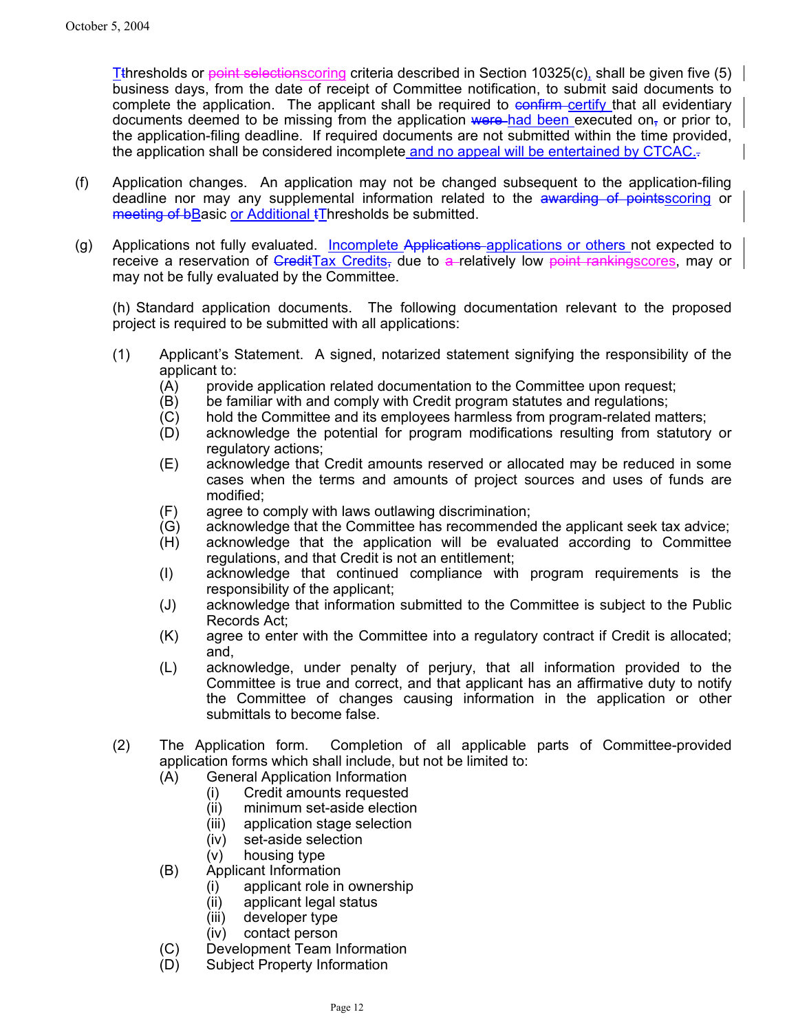Tthresholds or point selectionscoring criteria described in Section 10325(c), shall be given five (5)  $\mid$ business days, from the date of receipt of Committee notification, to submit said documents to complete the application. The applicant shall be required to  $\frac{1}{\sqrt{2}}$  confirm certify that all evidentiary documents deemed to be missing from the application were had been executed on, or prior to, the application-filing deadline. If required documents are not submitted within the time provided, the application shall be considered incomplete and no appeal will be entertained by CTCAC..

- (f) Application changes. An application may not be changed subsequent to the application-filing deadline nor may any supplemental information related to the awarding of points scoring or meeting of bBasic or Additional tThresholds be submitted.
- (g) Applications not fully evaluated. Incomplete Applications applications or others not expected to receive a reservation of GreditTax Credits, due to a-relatively low point rankingscores, may or may not be fully evaluated by the Committee.

(h) Standard application documents. The following documentation relevant to the proposed project is required to be submitted with all applications:

- (1) Applicant's Statement. A signed, notarized statement signifying the responsibility of the applicant to:
	- (A) provide application related documentation to the Committee upon request;
	- (B) be familiar with and comply with Credit program statutes and regulations;
	- (C) hold the Committee and its employees harmless from program-related matters;
	- (D) acknowledge the potential for program modifications resulting from statutory or regulatory actions;
	- (E) acknowledge that Credit amounts reserved or allocated may be reduced in some cases when the terms and amounts of project sources and uses of funds are modified;
	- (F) agree to comply with laws outlawing discrimination;
	- (G) acknowledge that the Committee has recommended the applicant seek tax advice;
	- (H) acknowledge that the application will be evaluated according to Committee regulations, and that Credit is not an entitlement;
	- (I) acknowledge that continued compliance with program requirements is the responsibility of the applicant;
	- (J) acknowledge that information submitted to the Committee is subject to the Public Records Act;
	- (K) agree to enter with the Committee into a regulatory contract if Credit is allocated; and,
	- (L) acknowledge, under penalty of perjury, that all information provided to the Committee is true and correct, and that applicant has an affirmative duty to notify the Committee of changes causing information in the application or other submittals to become false.
- (2) The Application form. Completion of all applicable parts of Committee-provided application forms which shall include, but not be limited to:
	- (A) General Application Information
		- (i) Credit amounts requested
		- (ii) minimum set-aside election
		- (iii) application stage selection
		- (iv) set-aside selection
		- (v) housing type
	- (B) Applicant Information
		- (i) applicant role in ownership
		- (ii) applicant legal status
		- (iii) developer type
		- (iv) contact person
	- (C) Development Team Information
	- (D) Subject Property Information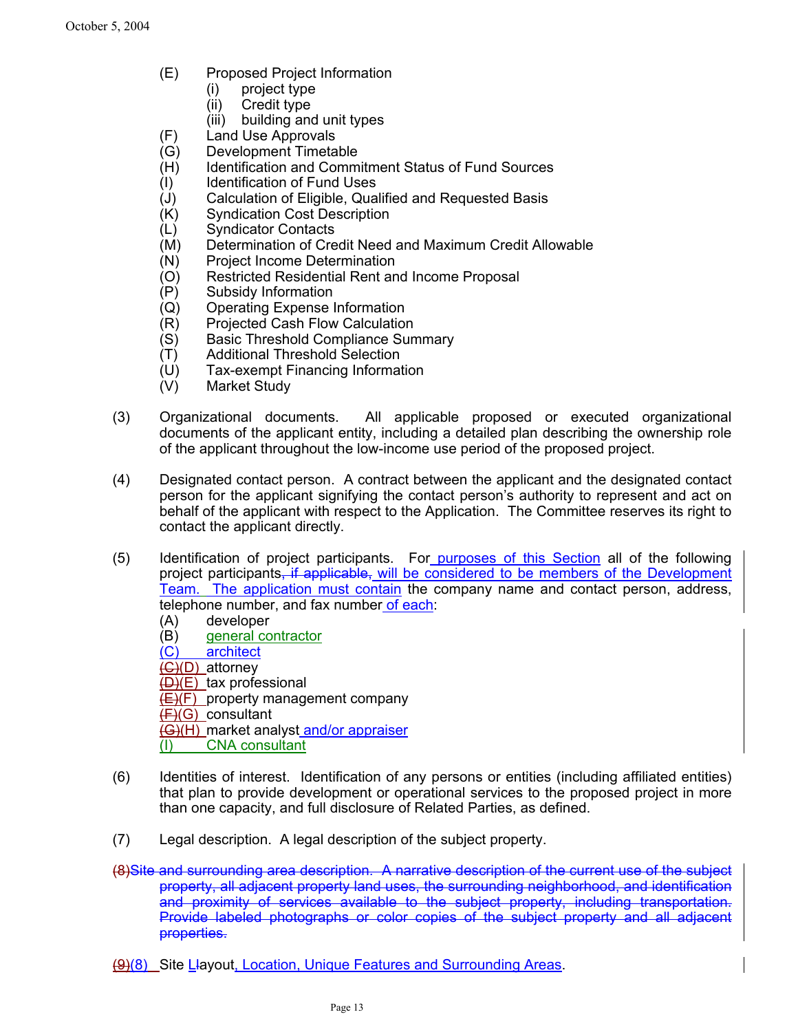- (E) Proposed Project Information
	- (i) project type
	- (ii) Credit type
	- (iii) building and unit types
- (F) Land Use Approvals
- (G) Development Timetable
- (H) Identification and Commitment Status of Fund Sources
- (I) Identification of Fund Uses
- (J) Calculation of Eligible, Qualified and Requested Basis
- (K) Syndication Cost Description<br>(L) Syndicator Contacts
- Syndicator Contacts
- (M) Determination of Credit Need and Maximum Credit Allowable
- (N) Project Income Determination
- (O) Restricted Residential Rent and Income Proposal
- (P) Subsidy Information
- (Q) Operating Expense Information
- (R) Projected Cash Flow Calculation
- (S) Basic Threshold Compliance Summary
- (T) Additional Threshold Selection
- (U) Tax-exempt Financing Information
- (V) Market Study
- (3) Organizational documents. All applicable proposed or executed organizational documents of the applicant entity, including a detailed plan describing the ownership role of the applicant throughout the low-income use period of the proposed project.
- (4) Designated contact person. A contract between the applicant and the designated contact person for the applicant signifying the contact person's authority to represent and act on behalf of the applicant with respect to the Application. The Committee reserves its right to contact the applicant directly.
- (5) Identification of project participants. For purposes of this Section all of the following project participants, if applicable, will be considered to be members of the Development Team. The application must contain the company name and contact person, address, telephone number, and fax number of each:
	- (A) developer (B) general contractor (C) architect  $\overline{(G)(D)}$  attorney  $(D)(E)$  tax professional  $(E)(F)$  property management company  $(F)(G)$  consultant (G)(H) market analyst and/or appraiser (I) CNA consultant
- (6) Identities of interest. Identification of any persons or entities (including affiliated entities) that plan to provide development or operational services to the proposed project in more than one capacity, and full disclosure of Related Parties, as defined.
- (7) Legal description. A legal description of the subject property.
- (8)Site and surrounding area description. A narrative description of the current use of the subject property, all adjacent property land uses, the surrounding neighborhood, and identification and proximity of services available to the subject property, including transportation. Provide labeled photographs or color copies of the subject property and all adjacent properties.
- (9)(8) Site Llayout, Location, Unique Features and Surrounding Areas.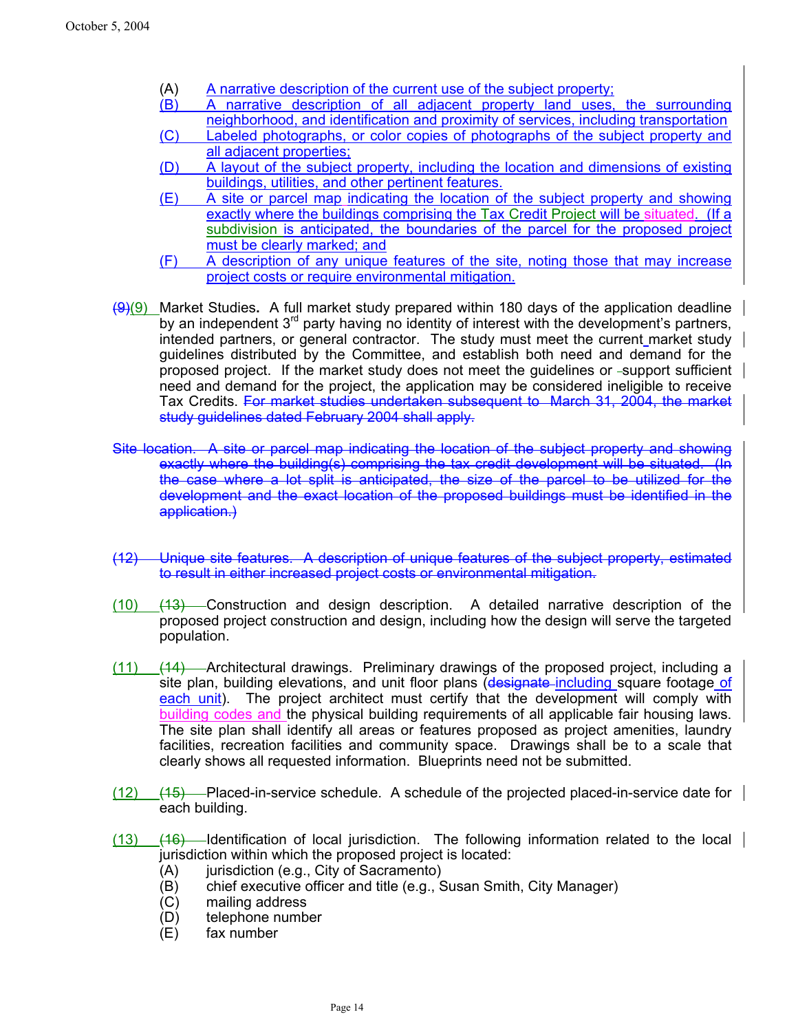- (A) A narrative description of the current use of the subject property;
- (B) A narrative description of all adjacent property land uses, the surrounding neighborhood, and identification and proximity of services, including transportation
- (C) Labeled photographs, or color copies of photographs of the subject property and all adjacent properties;
- (D) A layout of the subject property, including the location and dimensions of existing buildings, utilities, and other pertinent features.
- (E) A site or parcel map indicating the location of the subject property and showing exactly where the buildings comprising the Tax Credit Project will be situated. (If a subdivision is anticipated, the boundaries of the parcel for the proposed project must be clearly marked; and
- (F) A description of any unique features of the site, noting those that may increase project costs or require environmental mitigation.
- (9)(9) Market Studies**.** A full market study prepared within 180 days of the application deadline by an independent  $3<sup>rd</sup>$  party having no identity of interest with the development's partners, intended partners, or general contractor. The study must meet the current market study guidelines distributed by the Committee, and establish both need and demand for the proposed project. If the market study does not meet the quidelines or -support sufficient need and demand for the project, the application may be considered ineligible to receive Tax Credits. For market studies undertaken subsequent to March 31, 2004, the market study guidelines dated February 2004 shall apply.
- Site location. A site or parcel map indicating the location of the subject property and showing exactly where the building(s) comprising the tax credit development will be situated. (In the case where a lot split is anticipated, the size of the parcel to be utilized for the development and the exact location of the proposed buildings must be identified in the application.)
- (12) Unique site features. A description of unique features of the subject property, estimated to result in either increased project costs or environmental mitigation.
- $(10)$   $(13)$  Construction and design description. A detailed narrative description of the proposed project construction and design, including how the design will serve the targeted population.
- (11) (14) Architectural drawings. Preliminary drawings of the proposed project, including a site plan, building elevations, and unit floor plans (designate including square footage of each unit). The project architect must certify that the development will comply with building codes and the physical building requirements of all applicable fair housing laws. The site plan shall identify all areas or features proposed as project amenities, laundry facilities, recreation facilities and community space. Drawings shall be to a scale that clearly shows all requested information. Blueprints need not be submitted.
- (12)  $(12)$   $(15)$  Placed-in-service schedule. A schedule of the projected placed-in-service date for each building.
- $(13)$   $(16)$  Identification of local jurisdiction. The following information related to the local jurisdiction within which the proposed project is located:
	- (A) jurisdiction (e.g., City of Sacramento)
	- (B) chief executive officer and title (e.g., Susan Smith, City Manager)
	- (C) mailing address
	- (D) telephone number
	- (E) fax number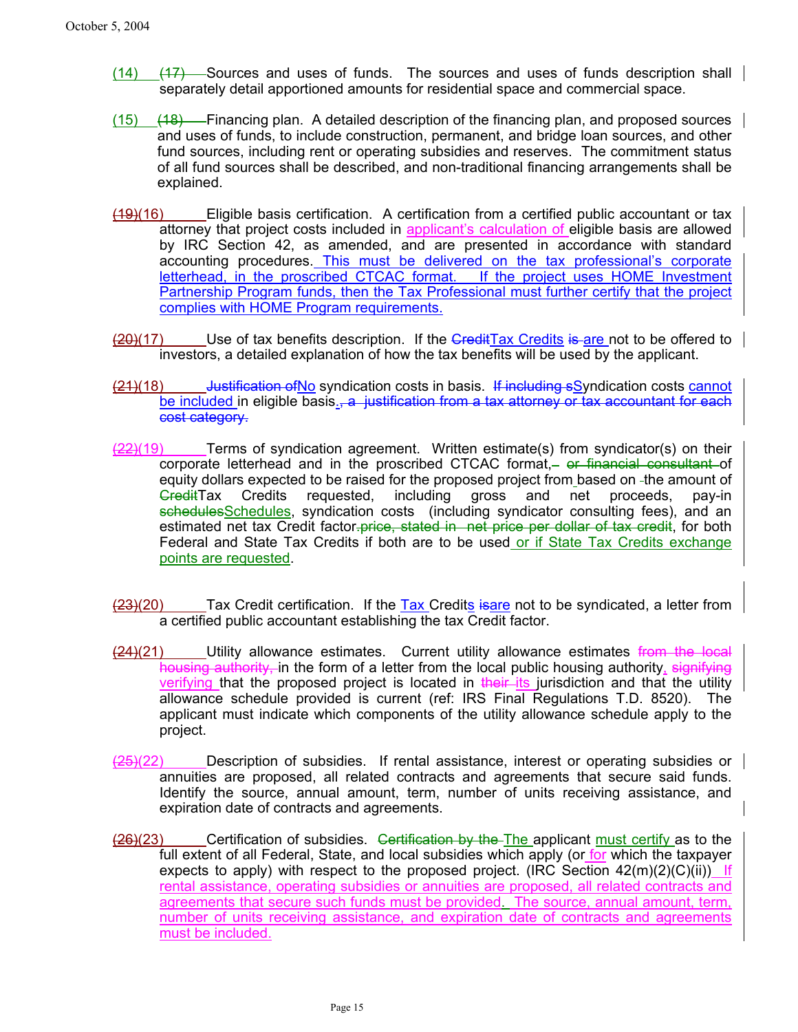- $(14)$   $(17)$  Sources and uses of funds. The sources and uses of funds description shall separately detail apportioned amounts for residential space and commercial space.
- $(15)$   $(18)$  Financing plan. A detailed description of the financing plan, and proposed sources and uses of funds, to include construction, permanent, and bridge loan sources, and other fund sources, including rent or operating subsidies and reserves. The commitment status of all fund sources shall be described, and non-traditional financing arrangements shall be explained.
- $(19)(16)$  Eligible basis certification. A certification from a certified public accountant or tax attorney that project costs included in applicant's calculation of eligible basis are allowed by IRC Section 42, as amended, and are presented in accordance with standard accounting procedures. This must be delivered on the tax professional's corporate letterhead, in the proscribed CTCAC format. If the project uses HOME Investment Partnership Program funds, then the Tax Professional must further certify that the project complies with HOME Program requirements.
- $(20)(17)$  Use of tax benefits description. If the CreditTax Credits is are not to be offered to investors, a detailed explanation of how the tax benefits will be used by the applicant.
- (21)(18) Justification of No syndication costs in basis. If including sSyndication costs cannot be included in eligible basis<sub>5</sub>, a justification from a tax attorney or tax accountant for each cost category.
- $\frac{22}{19}$  Terms of syndication agreement. Written estimate(s) from syndicator(s) on their corporate letterhead and in the proscribed CTCAC format, or financial consultant of equity dollars expected to be raised for the proposed project from based on -the amount of GreditTax Credits requested, including gross and net proceeds, pay-in schedulesSchedules, syndication costs (including syndicator consulting fees), and an estimated net tax Credit factor-price, stated in net price per dollar of tax credit, for both Federal and State Tax Credits if both are to be used or if State Tax Credits exchange points are requested.
- $(23)(20)$  Tax Credit certification. If the Tax Credits is are not to be syndicated, a letter from a certified public accountant establishing the tax Credit factor.
- $(24)(21)$  Utility allowance estimates. Current utility allowance estimates from the local housing authority, in the form of a letter from the local public housing authority, signifying verifying that the proposed project is located in their its jurisdiction and that the utility allowance schedule provided is current (ref: IRS Final Regulations T.D. 8520). The applicant must indicate which components of the utility allowance schedule apply to the project.
- $(25)(22)$  Description of subsidies. If rental assistance, interest or operating subsidies or annuities are proposed, all related contracts and agreements that secure said funds. Identify the source, annual amount, term, number of units receiving assistance, and expiration date of contracts and agreements.
- $(26)(23)$  Certification of subsidies. Certification by the The applicant must certify as to the full extent of all Federal, State, and local subsidies which apply (or for which the taxpayer expects to apply) with respect to the proposed project. (IRC Section  $42(m)(2)(C)(ii)$ ) If rental assistance, operating subsidies or annuities are proposed, all related contracts and agreements that secure such funds must be provided. The source, annual amount, term, number of units receiving assistance, and expiration date of contracts and agreements must be included.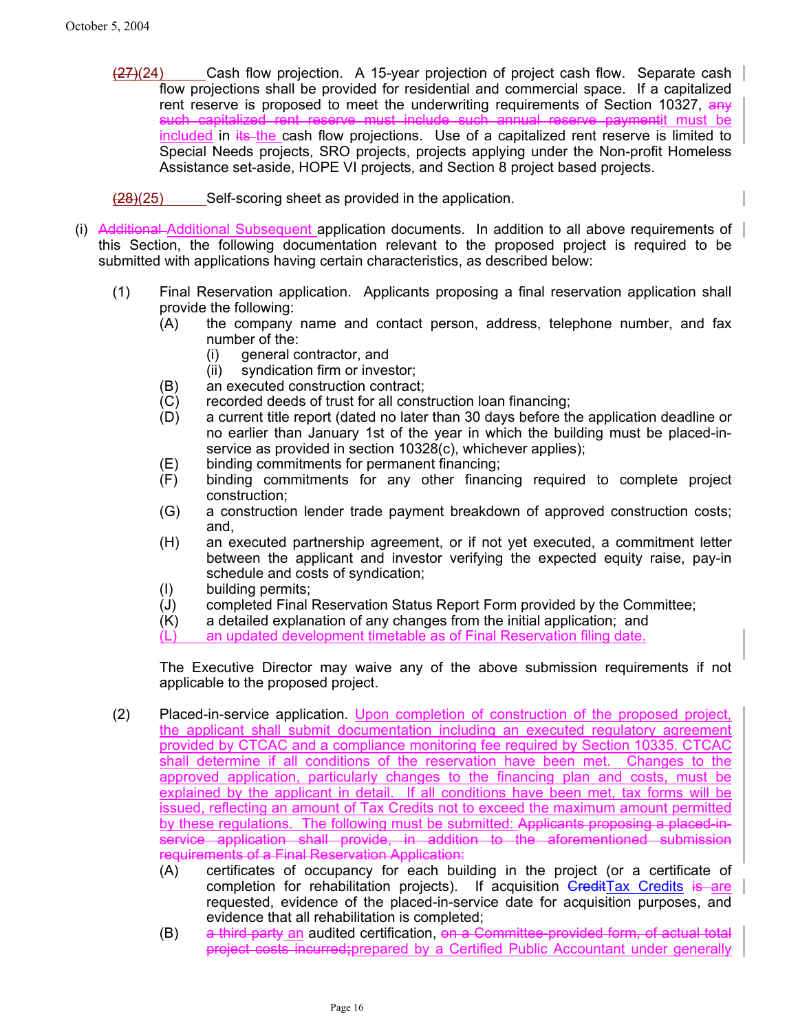- (27)(24) Cash flow projection. A 15-year projection of project cash flow. Separate cash flow projections shall be provided for residential and commercial space. If a capitalized rent reserve is proposed to meet the underwriting requirements of Section 10327, any such capitalized rent reserve must include such annual reserve paymentit must be included in its the cash flow projections. Use of a capitalized rent reserve is limited to Special Needs projects, SRO projects, projects applying under the Non-profit Homeless Assistance set-aside, HOPE VI projects, and Section 8 project based projects.
- (28)(25) Self-scoring sheet as provided in the application.
- (i) Additional Additional Subsequent application documents. In addition to all above requirements of this Section, the following documentation relevant to the proposed project is required to be submitted with applications having certain characteristics, as described below:
	- (1) Final Reservation application. Applicants proposing a final reservation application shall provide the following:
		- (A) the company name and contact person, address, telephone number, and fax number of the:
			- (i) general contractor, and
			- (ii) syndication firm or investor;
		- (B) an executed construction contract;
		- (C) recorded deeds of trust for all construction loan financing;
		- (D) a current title report (dated no later than 30 days before the application deadline or no earlier than January 1st of the year in which the building must be placed-inservice as provided in section 10328(c), whichever applies);
		- (E) binding commitments for permanent financing;
		- (F) binding commitments for any other financing required to complete project construction;
		- (G) a construction lender trade payment breakdown of approved construction costs; and,
		- (H) an executed partnership agreement, or if not yet executed, a commitment letter between the applicant and investor verifying the expected equity raise, pay-in schedule and costs of syndication;
		- (I) building permits;
		- (J) completed Final Reservation Status Report Form provided by the Committee;
		- (K) a detailed explanation of any changes from the initial application; and
		- an updated development timetable as of Final Reservation filing date.

The Executive Director may waive any of the above submission requirements if not applicable to the proposed project.

- (2) Placed-in-service application. Upon completion of construction of the proposed project, the applicant shall submit documentation including an executed regulatory agreement provided by CTCAC and a compliance monitoring fee required by Section 10335. CTCAC shall determine if all conditions of the reservation have been met. Changes to the approved application, particularly changes to the financing plan and costs, must be explained by the applicant in detail. If all conditions have been met, tax forms will be issued, reflecting an amount of Tax Credits not to exceed the maximum amount permitted by these regulations. The following must be submitted: Applicants proposing a placed-inservice application shall provide, in addition to the aforementioned submission requirements of a Final Reservation Application:
	- (A) certificates of occupancy for each building in the project (or a certificate of completion for rehabilitation projects). If acquisition  $\overline{Gredit\, Tax}$  Credits is are requested, evidence of the placed-in-service date for acquisition purposes, and evidence that all rehabilitation is completed;
	- (B) a third party an audited certification, on a Committee-provided form, of actual total project costs incurred**;**prepared by a Certified Public Accountant under generally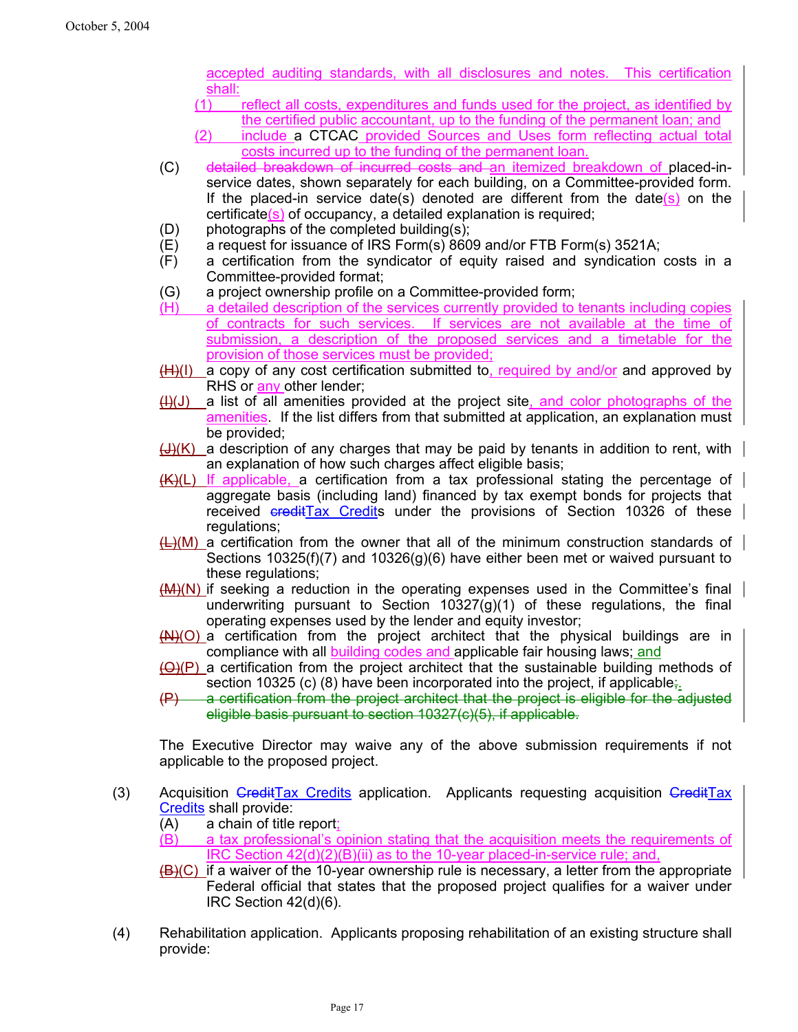accepted auditing standards, with all disclosures and notes. This certification shall:

- (1) reflect all costs, expenditures and funds used for the project, as identified by the certified public accountant, up to the funding of the permanent loan; and
- (2) include a CTCAC provided Sources and Uses form reflecting actual total costs incurred up to the funding of the permanent loan.
- (C) detailed breakdown of incurred costs and an itemized breakdown of placed-inservice dates, shown separately for each building, on a Committee-provided form. If the placed-in service date(s) denoted are different from the date(s) on the certificate(s) of occupancy, a detailed explanation is required;
- (D) photographs of the completed building(s);
- (E) a request for issuance of IRS Form(s) 8609 and/or FTB Form(s) 3521A;
- (F) a certification from the syndicator of equity raised and syndication costs in a Committee-provided format;
- (G) a project ownership profile on a Committee-provided form;
- (H) a detailed description of the services currently provided to tenants including copies of contracts for such services. If services are not available at the time of submission, a description of the proposed services and a timetable for the provision of those services must be provided;
- $(H)(I)$  a copy of any cost certification submitted to, required by and/or and approved by RHS or **any** other lender;
- $(H)(J)$  a list of all amenities provided at the project site, and color photographs of the amenities. If the list differs from that submitted at application, an explanation must be provided;
- $\bigoplus$  (K) a description of any charges that may be paid by tenants in addition to rent, with an explanation of how such charges affect eligible basis;
- $(K)(L)$  If applicable, a certification from a tax professional stating the percentage of aggregate basis (including land) financed by tax exempt bonds for projects that received creditTax Credits under the provisions of Section 10326 of these regulations;
- $\leftarrow$ )(M) a certification from the owner that all of the minimum construction standards of Sections 10325(f)(7) and 10326(g)(6) have either been met or waived pursuant to these regulations;
- (M)(N) if seeking a reduction in the operating expenses used in the Committee's final underwriting pursuant to Section  $10327(q)(1)$  of these regulations, the final operating expenses used by the lender and equity investor;
- $(M)(O)$  a certification from the project architect that the physical buildings are in compliance with all **building codes and applicable fair housing laws**; and
- (O)(P) a certification from the project architect that the sustainable building methods of section 10325 (c) (8) have been incorporated into the project, if applicable;
- (P) a certification from the project architect that the project is eligible for the adjusted eligible basis pursuant to section 10327(c)(5), if applicable.

The Executive Director may waive any of the above submission requirements if not applicable to the proposed project.

- (3) Acquisition GreditTax Credits application. Applicants requesting acquisition GreditTax Credits shall provide:
	- (A) a chain of title report;
	- (B) a tax professional's opinion stating that the acquisition meets the requirements of IRC Section 42(d)(2)(B)(ii) as to the 10-year placed-in-service rule; and,
	- $(B)(C)$  if a waiver of the 10-year ownership rule is necessary, a letter from the appropriate Federal official that states that the proposed project qualifies for a waiver under IRC Section 42(d)(6).
- (4) Rehabilitation application. Applicants proposing rehabilitation of an existing structure shall provide: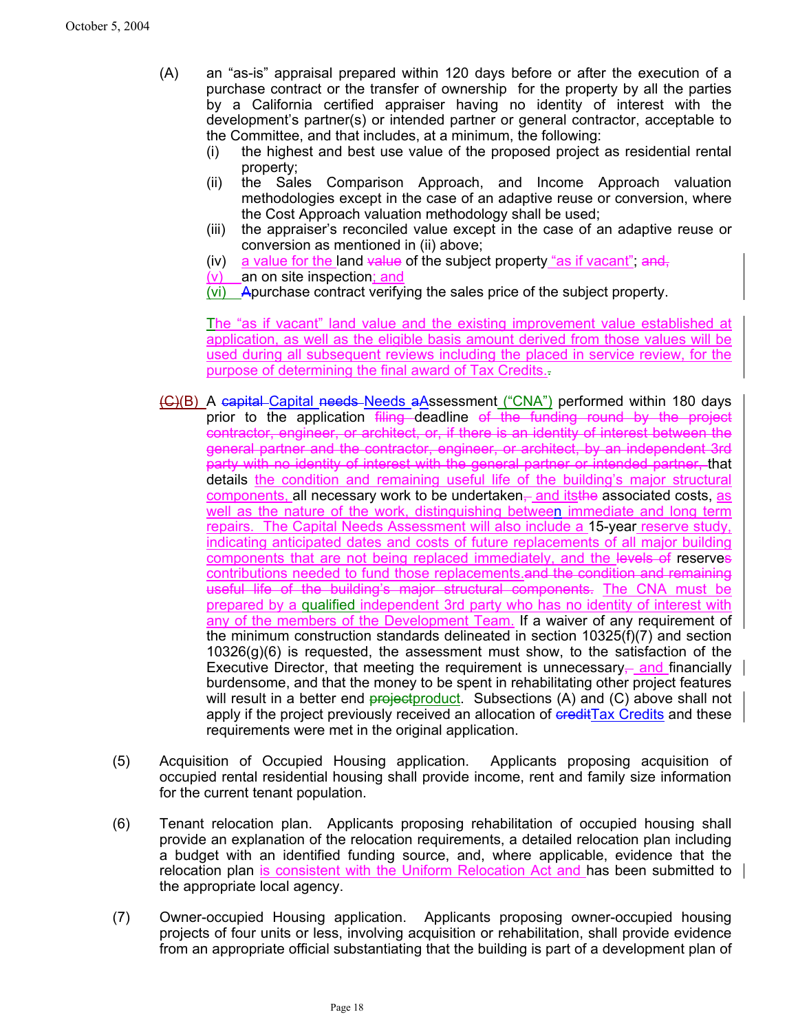- (A) an "as-is" appraisal prepared within 120 days before or after the execution of a purchase contract or the transfer of ownership for the property by all the parties by a California certified appraiser having no identity of interest with the development's partner(s) or intended partner or general contractor, acceptable to the Committee, and that includes, at a minimum, the following:
	- (i) the highest and best use value of the proposed project as residential rental property;
	- (ii) the Sales Comparison Approach, and Income Approach valuation methodologies except in the case of an adaptive reuse or conversion, where the Cost Approach valuation methodology shall be used;
	- (iii) the appraiser's reconciled value except in the case of an adaptive reuse or conversion as mentioned in (ii) above;
	- (iv) a value for the land value of the subject property "as if vacant"; and,
	- (v) an on site inspection; and
	- (vi) Apurchase contract verifying the sales price of the subject property.

The "as if vacant" land value and the existing improvement value established at application, as well as the eligible basis amount derived from those values will be used during all subsequent reviews including the placed in service review, for the purpose of determining the final award of Tax Credits..

- (C)(B) A capital Capital needs Needs aAssessment ("CNA") performed within 180 days prior to the application filing deadline of the funding round by the project contractor, engineer, or architect, or, if there is an identity of interest between the general partner and the contractor, engineer, or architect, by an independent 3rd party with no identity of interest with the general partner or intended partner, that details the condition and remaining useful life of the building's major structural components, all necessary work to be undertaken, and its the associated costs, as well as the nature of the work, distinguishing between immediate and long term repairs. The Capital Needs Assessment will also include a 15-year reserve study, indicating anticipated dates and costs of future replacements of all major building components that are not being replaced immediately, and the levels of reserves contributions needed to fund those replacements.and the condition and remaining useful life of the building's major structural components. The CNA must be prepared by a qualified independent 3rd party who has no identity of interest with any of the members of the Development Team. If a waiver of any requirement of the minimum construction standards delineated in section 10325(f)(7) and section 10326(g)(6) is requested, the assessment must show, to the satisfaction of the Executive Director, that meeting the requirement is unnecessary—and financially burdensome, and that the money to be spent in rehabilitating other project features will result in a better end  $prejectionduct$ . Subsections (A) and (C) above shall not apply if the project previously received an allocation of credit Tax Credits and these requirements were met in the original application.
- (5) Acquisition of Occupied Housing application. Applicants proposing acquisition of occupied rental residential housing shall provide income, rent and family size information for the current tenant population.
- (6) Tenant relocation plan. Applicants proposing rehabilitation of occupied housing shall provide an explanation of the relocation requirements, a detailed relocation plan including a budget with an identified funding source, and, where applicable, evidence that the relocation plan is consistent with the Uniform Relocation Act and has been submitted to the appropriate local agency.
- (7) Owner-occupied Housing application. Applicants proposing owner-occupied housing projects of four units or less, involving acquisition or rehabilitation, shall provide evidence from an appropriate official substantiating that the building is part of a development plan of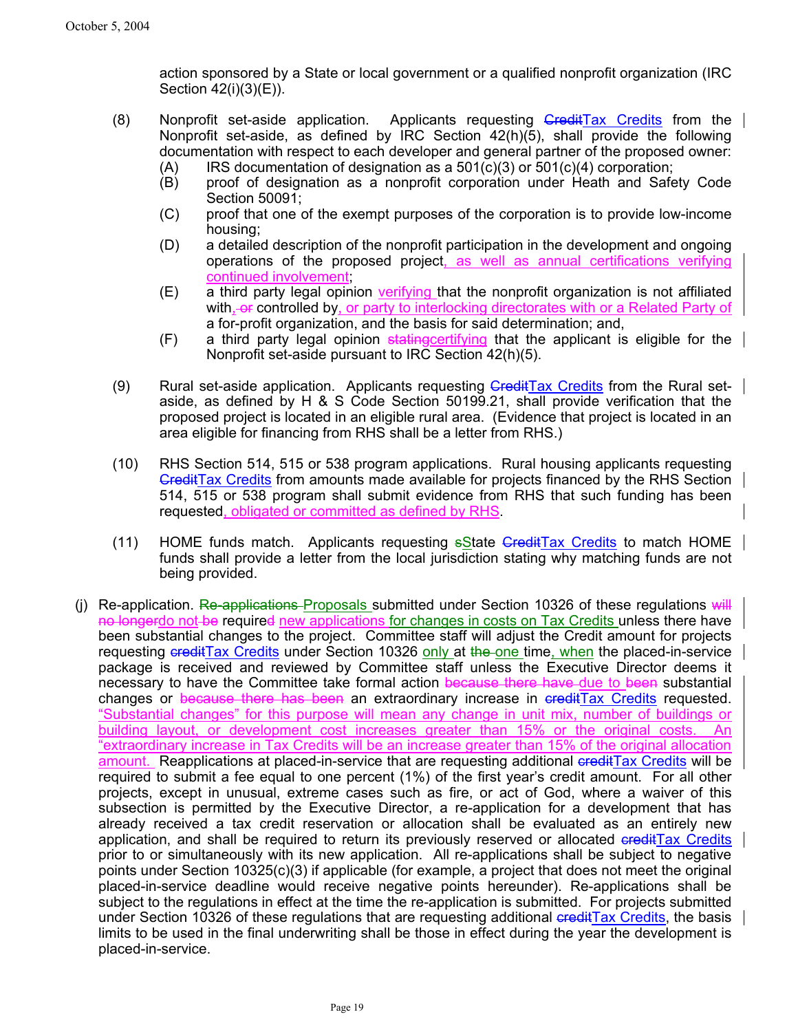action sponsored by a State or local government or a qualified nonprofit organization (IRC Section 42(i)(3)(E)).

- (8) Nonprofit set-aside application. Applicants requesting  $G$ redit $T$ ax Credits from the Nonprofit set-aside, as defined by IRC Section 42(h)(5), shall provide the following documentation with respect to each developer and general partner of the proposed owner:
	- $(A)$  IRS documentation of designation as a 501(c)(3) or 501(c)(4) corporation;
	- (B) proof of designation as a nonprofit corporation under Heath and Safety Code Section 50091;
	- (C) proof that one of the exempt purposes of the corporation is to provide low-income housing;
	- (D) a detailed description of the nonprofit participation in the development and ongoing operations of the proposed project, as well as annual certifications verifying continued involvement;
	- (E) a third party legal opinion verifying that the nonprofit organization is not affiliated with, or controlled by, or party to interlocking directorates with or a Related Party of a for-profit organization, and the basis for said determination; and,
	- (F) a third party legal opinion statingcertifying that the applicant is eligible for the Nonprofit set-aside pursuant to IRC Section 42(h)(5).
- (9) Rural set-aside application. Applicants requesting Gredit Tax Credits from the Rural setaside, as defined by H & S Code Section 50199.21, shall provide verification that the proposed project is located in an eligible rural area. (Evidence that project is located in an area eligible for financing from RHS shall be a letter from RHS.)
- (10) RHS Section 514, 515 or 538 program applications. Rural housing applicants requesting CreditTax Credits from amounts made available for projects financed by the RHS Section 514, 515 or 538 program shall submit evidence from RHS that such funding has been requested, obligated or committed as defined by RHS.
- (11) HOME funds match. Applicants requesting  $s$ State GreditTax Credits to match HOME funds shall provide a letter from the local jurisdiction stating why matching funds are not being provided.
- (i) Re-application. Re-applications Proposals submitted under Section 10326 of these regulations  $\frac{1}{w}$ no longerdo not be required new applications for changes in costs on Tax Credits unless there have been substantial changes to the project. Committee staff will adjust the Credit amount for projects requesting creditTax Credits under Section 10326 only at the one time, when the placed-in-service package is received and reviewed by Committee staff unless the Executive Director deems it necessary to have the Committee take formal action because there have due to been substantial changes or because there has been an extraordinary increase in eredit Tax Credits requested. "Substantial changes" for this purpose will mean any change in unit mix, number of buildings or building layout, or development cost increases greater than 15% or the original costs. An "extraordinary increase in Tax Credits will be an increase greater than 15% of the original allocation amount. Reapplications at placed-in-service that are requesting additional ereditTax Credits will be required to submit a fee equal to one percent (1%) of the first year's credit amount. For all other projects, except in unusual, extreme cases such as fire, or act of God, where a waiver of this subsection is permitted by the Executive Director, a re-application for a development that has already received a tax credit reservation or allocation shall be evaluated as an entirely new application, and shall be required to return its previously reserved or allocated creditTax Credits prior to or simultaneously with its new application. All re-applications shall be subject to negative points under Section 10325(c)(3) if applicable (for example, a project that does not meet the original placed-in-service deadline would receive negative points hereunder). Re-applications shall be subject to the regulations in effect at the time the re-application is submitted. For projects submitted under Section 10326 of these regulations that are requesting additional credit Tax Credits, the basis limits to be used in the final underwriting shall be those in effect during the year the development is placed-in-service.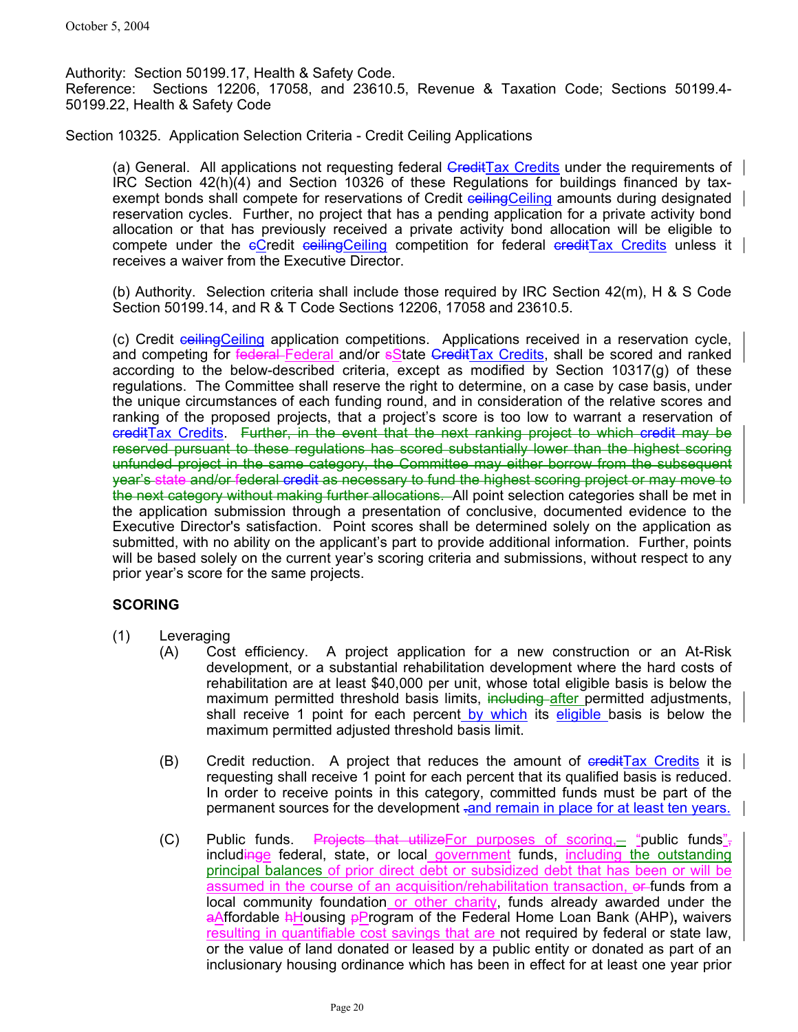Authority: Section 50199.17, Health & Safety Code. Reference: Sections 12206, 17058, and 23610.5, Revenue & Taxation Code; Sections 50199.4- 50199.22, Health & Safety Code

Section 10325. Application Selection Criteria - Credit Ceiling Applications

(a) General. All applications not requesting federal GreditTax Credits under the requirements of IRC Section 42(h)(4) and Section 10326 of these Regulations for buildings financed by taxexempt bonds shall compete for reservations of Credit cellingCeiling amounts during designated reservation cycles. Further, no project that has a pending application for a private activity bond allocation or that has previously received a private activity bond allocation will be eligible to compete under the  $eC$ redit ceilingCeiling competition for federal creditTax Credits unless it receives a waiver from the Executive Director.

(b) Authority. Selection criteria shall include those required by IRC Section 42(m), H & S Code Section 50199.14, and R & T Code Sections 12206, 17058 and 23610.5.

(c) Credit ceilingCeiling application competitions. Applications received in a reservation cycle, and competing for federal Federal and/or sState GreditTax Credits, shall be scored and ranked according to the below-described criteria, except as modified by Section 10317(g) of these regulations. The Committee shall reserve the right to determine, on a case by case basis, under the unique circumstances of each funding round, and in consideration of the relative scores and ranking of the proposed projects, that a project's score is too low to warrant a reservation of creditTax Credits. Further, in the event that the next ranking project to which credit may be reserved pursuant to these regulations has scored substantially lower than the highest scoring unfunded project in the same category, the Committee may either borrow from the subsequent year's state and/or federal credit as necessary to fund the highest scoring project or may move to the next category without making further allocations. All point selection categories shall be met in the application submission through a presentation of conclusive, documented evidence to the Executive Director's satisfaction. Point scores shall be determined solely on the application as submitted, with no ability on the applicant's part to provide additional information. Further, points will be based solely on the current year's scoring criteria and submissions, without respect to any prior year's score for the same projects.

# **SCORING**

- (1) Leveraging
	- (A) Cost efficiency. A project application for a new construction or an At-Risk development, or a substantial rehabilitation development where the hard costs of rehabilitation are at least \$40,000 per unit, whose total eligible basis is below the maximum permitted threshold basis limits, including after permitted adjustments, shall receive 1 point for each percent by which its eligible basis is below the maximum permitted adjusted threshold basis limit.
	- (B) Credit reduction. A project that reduces the amount of  $\frac{1}{\sqrt{1-\frac{1}{n}}}$  Credits it is requesting shall receive 1 point for each percent that its qualified basis is reduced. In order to receive points in this category, committed funds must be part of the permanent sources for the development - and remain in place for at least ten years.
	- (C) Public funds. Projects that utilizeFor purposes of scoring, "public funds", includinge federal, state, or local government funds, including the outstanding principal balances of prior direct debt or subsidized debt that has been or will be assumed in the course of an acquisition/rehabilitation transaction, er-funds from a local community foundation or other charity, funds already awarded under the aAffordable hHousing pProgram of the Federal Home Loan Bank (AHP)**,** waivers resulting in quantifiable cost savings that are not required by federal or state law, or the value of land donated or leased by a public entity or donated as part of an inclusionary housing ordinance which has been in effect for at least one year prior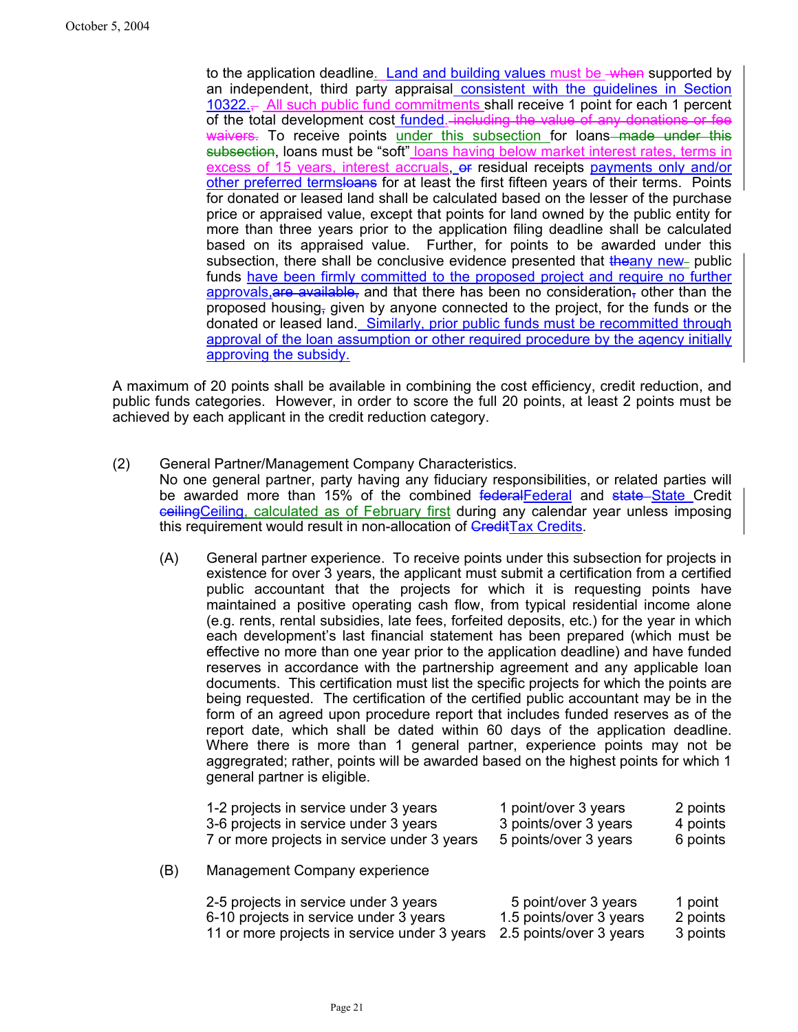to the application deadline. Land and building values must be when supported by an independent, third party appraisal consistent with the guidelines in Section  $10322<sub>1</sub>$  All such public fund commitments shall receive 1 point for each 1 percent of the total development cost funded. including the value of any donations or fee waivers. To receive points under this subsection for loans made under this subsection, loans must be "soft" loans having below market interest rates, terms in excess of 15 years, interest accruals, or residual receipts payments only and/or other preferred termsloans for at least the first fifteen years of their terms. Points for donated or leased land shall be calculated based on the lesser of the purchase price or appraised value, except that points for land owned by the public entity for more than three years prior to the application filing deadline shall be calculated based on its appraised value. Further, for points to be awarded under this subsection, there shall be conclusive evidence presented that  $\frac{1}{2}$  the public funds have been firmly committed to the proposed project and require no further approvals, are available, and that there has been no consideration, other than the proposed housing, given by anyone connected to the project, for the funds or the donated or leased land. Similarly, prior public funds must be recommitted through approval of the loan assumption or other required procedure by the agency initially approving the subsidy.

A maximum of 20 points shall be available in combining the cost efficiency, credit reduction, and public funds categories. However, in order to score the full 20 points, at least 2 points must be achieved by each applicant in the credit reduction category.

- (2) General Partner/Management Company Characteristics. No one general partner, party having any fiduciary responsibilities, or related parties will be awarded more than 15% of the combined federalFederal and state State Credit ceilingCeiling, calculated as of February first during any calendar year unless imposing this requirement would result in non-allocation of **CreditTax Credits**.
	- (A) General partner experience. To receive points under this subsection for projects in existence for over 3 years, the applicant must submit a certification from a certified public accountant that the projects for which it is requesting points have maintained a positive operating cash flow, from typical residential income alone (e.g. rents, rental subsidies, late fees, forfeited deposits, etc.) for the year in which each development's last financial statement has been prepared (which must be effective no more than one year prior to the application deadline) and have funded reserves in accordance with the partnership agreement and any applicable loan documents. This certification must list the specific projects for which the points are being requested. The certification of the certified public accountant may be in the form of an agreed upon procedure report that includes funded reserves as of the report date, which shall be dated within 60 days of the application deadline. Where there is more than 1 general partner, experience points may not be aggregrated; rather, points will be awarded based on the highest points for which 1 general partner is eligible.

|     | 1-2 projects in service under 3 years        | 1 point/over 3 years    | 2 points |
|-----|----------------------------------------------|-------------------------|----------|
|     | 3-6 projects in service under 3 years        | 3 points/over 3 years   | 4 points |
|     | 7 or more projects in service under 3 years  | 5 points/over 3 years   | 6 points |
| (B) | Management Company experience                |                         |          |
|     | 2-5 projects in service under 3 years        | 5 point/over 3 years    | 1 point  |
|     | 6-10 projects in service under 3 years       | 1.5 points/over 3 years | 2 points |
|     | 11 or more projects in service under 3 years | 2.5 points/over 3 years | 3 points |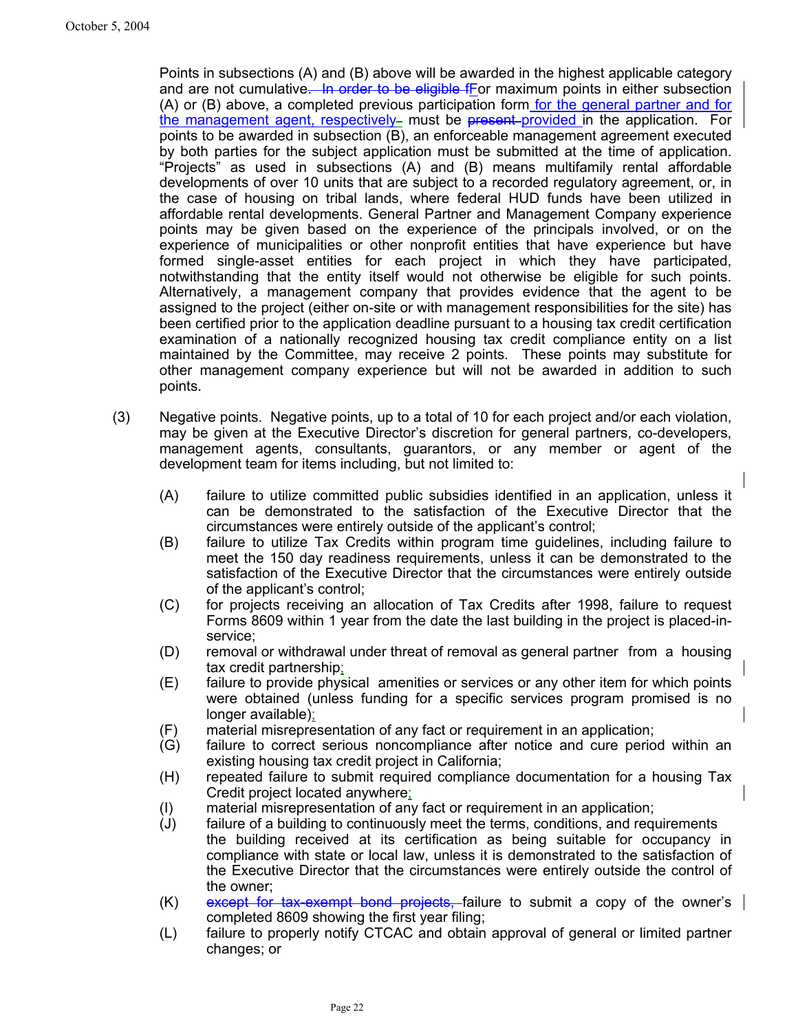Points in subsections (A) and (B) above will be awarded in the highest applicable category and are not cumulative. In order to be eligible for maximum points in either subsection (A) or (B) above, a completed previous participation form for the general partner and for the management agent, respectively– must be present-provided in the application. For points to be awarded in subsection (B), an enforceable management agreement executed by both parties for the subject application must be submitted at the time of application. "Projects" as used in subsections (A) and (B) means multifamily rental affordable developments of over 10 units that are subject to a recorded regulatory agreement, or, in the case of housing on tribal lands, where federal HUD funds have been utilized in affordable rental developments. General Partner and Management Company experience points may be given based on the experience of the principals involved, or on the experience of municipalities or other nonprofit entities that have experience but have formed single-asset entities for each project in which they have participated, notwithstanding that the entity itself would not otherwise be eligible for such points. Alternatively, a management company that provides evidence that the agent to be assigned to the project (either on-site or with management responsibilities for the site) has been certified prior to the application deadline pursuant to a housing tax credit certification examination of a nationally recognized housing tax credit compliance entity on a list maintained by the Committee, may receive 2 points. These points may substitute for other management company experience but will not be awarded in addition to such points.

- (3) Negative points. Negative points, up to a total of 10 for each project and/or each violation, may be given at the Executive Director's discretion for general partners, co-developers, management agents, consultants, guarantors, or any member or agent of the development team for items including, but not limited to:
	- (A) failure to utilize committed public subsidies identified in an application, unless it can be demonstrated to the satisfaction of the Executive Director that the circumstances were entirely outside of the applicant's control;
	- (B) failure to utilize Tax Credits within program time guidelines, including failure to meet the 150 day readiness requirements, unless it can be demonstrated to the satisfaction of the Executive Director that the circumstances were entirely outside of the applicant's control;
	- (C) for projects receiving an allocation of Tax Credits after 1998, failure to request Forms 8609 within 1 year from the date the last building in the project is placed-inservice;
	- (D) removal or withdrawal under threat of removal as general partner from a housing tax credit partnership;
	- (E) failure to provide physical amenities or services or any other item for which points were obtained (unless funding for a specific services program promised is no longer available);
	- (F) material misrepresentation of any fact or requirement in an application;
	- (G) failure to correct serious noncompliance after notice and cure period within an existing housing tax credit project in California;
	- (H) repeated failure to submit required compliance documentation for a housing Tax Credit project located anywhere;
	- (I) material misrepresentation of any fact or requirement in an application;
	- (J) failure of a building to continuously meet the terms, conditions, and requirements the building received at its certification as being suitable for occupancy in compliance with state or local law, unless it is demonstrated to the satisfaction of the Executive Director that the circumstances were entirely outside the control of the owner;
	- $(K)$  except for tax-exempt bond projects, failure to submit a copy of the owner's completed 8609 showing the first year filing;
	- (L) failure to properly notify CTCAC and obtain approval of general or limited partner changes; or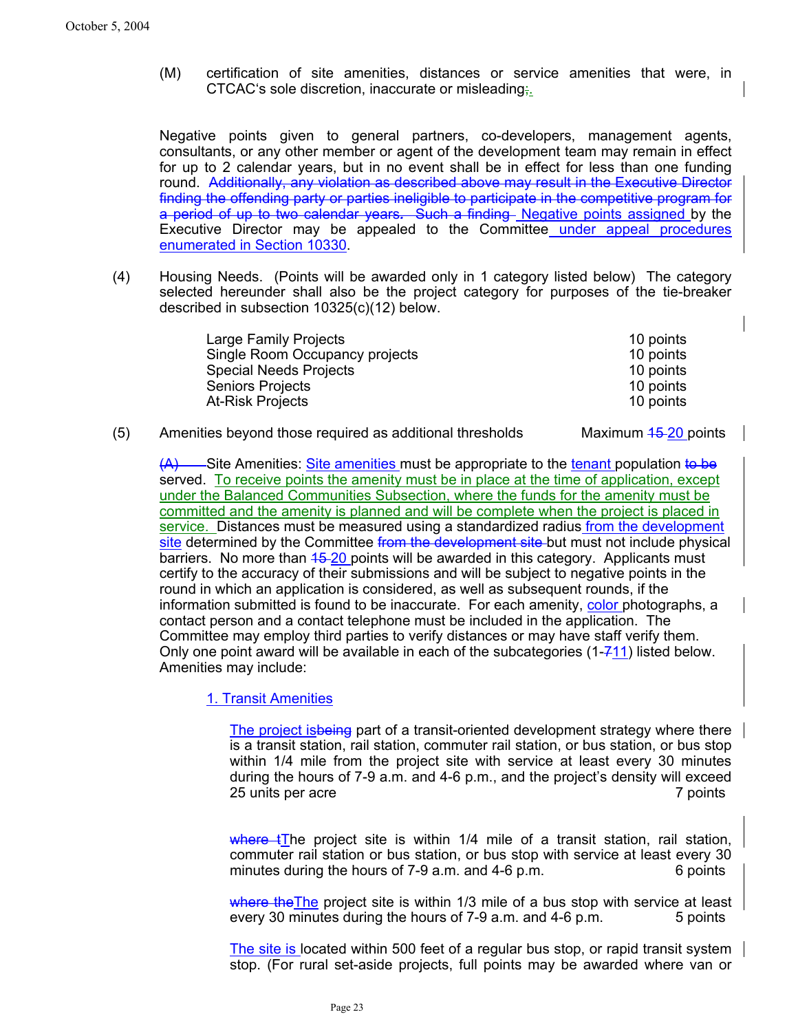(M) certification of site amenities, distances or service amenities that were, in CTCAC's sole discretion, inaccurate or misleading;.

Negative points given to general partners, co-developers, management agents, consultants, or any other member or agent of the development team may remain in effect for up to 2 calendar years, but in no event shall be in effect for less than one funding round. Additionally, any violation as described above may result in the Executive Director finding the offending party or parties ineligible to participate in the competitive program for a period of up to two calendar years*.* Such a finding Negative points assigned by the Executive Director may be appealed to the Committee under appeal procedures enumerated in Section 10330.

(4) Housing Needs. (Points will be awarded only in 1 category listed below) The category selected hereunder shall also be the project category for purposes of the tie-breaker described in subsection 10325(c)(12) below.

| <b>Large Family Projects</b>   | 10 points |
|--------------------------------|-----------|
| Single Room Occupancy projects | 10 points |
| <b>Special Needs Projects</b>  | 10 points |
| <b>Seniors Projects</b>        | 10 points |
| <b>At-Risk Projects</b>        | 10 points |

 $(5)$  Amenities beyond those required as additional thresholds Maximum  $45-20$  points

 $(A)$  Site Amenities: Site amenities must be appropriate to the tenant population to be served. To receive points the amenity must be in place at the time of application, except under the Balanced Communities Subsection, where the funds for the amenity must be committed and the amenity is planned and will be complete when the project is placed in service. Distances must be measured using a standardized radius from the development site determined by the Committee from the development site but must not include physical barriers. No more than 45-20 points will be awarded in this category. Applicants must certify to the accuracy of their submissions and will be subject to negative points in the round in which an application is considered, as well as subsequent rounds, if the information submitted is found to be inaccurate. For each amenity, color photographs, a contact person and a contact telephone must be included in the application. The Committee may employ third parties to verify distances or may have staff verify them. Only one point award will be available in each of the subcategories (1-711) listed below. Amenities may include:

# 1. Transit Amenities

The project isbeing part of a transit-oriented development strategy where there is a transit station, rail station, commuter rail station, or bus station, or bus stop within 1/4 mile from the project site with service at least every 30 minutes during the hours of 7-9 a.m. and 4-6 p.m., and the project's density will exceed 25 units per acre 7 points

where tThe project site is within  $1/4$  mile of a transit station, rail station, commuter rail station or bus station, or bus stop with service at least every 30 minutes during the hours of 7-9 a.m. and 4-6 p.m. 6 points

where the The project site is within 1/3 mile of a bus stop with service at least every 30 minutes during the hours of 7-9 a.m. and 4-6 p.m. 5 points

The site is located within 500 feet of a regular bus stop, or rapid transit system stop. (For rural set-aside projects, full points may be awarded where van or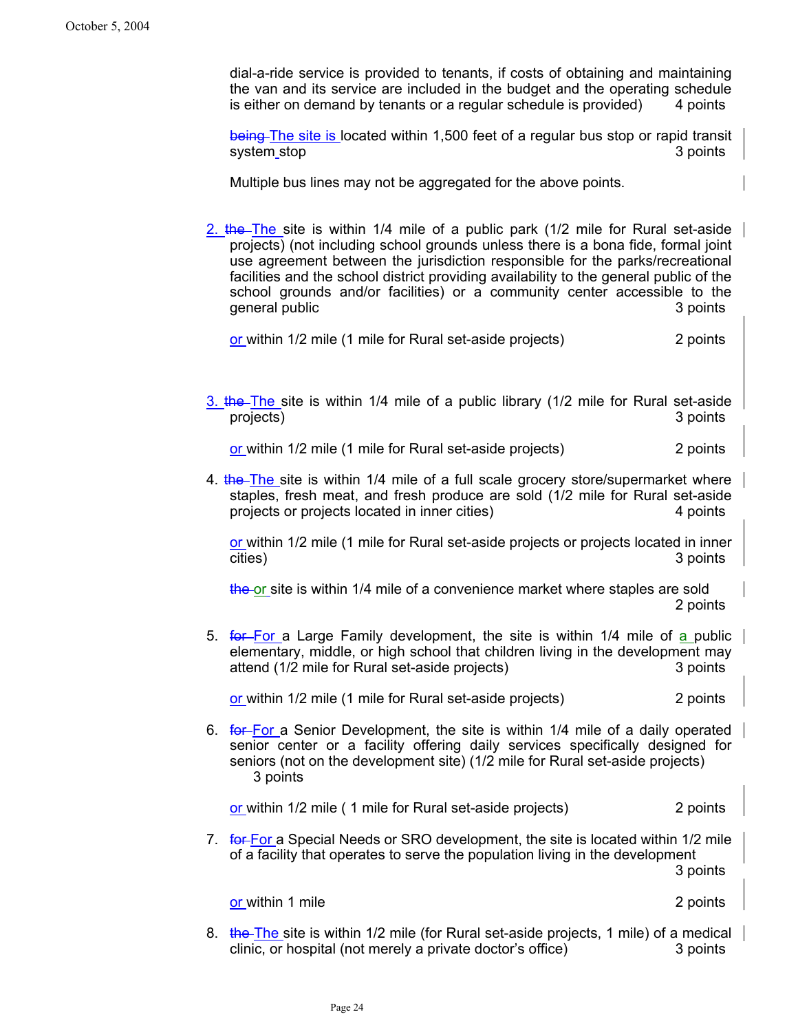dial-a-ride service is provided to tenants, if costs of obtaining and maintaining the van and its service are included in the budget and the operating schedule is either on demand by tenants or a regular schedule is provided) 4 points

being The site is located within 1,500 feet of a regular bus stop or rapid transit system stop 3 points 3 points and 3 points and 3 points are  $\sim$  3 points 3 points and 3 points are  $\sim$  3 points and 3 points are  $\sim$  3 points and 3 points are  $\sim$  3 points and 3 points are  $\sim$  3 points and 3 points ar

Multiple bus lines may not be aggregated for the above points.

2. the The site is within  $1/4$  mile of a public park  $(1/2)$  mile for Rural set-aside projects) (not including school grounds unless there is a bona fide, formal joint use agreement between the jurisdiction responsible for the parks/recreational facilities and the school district providing availability to the general public of the school grounds and/or facilities) or a community center accessible to the general public and  $\overline{3}$  points 3 points

or within 1/2 mile (1 mile for Rural set-aside projects) 2 points

 $3.$  the The site is within 1/4 mile of a public library (1/2 mile for Rural set-aside projects) 3 points

or within 1/2 mile (1 mile for Rural set-aside projects) 2 points

4. the The site is within 1/4 mile of a full scale grocery store/supermarket where staples, fresh meat, and fresh produce are sold (1/2 mile for Rural set-aside projects or projects located in inner cities) 4 points

or within 1/2 mile (1 mile for Rural set-aside projects or projects located in inner cities) 3 points

the or site is within 1/4 mile of a convenience market where staples are sold 2 points

5. for For a Large Family development, the site is within 1/4 mile of a public elementary, middle, or high school that children living in the development may attend (1/2 mile for Rural set-aside projects) 3 points

or within 1/2 mile (1 mile for Rural set-aside projects) 2 points

6. **for For a Senior Development**, the site is within 1/4 mile of a daily operated senior center or a facility offering daily services specifically designed for seniors (not on the development site) (1/2 mile for Rural set-aside projects) 3 points

or within 1/2 mile ( 1 mile for Rural set-aside projects) 2 points

7. for For a Special Needs or SRO development, the site is located within 1/2 mile of a facility that operates to serve the population living in the development 3 points

or within 1 mile 2 points and 2 points of the 2 points of the 2 points of the 2 points of the 2 points of the 2 points of the 2 points of the 2 points of the 2 points of the 2 points of the 2 points of the 2 points of the

8. the The site is within 1/2 mile (for Rural set-aside projects, 1 mile) of a medical clinic, or hospital (not merely a private doctor's office) 3 points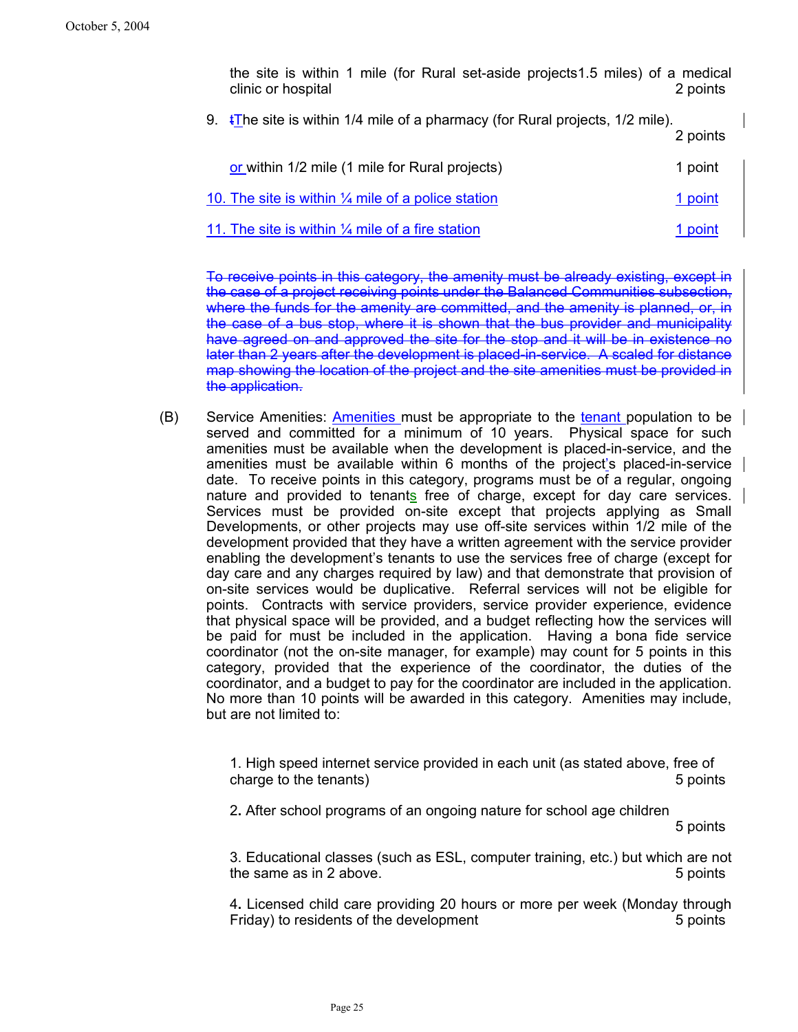the site is within 1 mile (for Rural set-aside projects1.5 miles) of a medical clinic or hospital 2 points

9.  $\overline{\text{t}}$  The site is within 1/4 mile of a pharmacy (for Rural projects, 1/2 mile).

2 points

| or within 1/2 mile (1 mile for Rural projects)                | 1 point |
|---------------------------------------------------------------|---------|
| 10. The site is within $\frac{1}{4}$ mile of a police station | 1 point |
| 11. The site is within $\frac{1}{4}$ mile of a fire station   | 1 point |

To receive points in this category, the amenity must be already existing, except in the case of a project receiving points under the Balanced Communities subsection, where the funds for the amenity are committed, and the amenity is planned, or, in the case of a bus stop, where it is shown that the bus provider and municipality have agreed on and approved the site for the stop and it will be in existence no later than 2 years after the development is placed-in-service. A scaled for distance map showing the location of the project and the site amenities must be provided in the application.

(B) Service Amenities: Amenities must be appropriate to the tenant population to be served and committed for a minimum of 10 years. Physical space for such amenities must be available when the development is placed-in-service, and the amenities must be available within 6 months of the project's placed-in-service date. To receive points in this category, programs must be of a regular, ongoing nature and provided to tenants free of charge, except for day care services. Services must be provided on-site except that projects applying as Small Developments, or other projects may use off-site services within 1/2 mile of the development provided that they have a written agreement with the service provider enabling the development's tenants to use the services free of charge (except for day care and any charges required by law) and that demonstrate that provision of on-site services would be duplicative. Referral services will not be eligible for points. Contracts with service providers, service provider experience, evidence that physical space will be provided, and a budget reflecting how the services will be paid for must be included in the application. Having a bona fide service coordinator (not the on-site manager, for example) may count for 5 points in this category, provided that the experience of the coordinator, the duties of the coordinator, and a budget to pay for the coordinator are included in the application. No more than 10 points will be awarded in this category. Amenities may include, but are not limited to:

> 1. High speed internet service provided in each unit (as stated above, free of charge to the tenants) and the set of the set of the set of the set of the set of the set of the set of the set of the set of the set of the set of the set of the set of the set of the set of the set of the set of the set

2**.** After school programs of an ongoing nature for school age children

5 points

3. Educational classes (such as ESL, computer training, etc.) but which are not the same as in 2 above. The same as in 2 above.

4**.** Licensed child care providing 20 hours or more per week (Monday through Friday) to residents of the development 5 points 5 points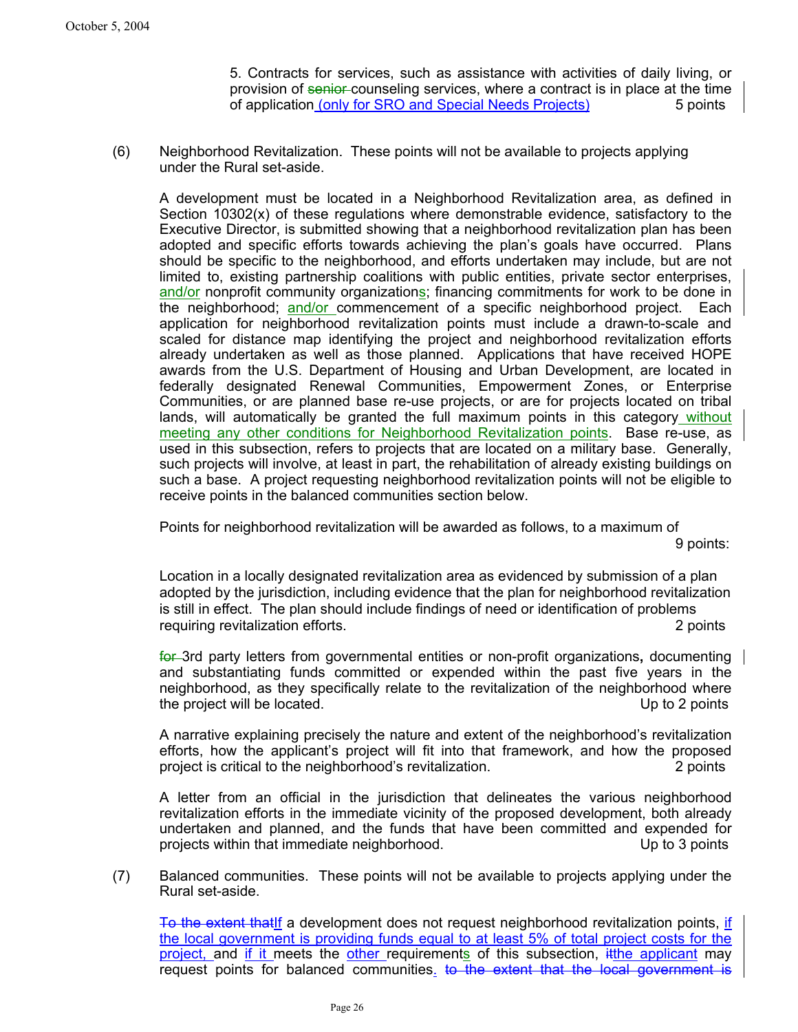5. Contracts for services, such as assistance with activities of daily living, or provision of senior counseling services, where a contract is in place at the time of application (only for SRO and Special Needs Projects) 5 points

(6) Neighborhood Revitalization. These points will not be available to projects applying under the Rural set-aside.

A development must be located in a Neighborhood Revitalization area, as defined in Section 10302(x) of these regulations where demonstrable evidence, satisfactory to the Executive Director, is submitted showing that a neighborhood revitalization plan has been adopted and specific efforts towards achieving the plan's goals have occurred. Plans should be specific to the neighborhood, and efforts undertaken may include, but are not limited to, existing partnership coalitions with public entities, private sector enterprises, and/or nonprofit community organizations; financing commitments for work to be done in the neighborhood; and/or commencement of a specific neighborhood project. Each application for neighborhood revitalization points must include a drawn-to-scale and scaled for distance map identifying the project and neighborhood revitalization efforts already undertaken as well as those planned. Applications that have received HOPE awards from the U.S. Department of Housing and Urban Development, are located in federally designated Renewal Communities, Empowerment Zones, or Enterprise Communities, or are planned base re-use projects, or are for projects located on tribal lands, will automatically be granted the full maximum points in this category without meeting any other conditions for Neighborhood Revitalization points. Base re-use, as used in this subsection, refers to projects that are located on a military base. Generally, such projects will involve, at least in part, the rehabilitation of already existing buildings on such a base. A project requesting neighborhood revitalization points will not be eligible to receive points in the balanced communities section below.

Points for neighborhood revitalization will be awarded as follows, to a maximum of

9 points:

Location in a locally designated revitalization area as evidenced by submission of a plan adopted by the jurisdiction, including evidence that the plan for neighborhood revitalization is still in effect. The plan should include findings of need or identification of problems requiring revitalization efforts. 2 points

for 3rd party letters from governmental entities or non-profit organizations**,** documenting and substantiating funds committed or expended within the past five years in the neighborhood, as they specifically relate to the revitalization of the neighborhood where the project will be located. Up to 2 points

A narrative explaining precisely the nature and extent of the neighborhood's revitalization efforts, how the applicant's project will fit into that framework, and how the proposed project is critical to the neighborhood's revitalization. 2 points

A letter from an official in the jurisdiction that delineates the various neighborhood revitalization efforts in the immediate vicinity of the proposed development, both already undertaken and planned, and the funds that have been committed and expended for projects within that immediate neighborhood. The up to 3 points up to 3 points

(7) Balanced communities. These points will not be available to projects applying under the Rural set-aside.

To the extent that if a development does not request neighborhood revitalization points, if the local government is providing funds equal to at least 5% of total project costs for the project, and if it meets the other requirements of this subsection, itthe applicant may request points for balanced communities. to the extent that the local government is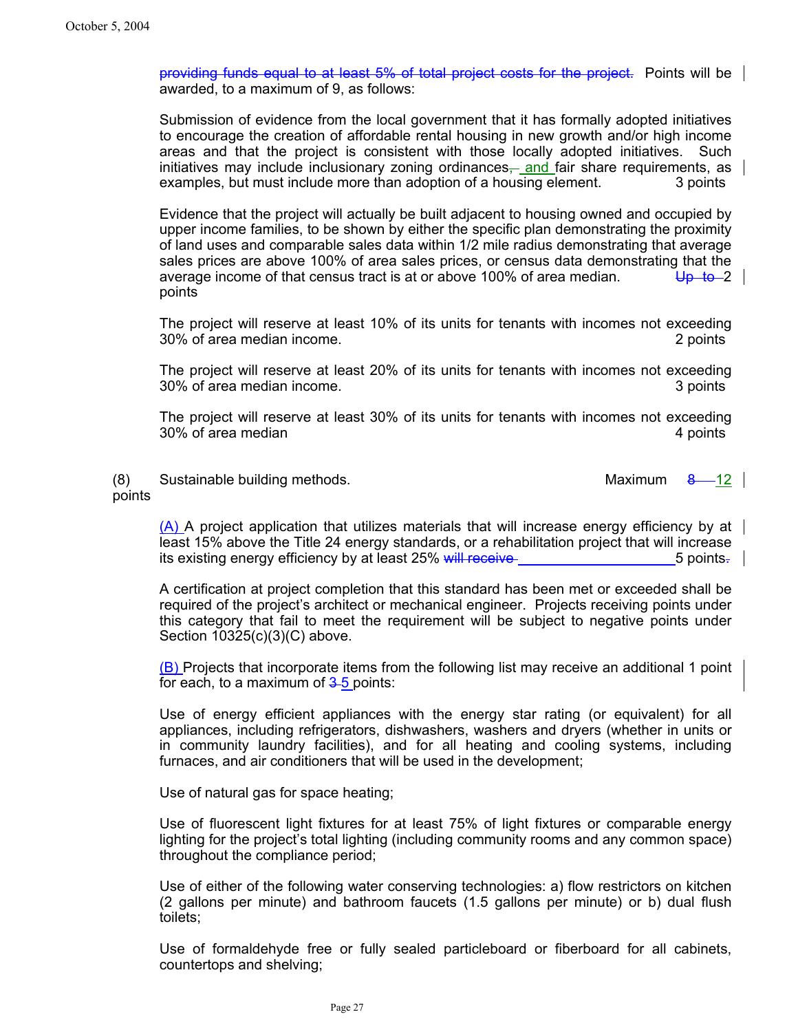providing funds equal to at least 5% of total project costs for the project. Points will be awarded, to a maximum of 9, as follows:

Submission of evidence from the local government that it has formally adopted initiatives to encourage the creation of affordable rental housing in new growth and/or high income areas and that the project is consistent with those locally adopted initiatives. Such initiatives may include inclusionary zoning ordinances $\frac{1}{2}$  and fair share requirements, as examples, but must include more than adoption of a housing element. 3 points

Evidence that the project will actually be built adjacent to housing owned and occupied by upper income families, to be shown by either the specific plan demonstrating the proximity of land uses and comparable sales data within 1/2 mile radius demonstrating that average sales prices are above 100% of area sales prices, or census data demonstrating that the average income of that census tract is at or above 100% of area median.  $\bigcup_{p \to \infty}$ points

The project will reserve at least 10% of its units for tenants with incomes not exceeding 30% of area median income. 2 points

The project will reserve at least 20% of its units for tenants with incomes not exceeding 30% of area median income. 3 points

The project will reserve at least 30% of its units for tenants with incomes not exceeding 30% of area median **4** points

(8) Sustainable building methods. Maximum 8  $-12$ points

 $(A)$  A project application that utilizes materials that will increase energy efficiency by at least 15% above the Title 24 energy standards, or a rehabilitation project that will increase its existing energy efficiency by at least 25% will receive 5 points.  $\Box$  5 points.  $\Box$ 

A certification at project completion that this standard has been met or exceeded shall be required of the project's architect or mechanical engineer. Projects receiving points under this category that fail to meet the requirement will be subject to negative points under Section 10325(c)(3)(C) above.

(B) Projects that incorporate items from the following list may receive an additional 1 point for each, to a maximum of  $3-5$  points:

Use of energy efficient appliances with the energy star rating (or equivalent) for all appliances, including refrigerators, dishwashers, washers and dryers (whether in units or in community laundry facilities), and for all heating and cooling systems, including furnaces, and air conditioners that will be used in the development;

Use of natural gas for space heating;

Use of fluorescent light fixtures for at least 75% of light fixtures or comparable energy lighting for the project's total lighting (including community rooms and any common space) throughout the compliance period;

Use of either of the following water conserving technologies: a) flow restrictors on kitchen (2 gallons per minute) and bathroom faucets (1.5 gallons per minute) or b) dual flush toilets;

Use of formaldehyde free or fully sealed particleboard or fiberboard for all cabinets, countertops and shelving;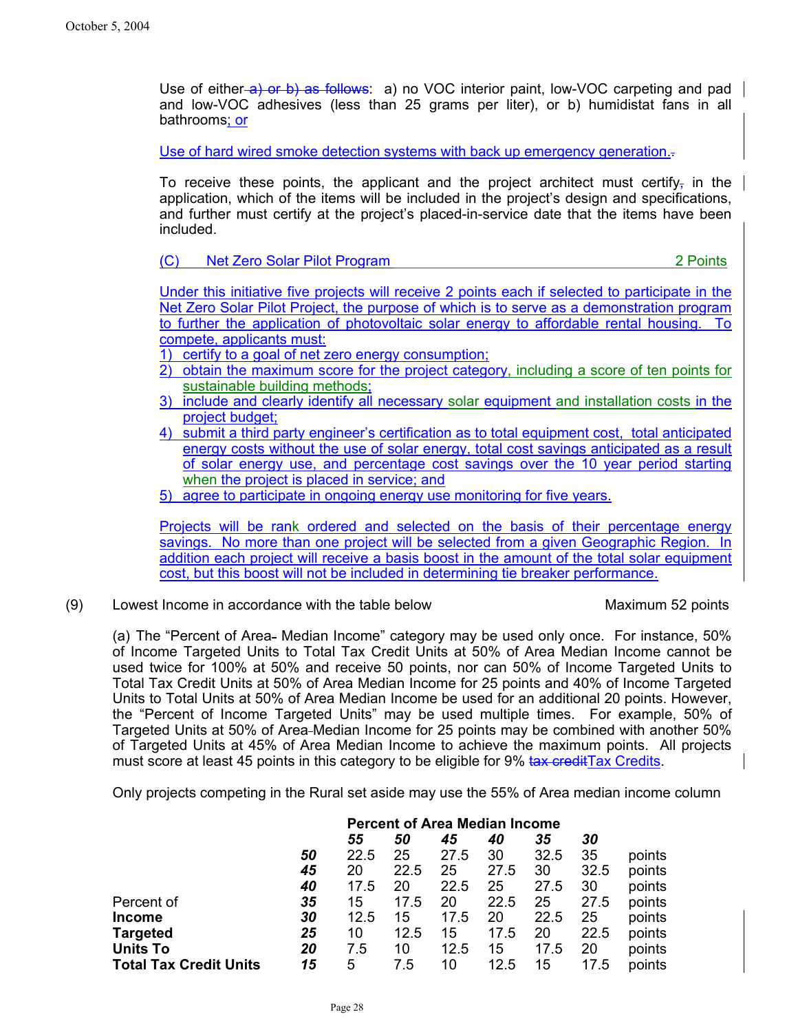Use of either-a) or b) as follows: a) no VOC interior paint, low-VOC carpeting and pad and low-VOC adhesives (less than 25 grams per liter), or b) humidistat fans in all bathrooms; or

Use of hard wired smoke detection systems with back up emergency generation.

To receive these points, the applicant and the project architect must certify, in the application, which of the items will be included in the project's design and specifications, and further must certify at the project's placed-in-service date that the items have been included.

(C) Net Zero Solar Pilot Program 2 Points

Under this initiative five projects will receive 2 points each if selected to participate in the Net Zero Solar Pilot Project, the purpose of which is to serve as a demonstration program to further the application of photovoltaic solar energy to affordable rental housing. To compete, applicants must:

1) certify to a goal of net zero energy consumption;

- 2) obtain the maximum score for the project category, including a score of ten points for sustainable building methods;
- 3) include and clearly identify all necessary solar equipment and installation costs in the project budget;
- 4) submit a third party engineer's certification as to total equipment cost, total anticipated energy costs without the use of solar energy, total cost savings anticipated as a result of solar energy use, and percentage cost savings over the 10 year period starting when the project is placed in service; and
- 5) agree to participate in ongoing energy use monitoring for five years.

Projects will be rank ordered and selected on the basis of their percentage energy savings. No more than one project will be selected from a given Geographic Region. In addition each project will receive a basis boost in the amount of the total solar equipment cost, but this boost will not be included in determining tie breaker performance.

(9) Lowest Income in accordance with the table below Maximum 52 points

(a) The "Percent of Area- Median Income" category may be used only once. For instance, 50% of Income Targeted Units to Total Tax Credit Units at 50% of Area Median Income cannot be used twice for 100% at 50% and receive 50 points, nor can 50% of Income Targeted Units to Total Tax Credit Units at 50% of Area Median Income for 25 points and 40% of Income Targeted Units to Total Units at 50% of Area Median Income be used for an additional 20 points. However, the "Percent of Income Targeted Units" may be used multiple times. For example, 50% of Targeted Units at 50% of Area Median Income for 25 points may be combined with another 50% of Targeted Units at 45% of Area Median Income to achieve the maximum points. All projects must score at least 45 points in this category to be eligible for 9% tax credit Tax Credits.

Only projects competing in the Rural set aside may use the 55% of Area median income column

|                               |    | <b>Percent of Area Median Income</b> |      |      |      |      |      |        |
|-------------------------------|----|--------------------------------------|------|------|------|------|------|--------|
|                               |    | 55                                   | 50   | 45   | 40   | 35   | 30   |        |
|                               | 50 | 22.5                                 | 25   | 27.5 | 30   | 32.5 | 35   | points |
|                               | 45 | 20                                   | 22.5 | 25   | 27.5 | 30   | 32.5 | points |
|                               | 40 | 17.5                                 | 20   | 22.5 | 25   | 27.5 | 30   | points |
| Percent of                    | 35 | 15                                   | 17.5 | 20   | 22.5 | 25   | 27.5 | points |
| <b>Income</b>                 | 30 | 12.5                                 | 15   | 17.5 | 20   | 22.5 | 25   | points |
| <b>Targeted</b>               | 25 | 10                                   | 12.5 | 15   | 17.5 | 20   | 22.5 | points |
| <b>Units To</b>               | 20 | 7.5                                  | 10   | 12.5 | 15   | 17.5 | 20   | points |
| <b>Total Tax Credit Units</b> | 15 | 5                                    | 7.5  | 10   | 12.5 | 15   | 17.5 | points |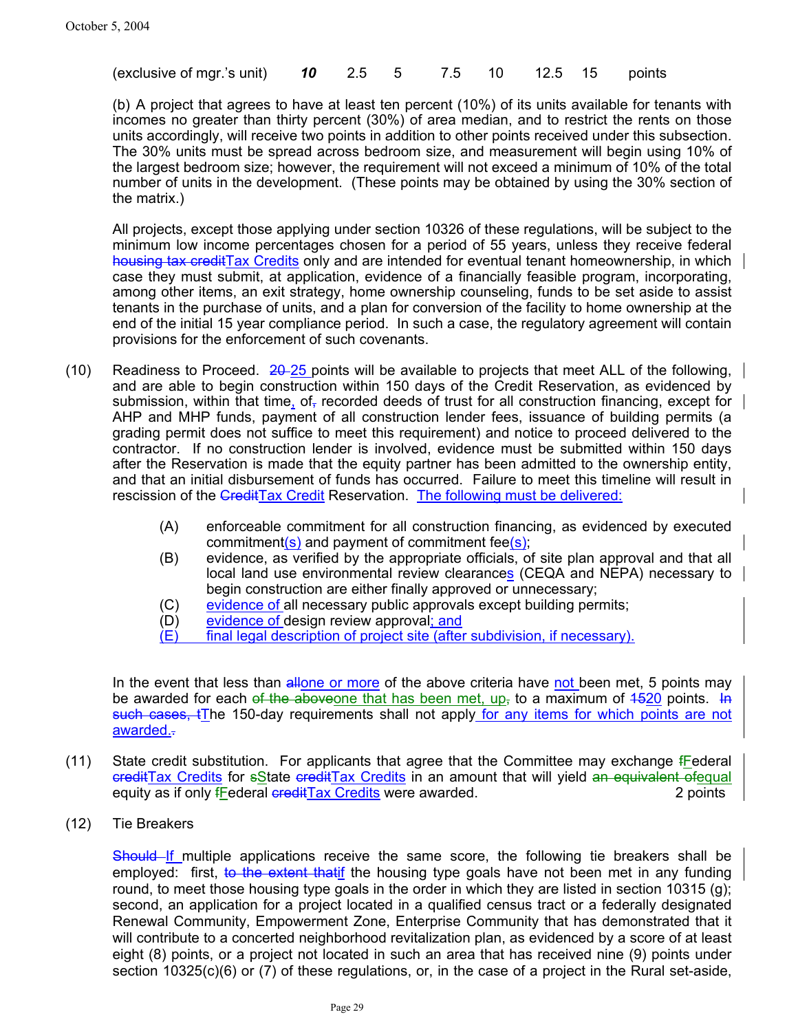|  | (exclusive of mgr.'s unit) <b>10</b> 2.5 5 7.5 10 12.5 15 points |  |  |  |  |  |  |  |  |
|--|------------------------------------------------------------------|--|--|--|--|--|--|--|--|
|--|------------------------------------------------------------------|--|--|--|--|--|--|--|--|

(b) A project that agrees to have at least ten percent (10%) of its units available for tenants with incomes no greater than thirty percent (30%) of area median, and to restrict the rents on those units accordingly, will receive two points in addition to other points received under this subsection. The 30% units must be spread across bedroom size, and measurement will begin using 10% of the largest bedroom size; however, the requirement will not exceed a minimum of 10% of the total number of units in the development. (These points may be obtained by using the 30% section of the matrix.)

All projects, except those applying under section 10326 of these regulations, will be subject to the minimum low income percentages chosen for a period of 55 years, unless they receive federal housing tax creditTax Credits only and are intended for eventual tenant homeownership, in which case they must submit, at application, evidence of a financially feasible program, incorporating, among other items, an exit strategy, home ownership counseling, funds to be set aside to assist tenants in the purchase of units, and a plan for conversion of the facility to home ownership at the end of the initial 15 year compliance period. In such a case, the regulatory agreement will contain provisions for the enforcement of such covenants.

- (10) Readiness to Proceed.  $20-25$  points will be available to projects that meet ALL of the following, and are able to begin construction within 150 days of the Credit Reservation, as evidenced by submission, within that time, of recorded deeds of trust for all construction financing, except for AHP and MHP funds, payment of all construction lender fees, issuance of building permits (a grading permit does not suffice to meet this requirement) and notice to proceed delivered to the contractor. If no construction lender is involved, evidence must be submitted within 150 days after the Reservation is made that the equity partner has been admitted to the ownership entity, and that an initial disbursement of funds has occurred. Failure to meet this timeline will result in rescission of the CreditTax Credit Reservation. The following must be delivered:
	- (A) enforceable commitment for all construction financing, as evidenced by executed commitment( $s$ ) and payment of commitment fee $(s)$ ;
	- (B) evidence, as verified by the appropriate officials, of site plan approval and that all local land use environmental review clearances (CEQA and NEPA) necessary to begin construction are either finally approved or unnecessary;
	- (C) evidence of all necessary public approvals except building permits;
	- (D) evidence of design review approval; and
	- (E) final legal description of project site (after subdivision, if necessary).

In the event that less than allone or more of the above criteria have not been met, 5 points may be awarded for each of the aboveone that has been met, up, to a maximum of  $4520$  points. In such cases, tThe 150-day requirements shall not apply for any items for which points are not awarded.-

- (11) State credit substitution. For applicants that agree that the Committee may exchange fFederal ereditTax Credits for sState creditTax Credits in an amount that will yield an equivalent ofequal equity as if only *f*Federal creditTax Credits were awarded. 2 points 2 points
- (12) Tie Breakers

Should If multiple applications receive the same score, the following tie breakers shall be employed: first, to the extent that if the housing type goals have not been met in any funding round, to meet those housing type goals in the order in which they are listed in section 10315 (g); second, an application for a project located in a qualified census tract or a federally designated Renewal Community, Empowerment Zone, Enterprise Community that has demonstrated that it will contribute to a concerted neighborhood revitalization plan, as evidenced by a score of at least eight (8) points, or a project not located in such an area that has received nine (9) points under section 10325(c)(6) or (7) of these regulations, or, in the case of a project in the Rural set-aside,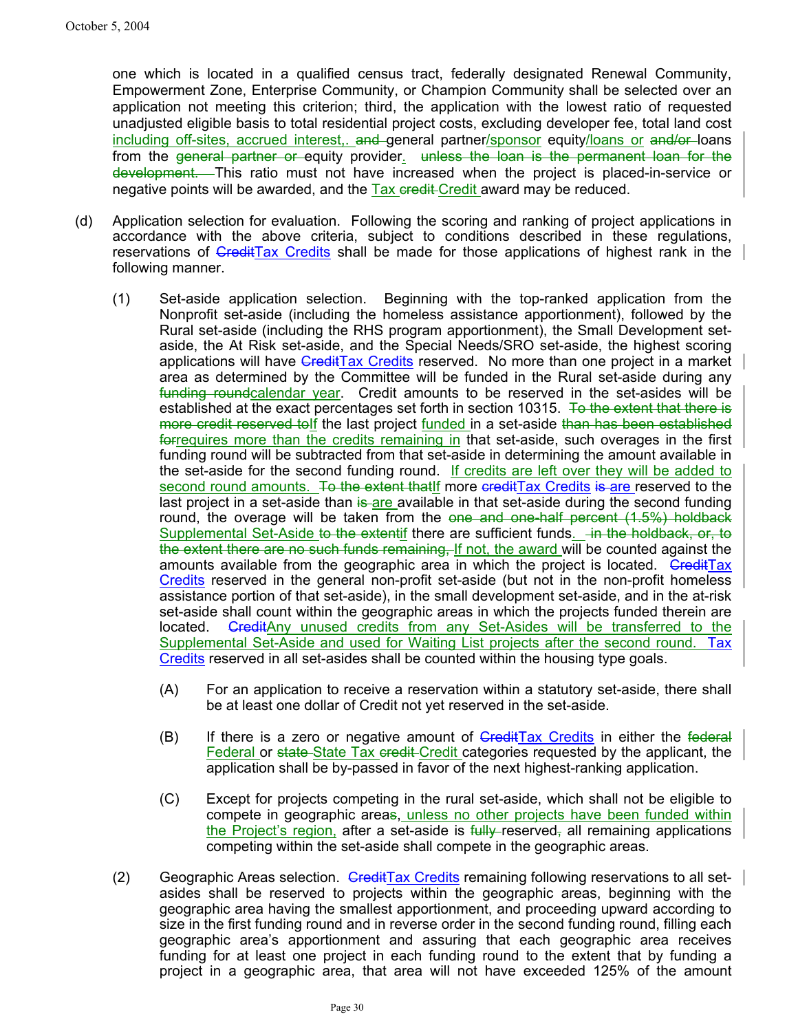one which is located in a qualified census tract, federally designated Renewal Community, Empowerment Zone, Enterprise Community, or Champion Community shall be selected over an application not meeting this criterion; third, the application with the lowest ratio of requested unadjusted eligible basis to total residential project costs, excluding developer fee, total land cost including off-sites, accrued interest, and general partner/sponsor equity/loans or and/or loans from the general partner or equity provider. unless the loan is the permanent loan for the development. This ratio must not have increased when the project is placed-in-service or negative points will be awarded, and the  $\overline{T}$  ax eredit award may be reduced.

- (d) Application selection for evaluation. Following the scoring and ranking of project applications in accordance with the above criteria, subject to conditions described in these regulations, reservations of GreditTax Credits shall be made for those applications of highest rank in the following manner.
	- (1) Set-aside application selection. Beginning with the top-ranked application from the Nonprofit set-aside (including the homeless assistance apportionment), followed by the Rural set-aside (including the RHS program apportionment), the Small Development setaside, the At Risk set-aside, and the Special Needs/SRO set-aside, the highest scoring applications will have CreditTax Credits reserved. No more than one project in a market area as determined by the Committee will be funded in the Rural set-aside during any funding roundcalendar year. Credit amounts to be reserved in the set-asides will be established at the exact percentages set forth in section 10315. To the extent that there is more credit reserved tolf the last project funded in a set-aside than has been established forrequires more than the credits remaining in that set-aside, such overages in the first funding round will be subtracted from that set-aside in determining the amount available in the set-aside for the second funding round. If credits are left over they will be added to second round amounts. To the extent that if more credit Tax Credits is are reserved to the last project in a set-aside than is are available in that set-aside during the second funding round, the overage will be taken from the one and one-half percent (1.5%) holdback Supplemental Set-Aside to the extentif there are sufficient funds. In the holdback, or, to the extent there are no such funds remaining, If not, the award will be counted against the amounts available from the geographic area in which the project is located.  $G_{\text{redit}}$ Tax Credits reserved in the general non-profit set-aside (but not in the non-profit homeless assistance portion of that set-aside), in the small development set-aside, and in the at-risk set-aside shall count within the geographic areas in which the projects funded therein are located. GreditAny unused credits from any Set-Asides will be transferred to the Supplemental Set-Aside and used for Waiting List projects after the second round. Tax Credits reserved in all set-asides shall be counted within the housing type goals.
		- (A) For an application to receive a reservation within a statutory set-aside, there shall be at least one dollar of Credit not yet reserved in the set-aside.
		- $(B)$  If there is a zero or negative amount of  $G$ redit $Tax$  Credits in either the federal Federal or state State Tax credit Credit categories requested by the applicant, the application shall be by-passed in favor of the next highest-ranking application.
		- (C) Except for projects competing in the rural set-aside, which shall not be eligible to compete in geographic areas, unless no other projects have been funded within the Project's region, after a set-aside is  $f_{\text{tully-reserved}$ , all remaining applications competing within the set-aside shall compete in the geographic areas.
	- (2) Geographic Areas selection. Gredit Tax Credits remaining following reservations to all setasides shall be reserved to projects within the geographic areas, beginning with the geographic area having the smallest apportionment, and proceeding upward according to size in the first funding round and in reverse order in the second funding round, filling each geographic area's apportionment and assuring that each geographic area receives funding for at least one project in each funding round to the extent that by funding a project in a geographic area, that area will not have exceeded 125% of the amount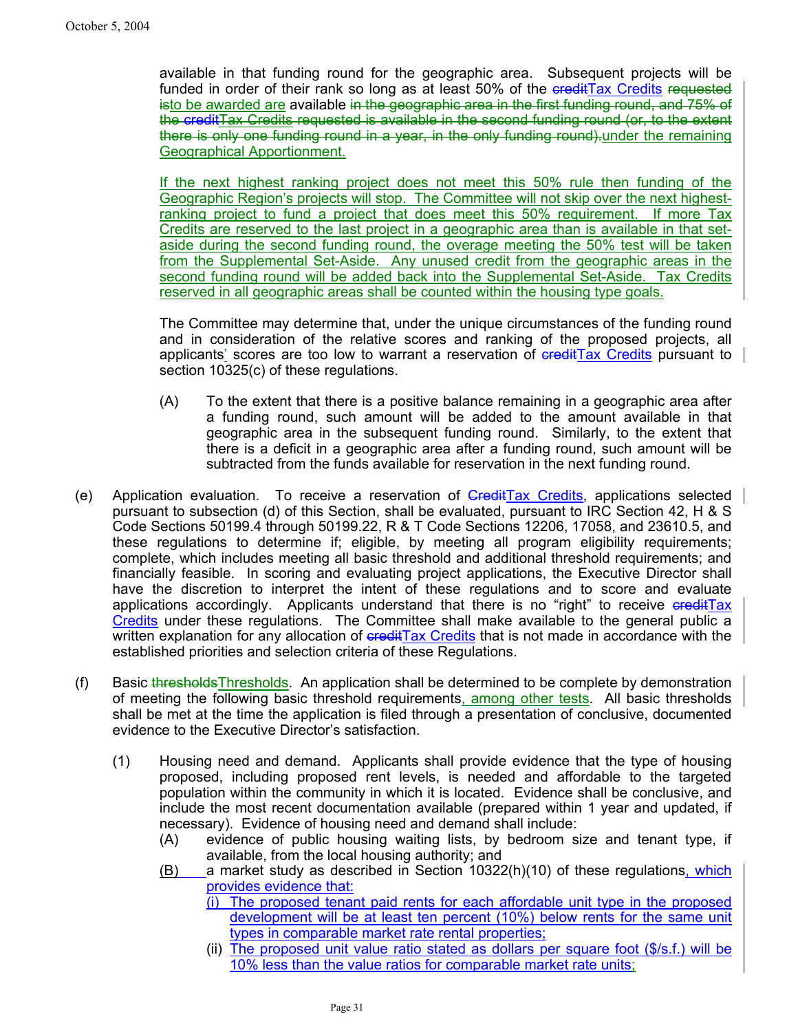available in that funding round for the geographic area. Subsequent projects will be funded in order of their rank so long as at least 50% of the creditTax Credits requested isto be awarded are available in the geographic area in the first funding round, and 75% of the creditTax Credits requested is available in the second funding round (or, to the extent there is only one funding round in a year, in the only funding round)-under the remaining Geographical Apportionment.

If the next highest ranking project does not meet this 50% rule then funding of the Geographic Region's projects will stop. The Committee will not skip over the next highestranking project to fund a project that does meet this 50% requirement. If more Tax Credits are reserved to the last project in a geographic area than is available in that setaside during the second funding round, the overage meeting the 50% test will be taken from the Supplemental Set-Aside. Any unused credit from the geographic areas in the second funding round will be added back into the Supplemental Set-Aside. Tax Credits reserved in all geographic areas shall be counted within the housing type goals.

The Committee may determine that, under the unique circumstances of the funding round and in consideration of the relative scores and ranking of the proposed projects, all applicants' scores are too low to warrant a reservation of creditTax Credits pursuant to section 10325(c) of these regulations.

- (A) To the extent that there is a positive balance remaining in a geographic area after a funding round, such amount will be added to the amount available in that geographic area in the subsequent funding round. Similarly, to the extent that there is a deficit in a geographic area after a funding round, such amount will be subtracted from the funds available for reservation in the next funding round.
- (e) Application evaluation. To receive a reservation of GreditTax Credits, applications selected pursuant to subsection (d) of this Section, shall be evaluated, pursuant to IRC Section 42, H & S Code Sections 50199.4 through 50199.22, R & T Code Sections 12206, 17058, and 23610.5, and these regulations to determine if; eligible, by meeting all program eligibility requirements; complete, which includes meeting all basic threshold and additional threshold requirements; and financially feasible. In scoring and evaluating project applications, the Executive Director shall have the discretion to interpret the intent of these regulations and to score and evaluate applications accordingly. Applicants understand that there is no "right" to receive creditTax Credits under these regulations. The Committee shall make available to the general public a written explanation for any allocation of credit Tax Credits that is not made in accordance with the established priorities and selection criteria of these Regulations.
- (f) Basic thresholdsThresholds. An application shall be determined to be complete by demonstration of meeting the following basic threshold requirements, among other tests. All basic thresholds shall be met at the time the application is filed through a presentation of conclusive, documented evidence to the Executive Director's satisfaction.
	- (1) Housing need and demand. Applicants shall provide evidence that the type of housing proposed, including proposed rent levels, is needed and affordable to the targeted population within the community in which it is located. Evidence shall be conclusive, and include the most recent documentation available (prepared within 1 year and updated, if necessary). Evidence of housing need and demand shall include:
		- (A) evidence of public housing waiting lists, by bedroom size and tenant type, if available, from the local housing authority; and
		- (B) a market study as described in Section 10322(h)(10) of these regulations, which provides evidence that:
			- (i) The proposed tenant paid rents for each affordable unit type in the proposed development will be at least ten percent (10%) below rents for the same unit types in comparable market rate rental properties;
			- (ii) The proposed unit value ratio stated as dollars per square foot (\$/s.f.) will be 10% less than the value ratios for comparable market rate units;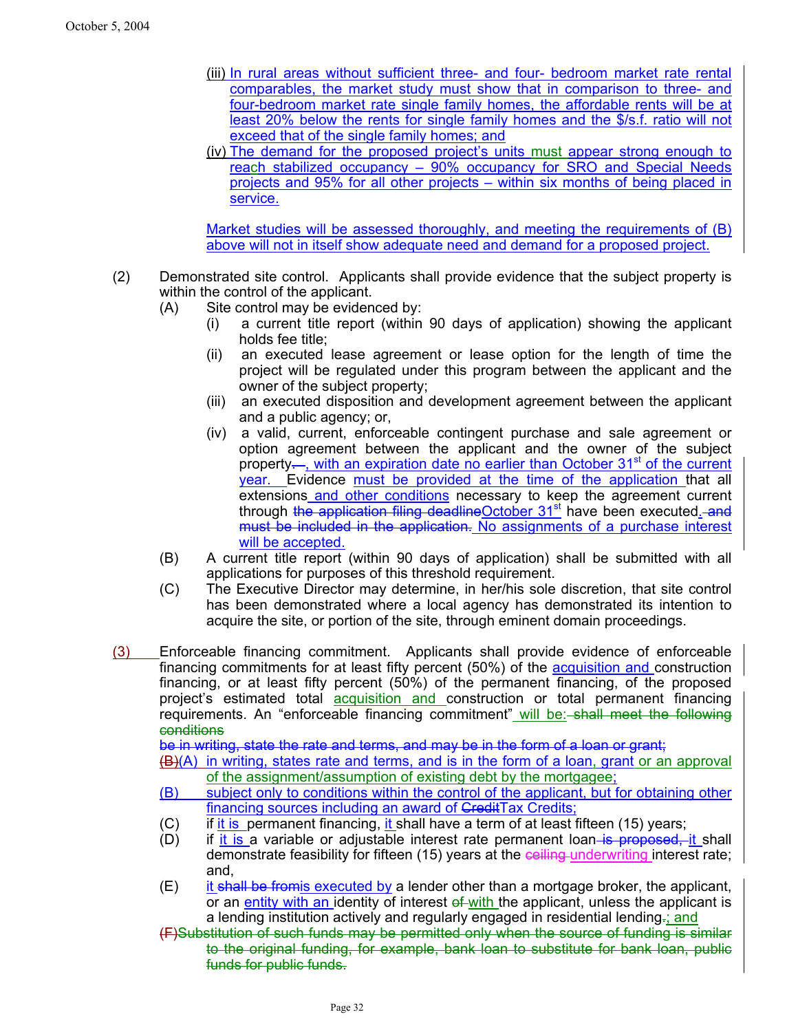- (iii) In rural areas without sufficient three- and four- bedroom market rate rental comparables, the market study must show that in comparison to three- and four-bedroom market rate single family homes, the affordable rents will be at least 20% below the rents for single family homes and the \$/s.f. ratio will not exceed that of the single family homes; and
- (iv) The demand for the proposed project's units must appear strong enough to reach stabilized occupancy – 90% occupancy for SRO and Special Needs projects and 95% for all other projects – within six months of being placed in service.

Market studies will be assessed thoroughly, and meeting the requirements of (B) above will not in itself show adequate need and demand for a proposed project.

- (2) Demonstrated site control. Applicants shall provide evidence that the subject property is within the control of the applicant.
	- (A) Site control may be evidenced by:
		- (i) a current title report (within 90 days of application) showing the applicant holds fee title;
		- (ii) an executed lease agreement or lease option for the length of time the project will be regulated under this program between the applicant and the owner of the subject property;
		- (iii) an executed disposition and development agreement between the applicant and a public agency; or,
		- (iv) a valid, current, enforceable contingent purchase and sale agreement or option agreement between the applicant and the owner of the subject property—, with an expiration date no earlier than October  $31<sup>st</sup>$  of the current year. Evidence must be provided at the time of the application that all extensions and other conditions necessary to keep the agreement current through the application filing deadlineOctober 31<sup>st</sup> have been executed. and must be included in the application. No assignments of a purchase interest will be accepted.
	- (B) A current title report (within 90 days of application) shall be submitted with all applications for purposes of this threshold requirement.
	- (C) The Executive Director may determine, in her/his sole discretion, that site control has been demonstrated where a local agency has demonstrated its intention to acquire the site, or portion of the site, through eminent domain proceedings.

(3) Enforceable financing commitment. Applicants shall provide evidence of enforceable financing commitments for at least fifty percent (50%) of the acquisition and construction financing, or at least fifty percent (50%) of the permanent financing, of the proposed project's estimated total acquisition and construction or total permanent financing requirements. An "enforceable financing commitment" will be: shall meet the following conditions

be in writing, state the rate and terms, and may be in the form of a loan or grant;

(B)(A) in writing, states rate and terms, and is in the form of a loan, grant or an approval of the assignment/assumption of existing debt by the mortgagee;

- (B) subject only to conditions within the control of the applicant, but for obtaining other financing sources including an award of CreditTax Credits;
- (C) if it is permanent financing, it shall have a term of at least fifteen (15) years;
- (D) if it is a variable or adjustable interest rate permanent loan is proposed, it shall demonstrate feasibility for fifteen (15) years at the example underwriting interest rate; and,
- $(E)$  it shall be fromis executed by a lender other than a mortgage broker, the applicant, or an entity with an identity of interest of with the applicant, unless the applicant is a lending institution actively and regularly engaged in residential lending-; and
- (F)Substitution of such funds may be permitted only when the source of funding is similar to the original funding, for example, bank loan to substitute for bank loan, public funds for public funds.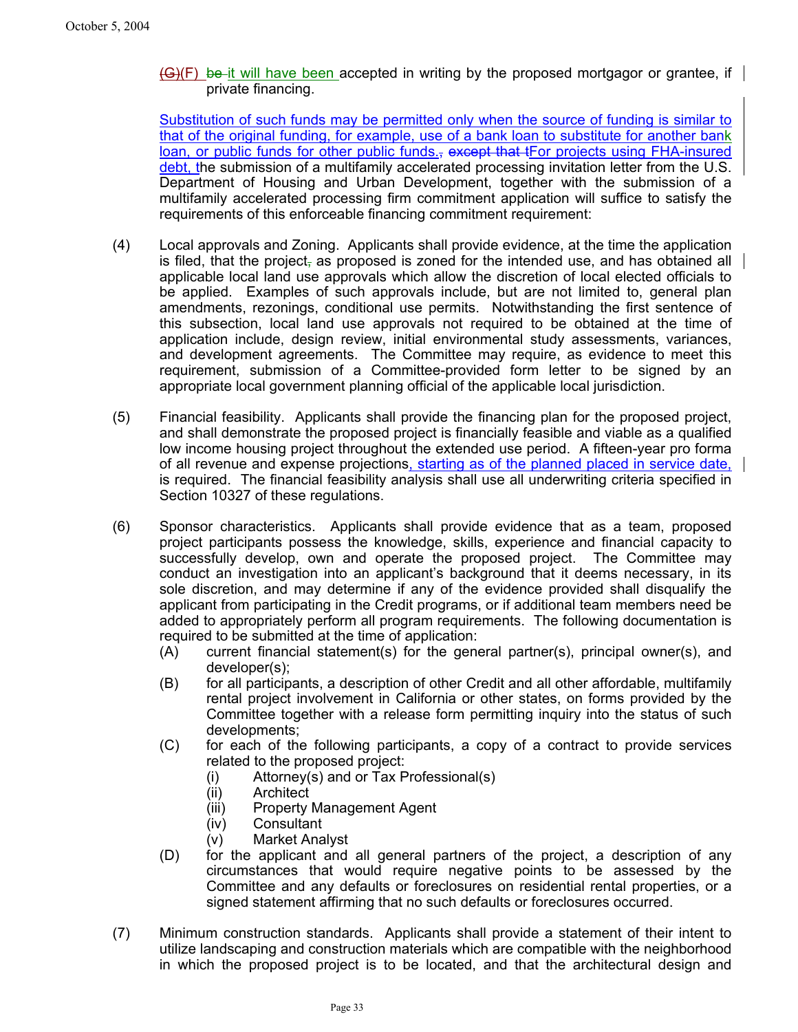$\left\{ \Theta \right\}$ (F) be it will have been accepted in writing by the proposed mortgagor or grantee, if  $\left| \right|$ private financing.

Substitution of such funds may be permitted only when the source of funding is similar to that of the original funding, for example, use of a bank loan to substitute for another bank loan, or public funds for other public funds., except that tFor projects using FHA-insured debt, the submission of a multifamily accelerated processing invitation letter from the U.S. Department of Housing and Urban Development, together with the submission of a multifamily accelerated processing firm commitment application will suffice to satisfy the requirements of this enforceable financing commitment requirement:

- (4) Local approvals and Zoning. Applicants shall provide evidence, at the time the application is filed, that the project, as proposed is zoned for the intended use, and has obtained all applicable local land use approvals which allow the discretion of local elected officials to be applied. Examples of such approvals include, but are not limited to, general plan amendments, rezonings, conditional use permits. Notwithstanding the first sentence of this subsection, local land use approvals not required to be obtained at the time of application include, design review, initial environmental study assessments, variances, and development agreements. The Committee may require, as evidence to meet this requirement, submission of a Committee-provided form letter to be signed by an appropriate local government planning official of the applicable local jurisdiction.
- (5) Financial feasibility. Applicants shall provide the financing plan for the proposed project, and shall demonstrate the proposed project is financially feasible and viable as a qualified low income housing project throughout the extended use period. A fifteen-year pro forma of all revenue and expense projections, starting as of the planned placed in service date, is required. The financial feasibility analysis shall use all underwriting criteria specified in Section 10327 of these regulations.
- (6) Sponsor characteristics. Applicants shall provide evidence that as a team, proposed project participants possess the knowledge, skills, experience and financial capacity to successfully develop, own and operate the proposed project. The Committee may conduct an investigation into an applicant's background that it deems necessary, in its sole discretion, and may determine if any of the evidence provided shall disqualify the applicant from participating in the Credit programs, or if additional team members need be added to appropriately perform all program requirements. The following documentation is required to be submitted at the time of application:
	- (A) current financial statement(s) for the general partner(s), principal owner(s), and developer(s);
	- (B) for all participants, a description of other Credit and all other affordable, multifamily rental project involvement in California or other states, on forms provided by the Committee together with a release form permitting inquiry into the status of such developments;
	- (C) for each of the following participants, a copy of a contract to provide services related to the proposed project:
		- (i) Attorney(s) and or Tax Professional(s)
		- (ii) Architect
		- (iii) Property Management Agent
		- (iv) Consultant
		- (v) Market Analyst
	- (D) for the applicant and all general partners of the project, a description of any circumstances that would require negative points to be assessed by the Committee and any defaults or foreclosures on residential rental properties, or a signed statement affirming that no such defaults or foreclosures occurred.
- (7) Minimum construction standards. Applicants shall provide a statement of their intent to utilize landscaping and construction materials which are compatible with the neighborhood in which the proposed project is to be located, and that the architectural design and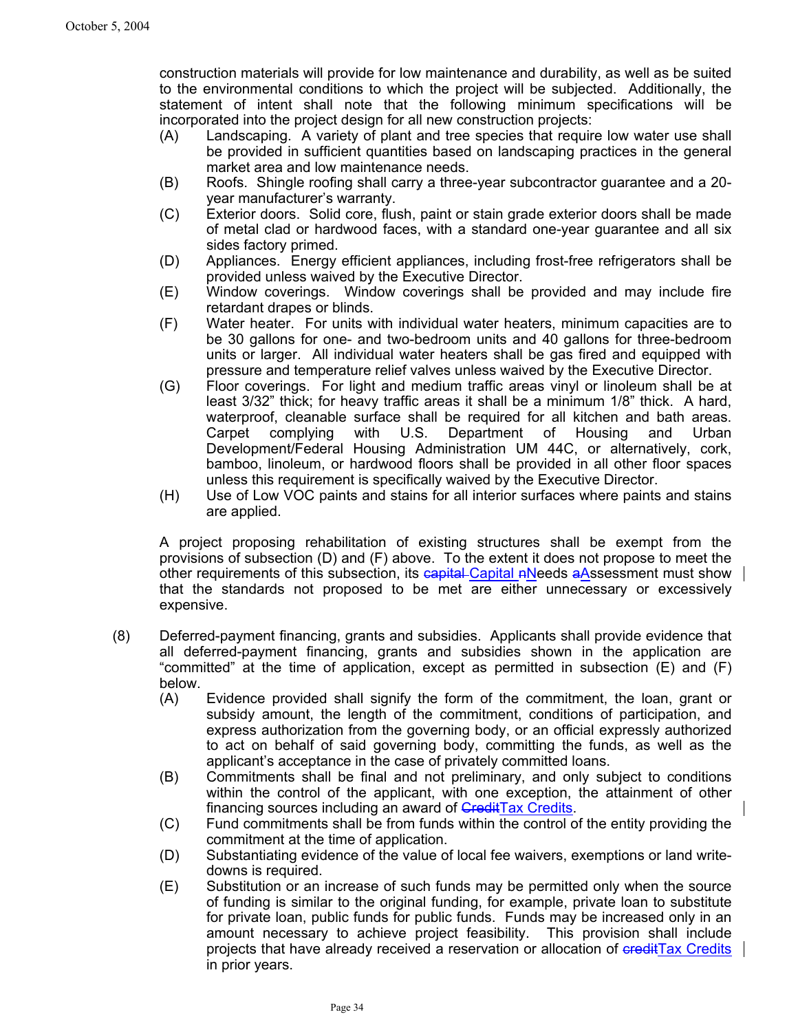construction materials will provide for low maintenance and durability, as well as be suited to the environmental conditions to which the project will be subjected. Additionally, the statement of intent shall note that the following minimum specifications will be incorporated into the project design for all new construction projects:

- (A) Landscaping. A variety of plant and tree species that require low water use shall be provided in sufficient quantities based on landscaping practices in the general market area and low maintenance needs.
- (B) Roofs. Shingle roofing shall carry a three-year subcontractor guarantee and a 20 year manufacturer's warranty.
- (C) Exterior doors. Solid core, flush, paint or stain grade exterior doors shall be made of metal clad or hardwood faces, with a standard one-year guarantee and all six sides factory primed.
- (D) Appliances. Energy efficient appliances, including frost-free refrigerators shall be provided unless waived by the Executive Director.
- (E) Window coverings. Window coverings shall be provided and may include fire retardant drapes or blinds.
- (F) Water heater. For units with individual water heaters, minimum capacities are to be 30 gallons for one- and two-bedroom units and 40 gallons for three-bedroom units or larger. All individual water heaters shall be gas fired and equipped with pressure and temperature relief valves unless waived by the Executive Director.
- (G) Floor coverings. For light and medium traffic areas vinyl or linoleum shall be at least 3/32" thick; for heavy traffic areas it shall be a minimum 1/8" thick. A hard, waterproof, cleanable surface shall be required for all kitchen and bath areas. Carpet complying with U.S. Department of Housing and Urban Development/Federal Housing Administration UM 44C, or alternatively, cork, bamboo, linoleum, or hardwood floors shall be provided in all other floor spaces unless this requirement is specifically waived by the Executive Director.
- (H) Use of Low VOC paints and stains for all interior surfaces where paints and stains are applied.

A project proposing rehabilitation of existing structures shall be exempt from the provisions of subsection (D) and (F) above. To the extent it does not propose to meet the other requirements of this subsection, its capital-Capital nNeeds a Assessment must show that the standards not proposed to be met are either unnecessary or excessively expensive.

- (8) Deferred-payment financing, grants and subsidies. Applicants shall provide evidence that all deferred-payment financing, grants and subsidies shown in the application are "committed" at the time of application, except as permitted in subsection (E) and (F) below.
	- (A) Evidence provided shall signify the form of the commitment, the loan, grant or subsidy amount, the length of the commitment, conditions of participation, and express authorization from the governing body, or an official expressly authorized to act on behalf of said governing body, committing the funds, as well as the applicant's acceptance in the case of privately committed loans.
	- (B) Commitments shall be final and not preliminary, and only subject to conditions within the control of the applicant, with one exception, the attainment of other financing sources including an award of **CreditTax Credits**.
	- (C) Fund commitments shall be from funds within the control of the entity providing the commitment at the time of application.
	- (D) Substantiating evidence of the value of local fee waivers, exemptions or land writedowns is required.
	- (E) Substitution or an increase of such funds may be permitted only when the source of funding is similar to the original funding, for example, private loan to substitute for private loan, public funds for public funds. Funds may be increased only in an amount necessary to achieve project feasibility. This provision shall include projects that have already received a reservation or allocation of eredit Tax Credits in prior years.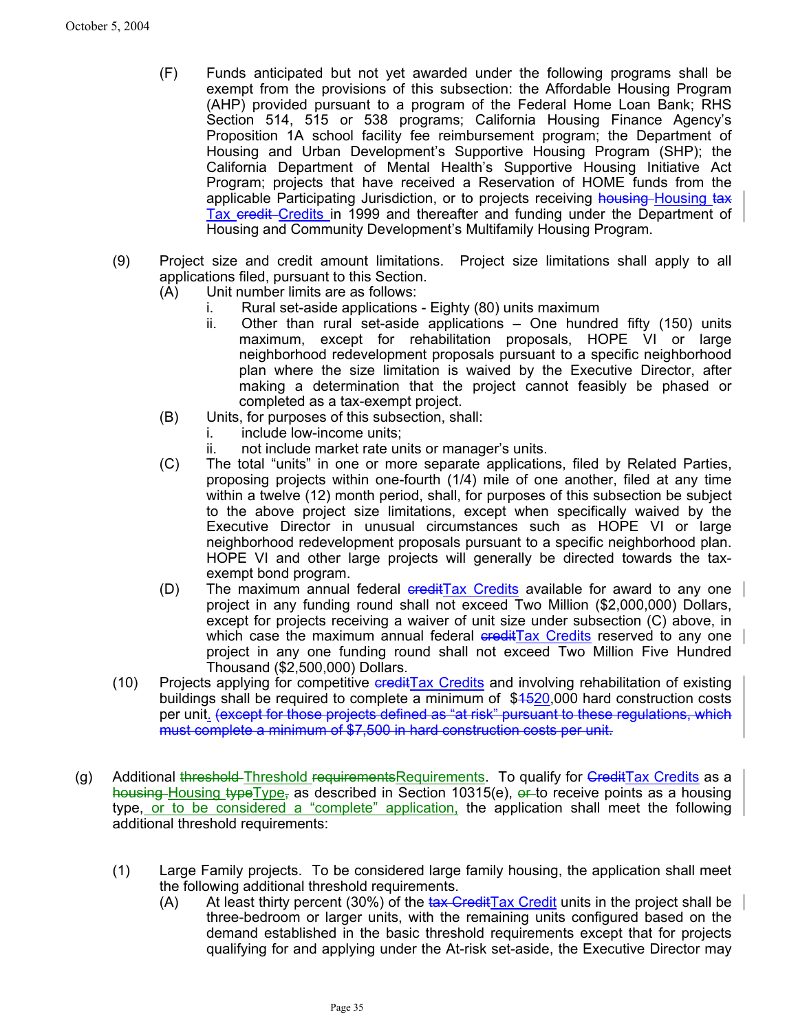- (F) Funds anticipated but not yet awarded under the following programs shall be exempt from the provisions of this subsection: the Affordable Housing Program (AHP) provided pursuant to a program of the Federal Home Loan Bank; RHS Section 514, 515 or 538 programs; California Housing Finance Agency's Proposition 1A school facility fee reimbursement program; the Department of Housing and Urban Development's Supportive Housing Program (SHP); the California Department of Mental Health's Supportive Housing Initiative Act Program; projects that have received a Reservation of HOME funds from the applicable Participating Jurisdiction, or to projects receiving housing-Housing tax Tax credit Credits in 1999 and thereafter and funding under the Department of Housing and Community Development's Multifamily Housing Program.
- (9) Project size and credit amount limitations. Project size limitations shall apply to all applications filed, pursuant to this Section.
	- (A) Unit number limits are as follows:
		- i. Rural set-aside applications Eighty (80) units maximum
		- ii. Other than rural set-aside applications One hundred fifty (150) units maximum, except for rehabilitation proposals, HOPE VI or large neighborhood redevelopment proposals pursuant to a specific neighborhood plan where the size limitation is waived by the Executive Director, after making a determination that the project cannot feasibly be phased or completed as a tax-exempt project.
	- (B) Units, for purposes of this subsection, shall:
		- i. include low-income units:
		- ii. not include market rate units or manager's units.
	- (C) The total "units" in one or more separate applications, filed by Related Parties, proposing projects within one-fourth (1/4) mile of one another, filed at any time within a twelve (12) month period, shall, for purposes of this subsection be subject to the above project size limitations, except when specifically waived by the Executive Director in unusual circumstances such as HOPE VI or large neighborhood redevelopment proposals pursuant to a specific neighborhood plan. HOPE VI and other large projects will generally be directed towards the taxexempt bond program.
	- (D) The maximum annual federal  $\frac{1}{x}$  Credits available for award to any one project in any funding round shall not exceed Two Million (\$2,000,000) Dollars, except for projects receiving a waiver of unit size under subsection (C) above, in which case the maximum annual federal eredit Tax Credits reserved to any one project in any one funding round shall not exceed Two Million Five Hundred Thousand (\$2,500,000) Dollars.
- (10) Projects applying for competitive ereditTax Credits and involving rehabilitation of existing buildings shall be required to complete a minimum of \$4520,000 hard construction costs per unit. (except for those projects defined as "at risk" pursuant to these regulations, which must complete a minimum of \$7,500 in hard construction costs per unit.
- (g) Additional threshold Threshold requirementsRequirements. To qualify for GreditTax Credits as a housing Housing typeType, as described in Section 10315(e),  $\rho r$  to receive points as a housing type, or to be considered a "complete" application, the application shall meet the following additional threshold requirements:
	- (1) Large Family projects. To be considered large family housing, the application shall meet the following additional threshold requirements.
		- (A) At least thirty percent (30%) of the tax Credit Tax Credit units in the project shall be three-bedroom or larger units, with the remaining units configured based on the demand established in the basic threshold requirements except that for projects qualifying for and applying under the At-risk set-aside, the Executive Director may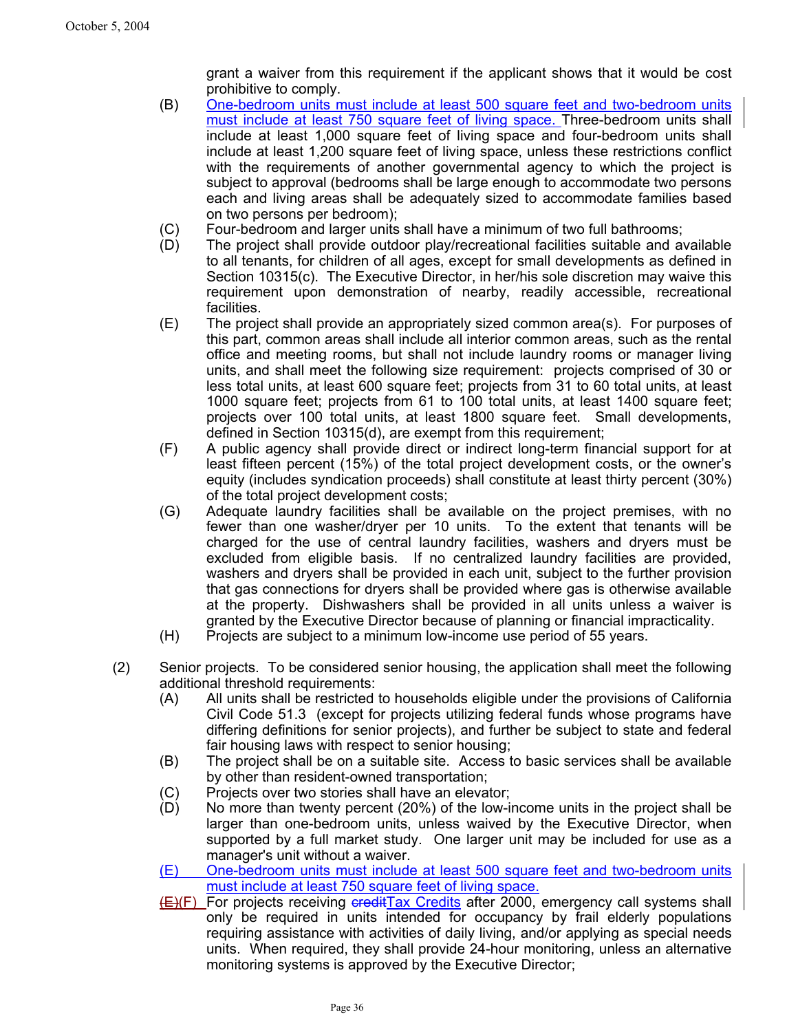grant a waiver from this requirement if the applicant shows that it would be cost prohibitive to comply.

- (B) One-bedroom units must include at least 500 square feet and two-bedroom units must include at least 750 square feet of living space. Three-bedroom units shall include at least 1,000 square feet of living space and four-bedroom units shall include at least 1,200 square feet of living space, unless these restrictions conflict with the requirements of another governmental agency to which the project is subject to approval (bedrooms shall be large enough to accommodate two persons each and living areas shall be adequately sized to accommodate families based on two persons per bedroom);
- (C) Four-bedroom and larger units shall have a minimum of two full bathrooms;
- (D) The project shall provide outdoor play/recreational facilities suitable and available to all tenants, for children of all ages, except for small developments as defined in Section 10315(c). The Executive Director, in her/his sole discretion may waive this requirement upon demonstration of nearby, readily accessible, recreational facilities.
- (E) The project shall provide an appropriately sized common area(s). For purposes of this part, common areas shall include all interior common areas, such as the rental office and meeting rooms, but shall not include laundry rooms or manager living units, and shall meet the following size requirement: projects comprised of 30 or less total units, at least 600 square feet; projects from 31 to 60 total units, at least 1000 square feet; projects from 61 to 100 total units, at least 1400 square feet; projects over 100 total units, at least 1800 square feet. Small developments, defined in Section 10315(d), are exempt from this requirement;
- (F) A public agency shall provide direct or indirect long-term financial support for at least fifteen percent (15%) of the total project development costs, or the owner's equity (includes syndication proceeds) shall constitute at least thirty percent (30%) of the total project development costs;
- (G) Adequate laundry facilities shall be available on the project premises, with no fewer than one washer/dryer per 10 units. To the extent that tenants will be charged for the use of central laundry facilities, washers and dryers must be excluded from eligible basis. If no centralized laundry facilities are provided, washers and dryers shall be provided in each unit, subject to the further provision that gas connections for dryers shall be provided where gas is otherwise available at the property. Dishwashers shall be provided in all units unless a waiver is granted by the Executive Director because of planning or financial impracticality.
- (H) Projects are subject to a minimum low-income use period of 55 years.
- (2) Senior projects. To be considered senior housing, the application shall meet the following additional threshold requirements:
	- (A) All units shall be restricted to households eligible under the provisions of California Civil Code 51.3 (except for projects utilizing federal funds whose programs have differing definitions for senior projects), and further be subject to state and federal fair housing laws with respect to senior housing;
	- (B) The project shall be on a suitable site. Access to basic services shall be available by other than resident-owned transportation;
	- (C) Projects over two stories shall have an elevator;
	- (D) No more than twenty percent (20%) of the low-income units in the project shall be larger than one-bedroom units, unless waived by the Executive Director, when supported by a full market study. One larger unit may be included for use as a manager's unit without a waiver.
	- (E) One-bedroom units must include at least 500 square feet and two-bedroom units must include at least 750 square feet of living space.
	- **(E)(F)** For projects receiving creditTax Credits after 2000, emergency call systems shall only be required in units intended for occupancy by frail elderly populations requiring assistance with activities of daily living, and/or applying as special needs units. When required, they shall provide 24-hour monitoring, unless an alternative monitoring systems is approved by the Executive Director;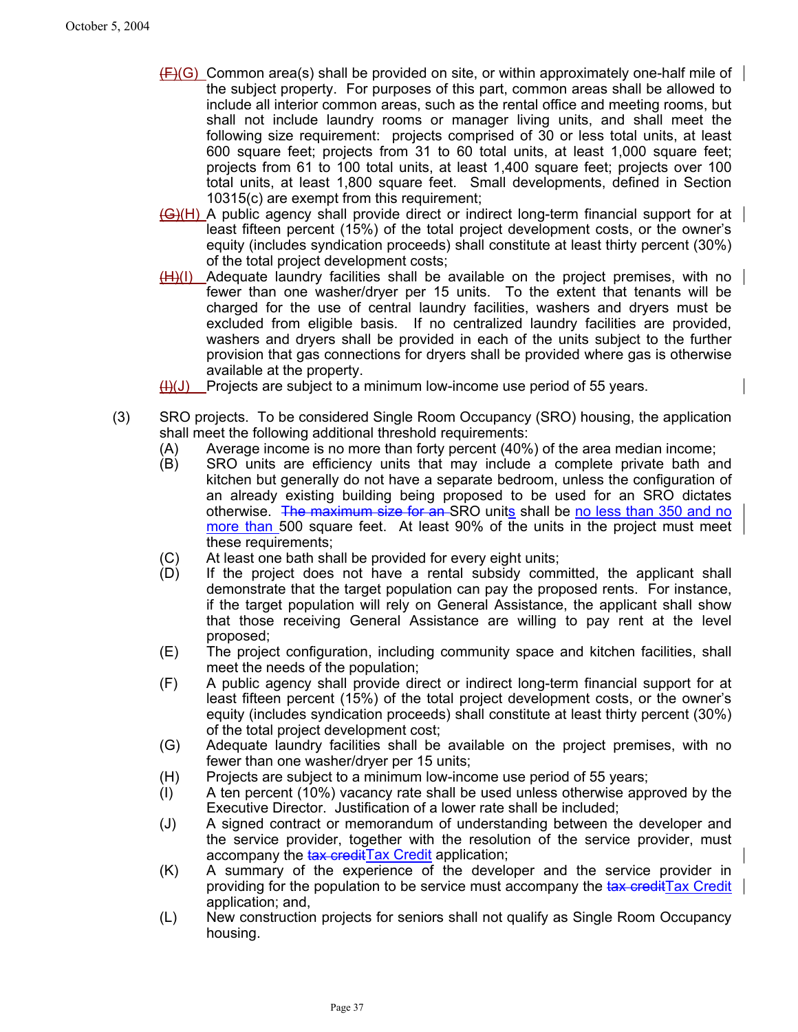- $(F)(G)$  Common area(s) shall be provided on site, or within approximately one-half mile of the subject property. For purposes of this part, common areas shall be allowed to include all interior common areas, such as the rental office and meeting rooms, but shall not include laundry rooms or manager living units, and shall meet the following size requirement: projects comprised of 30 or less total units, at least 600 square feet; projects from 31 to 60 total units, at least 1,000 square feet; projects from 61 to 100 total units, at least 1,400 square feet; projects over 100 total units, at least 1,800 square feet. Small developments, defined in Section 10315(c) are exempt from this requirement;
- (G)(H) A public agency shall provide direct or indirect long-term financial support for at least fifteen percent (15%) of the total project development costs, or the owner's equity (includes syndication proceeds) shall constitute at least thirty percent (30%) of the total project development costs;
- $(H)(I)$  Adequate laundry facilities shall be available on the project premises, with no fewer than one washer/dryer per 15 units. To the extent that tenants will be charged for the use of central laundry facilities, washers and dryers must be excluded from eligible basis. If no centralized laundry facilities are provided, washers and dryers shall be provided in each of the units subject to the further provision that gas connections for dryers shall be provided where gas is otherwise available at the property.
- $\frac{H}{U}$ (J) Projects are subject to a minimum low-income use period of 55 years.
- (3) SRO projects. To be considered Single Room Occupancy (SRO) housing, the application shall meet the following additional threshold requirements:
	- (A) Average income is no more than forty percent (40%) of the area median income;
	- (B) SRO units are efficiency units that may include a complete private bath and kitchen but generally do not have a separate bedroom, unless the configuration of an already existing building being proposed to be used for an SRO dictates otherwise. The maximum size for an SRO units shall be no less than 350 and no more than 500 square feet. At least 90% of the units in the project must meet these requirements;
	- (C) At least one bath shall be provided for every eight units;
	- (D) If the project does not have a rental subsidy committed, the applicant shall demonstrate that the target population can pay the proposed rents. For instance, if the target population will rely on General Assistance, the applicant shall show that those receiving General Assistance are willing to pay rent at the level proposed;
	- (E) The project configuration, including community space and kitchen facilities, shall meet the needs of the population;
	- (F) A public agency shall provide direct or indirect long-term financial support for at least fifteen percent (15%) of the total project development costs, or the owner's equity (includes syndication proceeds) shall constitute at least thirty percent (30%) of the total project development cost;
	- (G) Adequate laundry facilities shall be available on the project premises, with no fewer than one washer/dryer per 15 units;
	- (H) Projects are subject to a minimum low-income use period of 55 years;
	- (I) A ten percent (10%) vacancy rate shall be used unless otherwise approved by the Executive Director. Justification of a lower rate shall be included;
	- (J) A signed contract or memorandum of understanding between the developer and the service provider, together with the resolution of the service provider, must accompany the tax credit Tax Credit application;
	- (K) A summary of the experience of the developer and the service provider in providing for the population to be service must accompany the tax credit Tax Credit application; and,
	- (L) New construction projects for seniors shall not qualify as Single Room Occupancy housing.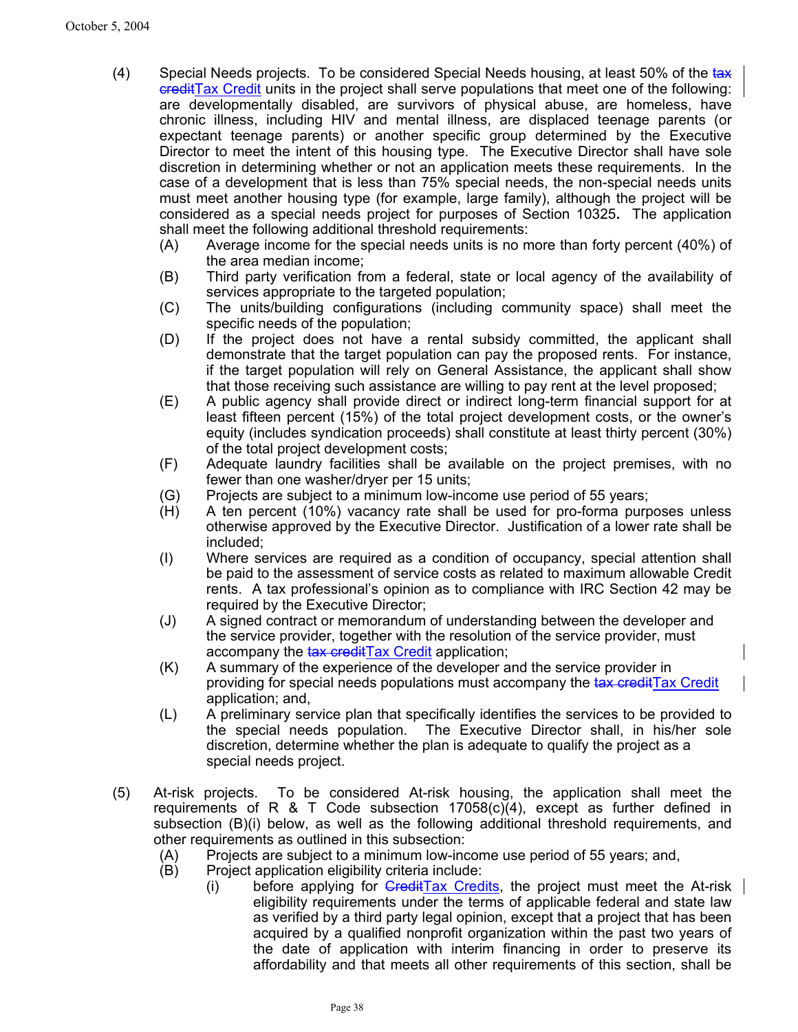- (4) Special Needs projects. To be considered Special Needs housing, at least 50% of the tax creditTax Credit units in the project shall serve populations that meet one of the following: are developmentally disabled, are survivors of physical abuse, are homeless, have chronic illness, including HIV and mental illness, are displaced teenage parents (or expectant teenage parents) or another specific group determined by the Executive Director to meet the intent of this housing type. The Executive Director shall have sole discretion in determining whether or not an application meets these requirements. In the case of a development that is less than 75% special needs, the non-special needs units must meet another housing type (for example, large family), although the project will be considered as a special needs project for purposes of Section 10325**.** The application shall meet the following additional threshold requirements:
	- (A) Average income for the special needs units is no more than forty percent (40%) of the area median income;
	- (B) Third party verification from a federal, state or local agency of the availability of services appropriate to the targeted population;
	- (C) The units/building configurations (including community space) shall meet the specific needs of the population;
	- (D) If the project does not have a rental subsidy committed, the applicant shall demonstrate that the target population can pay the proposed rents. For instance, if the target population will rely on General Assistance, the applicant shall show that those receiving such assistance are willing to pay rent at the level proposed;
	- (E) A public agency shall provide direct or indirect long-term financial support for at least fifteen percent (15%) of the total project development costs, or the owner's equity (includes syndication proceeds) shall constitute at least thirty percent (30%) of the total project development costs;
	- (F) Adequate laundry facilities shall be available on the project premises, with no fewer than one washer/dryer per 15 units;
	- (G) Projects are subject to a minimum low-income use period of 55 years;
	- (H) A ten percent (10%) vacancy rate shall be used for pro-forma purposes unless otherwise approved by the Executive Director. Justification of a lower rate shall be included;
	- (I) Where services are required as a condition of occupancy, special attention shall be paid to the assessment of service costs as related to maximum allowable Credit rents. A tax professional's opinion as to compliance with IRC Section 42 may be required by the Executive Director;
	- (J) A signed contract or memorandum of understanding between the developer and the service provider, together with the resolution of the service provider, must accompany the tax credit Tax Credit application;
	- (K) A summary of the experience of the developer and the service provider in providing for special needs populations must accompany the tax credit Tax Credit application; and,
	- (L) A preliminary service plan that specifically identifies the services to be provided to the special needs population. The Executive Director shall, in his/her sole discretion, determine whether the plan is adequate to qualify the project as a special needs project.
- (5) At-risk projects. To be considered At-risk housing, the application shall meet the requirements of R & T Code subsection  $17058(c)(4)$ , except as further defined in subsection (B)(i) below, as well as the following additional threshold requirements, and other requirements as outlined in this subsection:
	- (A) Projects are subject to a minimum low-income use period of 55 years; and,
	- (B) Project application eligibility criteria include:
		- (i) before applying for  $G_{\text{rediffax}}$  Credits, the project must meet the At-risk eligibility requirements under the terms of applicable federal and state law as verified by a third party legal opinion, except that a project that has been acquired by a qualified nonprofit organization within the past two years of the date of application with interim financing in order to preserve its affordability and that meets all other requirements of this section, shall be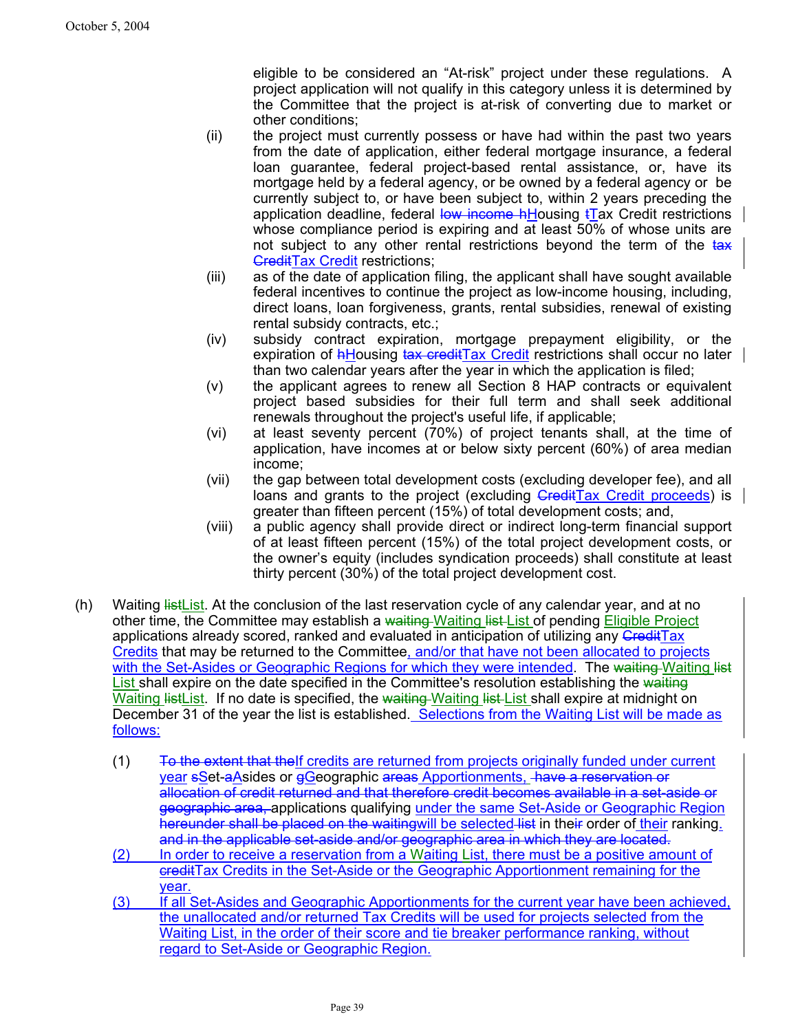eligible to be considered an "At-risk" project under these regulations. A project application will not qualify in this category unless it is determined by the Committee that the project is at-risk of converting due to market or other conditions;

- (ii) the project must currently possess or have had within the past two years from the date of application, either federal mortgage insurance, a federal loan guarantee, federal project-based rental assistance, or, have its mortgage held by a federal agency, or be owned by a federal agency orbe currently subject to, or have been subject to, within 2 years preceding the application deadline, federal low income  $h$ Housing  $t\bar{I}$ ax Credit restrictions whose compliance period is expiring and at least 50% of whose units are not subject to any other rental restrictions beyond the term of the tax **CreditTax Credit restrictions;**
- (iii) as of the date of application filing, the applicant shall have sought available federal incentives to continue the project as low-income housing, including, direct loans, loan forgiveness, grants, rental subsidies, renewal of existing rental subsidy contracts, etc.;
- (iv) subsidy contract expiration, mortgage prepayment eligibility, or the expiration of **hHousing tax creditTax Credit** restrictions shall occur no later than two calendar years after the year in which the application is filed;
- (v) the applicant agrees to renew all Section 8 HAP contracts or equivalent project based subsidies for their full term and shall seek additional renewals throughout the project's useful life, if applicable;
- (vi) at least seventy percent (70%) of project tenants shall, at the time of application, have incomes at or below sixty percent (60%) of area median income;
- (vii) the gap between total development costs (excluding developer fee), and all loans and grants to the project (excluding GreditTax Credit proceeds) is greater than fifteen percent (15%) of total development costs; and,
- (viii) a public agency shall provide direct or indirect long-term financial support of at least fifteen percent (15%) of the total project development costs, or the owner's equity (includes syndication proceeds) shall constitute at least thirty percent (30%) of the total project development cost.
- (h) Waiting list List. At the conclusion of the last reservation cycle of any calendar year, and at no other time, the Committee may establish a waiting Waiting list-List of pending Eligible Project applications already scored, ranked and evaluated in anticipation of utilizing any CreditTax Credits that may be returned to the Committee, and/or that have not been allocated to projects with the Set-Asides or Geographic Regions for which they were intended. The waiting-Waiting list List shall expire on the date specified in the Committee's resolution establishing the waiting Waiting list List. If no date is specified, the waiting Waiting list List shall expire at midnight on December 31 of the year the list is established. Selections from the Waiting List will be made as follows:
	- $(1)$  To the extent that their credits are returned from projects originally funded under current year sSet-aAsides or gGeographic areas Apportionments, have a reservation or allocation of credit returned and that therefore credit becomes available in a set-aside or geographic area, applications qualifying under the same Set-Aside or Geographic Region hereunder shall be placed on the waitingwill be selected list in their order of their ranking. and in the applicable set-aside and/or geographic area in which they are located.
	- (2) In order to receive a reservation from a Waiting List, there must be a positive amount of creditTax Credits in the Set-Aside or the Geographic Apportionment remaining for the year.
	- (3) If all Set-Asides and Geographic Apportionments for the current year have been achieved, the unallocated and/or returned Tax Credits will be used for projects selected from the Waiting List, in the order of their score and tie breaker performance ranking, without regard to Set-Aside or Geographic Region.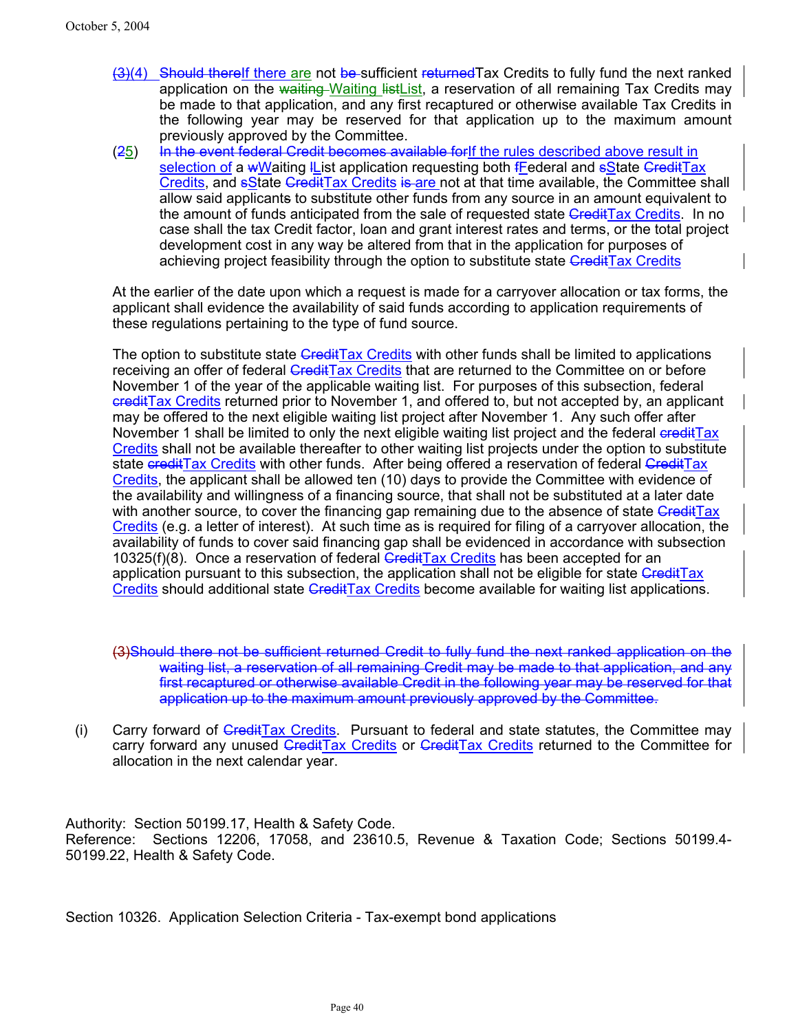- (3)(4) Should thereIf there are not be sufficient returnedTax Credits to fully fund the next ranked application on the waiting Waiting listList, a reservation of all remaining Tax Credits may be made to that application, and any first recaptured or otherwise available Tax Credits in the following year may be reserved for that application up to the maximum amount previously approved by the Committee.
- (25) In the event federal Credit becomes available for If the rules described above result in selection of a wWaiting IList application requesting both fFederal and sState CreditTax Credits, and **sState CreditTax Credits is are not at that time available**, the Committee shall allow said applicants to substitute other funds from any source in an amount equivalent to the amount of funds anticipated from the sale of requested state GreditTax Credits. In no case shall the tax Credit factor, loan and grant interest rates and terms, or the total project development cost in any way be altered from that in the application for purposes of achieving project feasibility through the option to substitute state CreditTax Credits

At the earlier of the date upon which a request is made for a carryover allocation or tax forms, the applicant shall evidence the availability of said funds according to application requirements of these regulations pertaining to the type of fund source.

The option to substitute state CreditTax Credits with other funds shall be limited to applications receiving an offer of federal CreditTax Credits that are returned to the Committee on or before November 1 of the year of the applicable waiting list. For purposes of this subsection, federal creditTax Credits returned prior to November 1, and offered to, but not accepted by, an applicant may be offered to the next eligible waiting list project after November 1. Any such offer after November 1 shall be limited to only the next eligible waiting list project and the federal creditTax Credits shall not be available thereafter to other waiting list projects under the option to substitute state creditTax Credits with other funds. After being offered a reservation of federal CreditTax Credits, the applicant shall be allowed ten (10) days to provide the Committee with evidence of the availability and willingness of a financing source, that shall not be substituted at a later date with another source, to cover the financing gap remaining due to the absence of state CreditTax Credits (e.g. a letter of interest). At such time as is required for filing of a carryover allocation, the availability of funds to cover said financing gap shall be evidenced in accordance with subsection 10325(f)(8). Once a reservation of federal  $G$ redit $Tax$  Credits has been accepted for an application pursuant to this subsection, the application shall not be eligible for state CreditTax Credits should additional state CreditTax Credits become available for waiting list applications.

(3)Should there not be sufficient returned Credit to fully fund the next ranked application on the waiting list, a reservation of all remaining Credit may be made to that application, and any first recaptured or otherwise available Credit in the following year may be reserved for that application up to the maximum amount previously approved by the Committee.

(i) Carry forward of *CreditTax Credits*. Pursuant to federal and state statutes, the Committee may carry forward any unused CreditTax Credits or CreditTax Credits returned to the Committee for allocation in the next calendar year.

Authority: Section 50199.17, Health & Safety Code. Reference: Sections 12206, 17058, and 23610.5, Revenue & Taxation Code; Sections 50199.4- 50199.22, Health & Safety Code.

Section 10326. Application Selection Criteria - Tax-exempt bond applications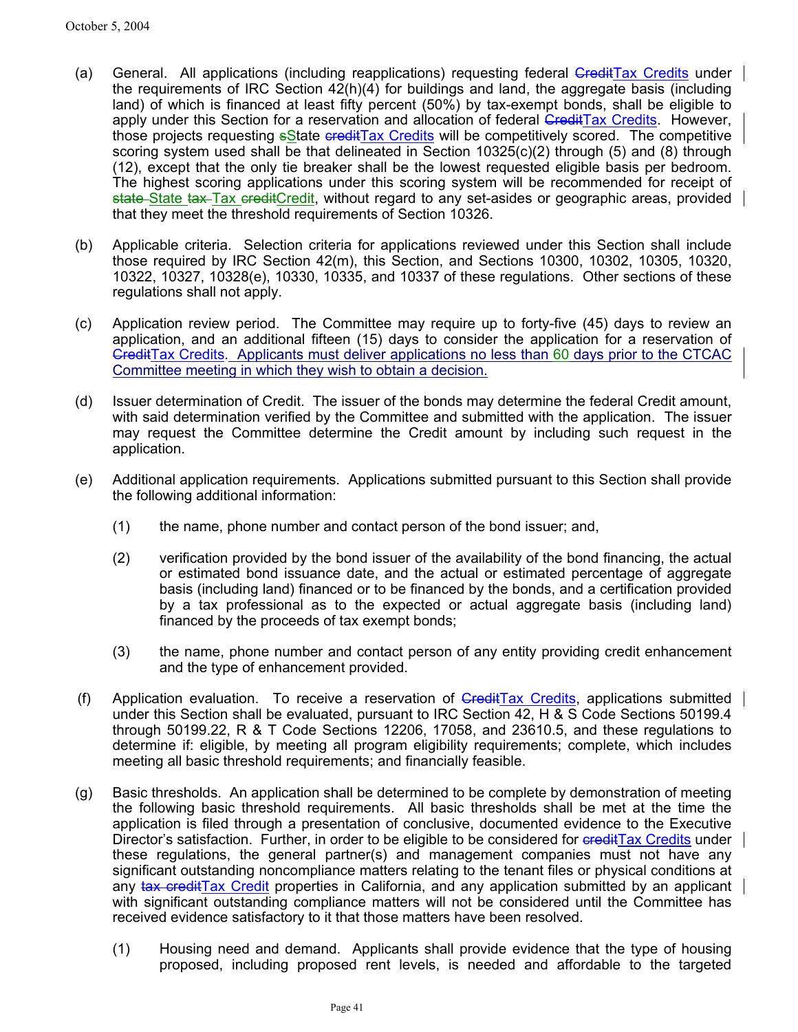- (a) General. All applications (including reapplications) requesting federal GreditTax Credits under the requirements of IRC Section 42(h)(4) for buildings and land, the aggregate basis (including land) of which is financed at least fifty percent (50%) by tax-exempt bonds, shall be eligible to apply under this Section for a reservation and allocation of federal CreditTax Credits. However, those projects requesting **s**State credit Tax Credits will be competitively scored. The competitive scoring system used shall be that delineated in Section 10325(c)(2) through (5) and (8) through (12), except that the only tie breaker shall be the lowest requested eligible basis per bedroom. The highest scoring applications under this scoring system will be recommended for receipt of state State tax Tax creditCredit, without regard to any set-asides or geographic areas, provided  $\vert$ that they meet the threshold requirements of Section 10326.
- (b) Applicable criteria. Selection criteria for applications reviewed under this Section shall include those required by IRC Section 42(m), this Section, and Sections 10300, 10302, 10305, 10320, 10322, 10327, 10328(e), 10330, 10335, and 10337 of these regulations. Other sections of these regulations shall not apply.
- (c) Application review period. The Committee may require up to forty-five (45) days to review an application, and an additional fifteen (15) days to consider the application for a reservation of CreditTax Credits. Applicants must deliver applications no less than 60 days prior to the CTCAC Committee meeting in which they wish to obtain a decision.
- (d) Issuer determination of Credit. The issuer of the bonds may determine the federal Credit amount, with said determination verified by the Committee and submitted with the application. The issuer may request the Committee determine the Credit amount by including such request in the application.
- (e) Additional application requirements. Applications submitted pursuant to this Section shall provide the following additional information:
	- (1) the name, phone number and contact person of the bond issuer; and,
	- (2) verification provided by the bond issuer of the availability of the bond financing, the actual or estimated bond issuance date, and the actual or estimated percentage of aggregate basis (including land) financed or to be financed by the bonds, and a certification provided by a tax professional as to the expected or actual aggregate basis (including land) financed by the proceeds of tax exempt bonds;
	- (3) the name, phone number and contact person of any entity providing credit enhancement and the type of enhancement provided.
- (f) Application evaluation. To receive a reservation of  $G_{\text{redit}}$ Tax Credits, applications submitted under this Section shall be evaluated, pursuant to IRC Section 42, H & S Code Sections 50199.4 through 50199.22, R & T Code Sections 12206, 17058, and 23610.5, and these regulations to determine if: eligible, by meeting all program eligibility requirements; complete, which includes meeting all basic threshold requirements; and financially feasible.
- (g) Basic thresholds. An application shall be determined to be complete by demonstration of meeting the following basic threshold requirements. All basic thresholds shall be met at the time the application is filed through a presentation of conclusive, documented evidence to the Executive Director's satisfaction. Further, in order to be eligible to be considered for ereditTax Credits under these regulations, the general partner(s) and management companies must not have any significant outstanding noncompliance matters relating to the tenant files or physical conditions at any tax credit Tax Credit properties in California, and any application submitted by an applicant with significant outstanding compliance matters will not be considered until the Committee has received evidence satisfactory to it that those matters have been resolved.
	- (1) Housing need and demand. Applicants shall provide evidence that the type of housing proposed, including proposed rent levels, is needed and affordable to the targeted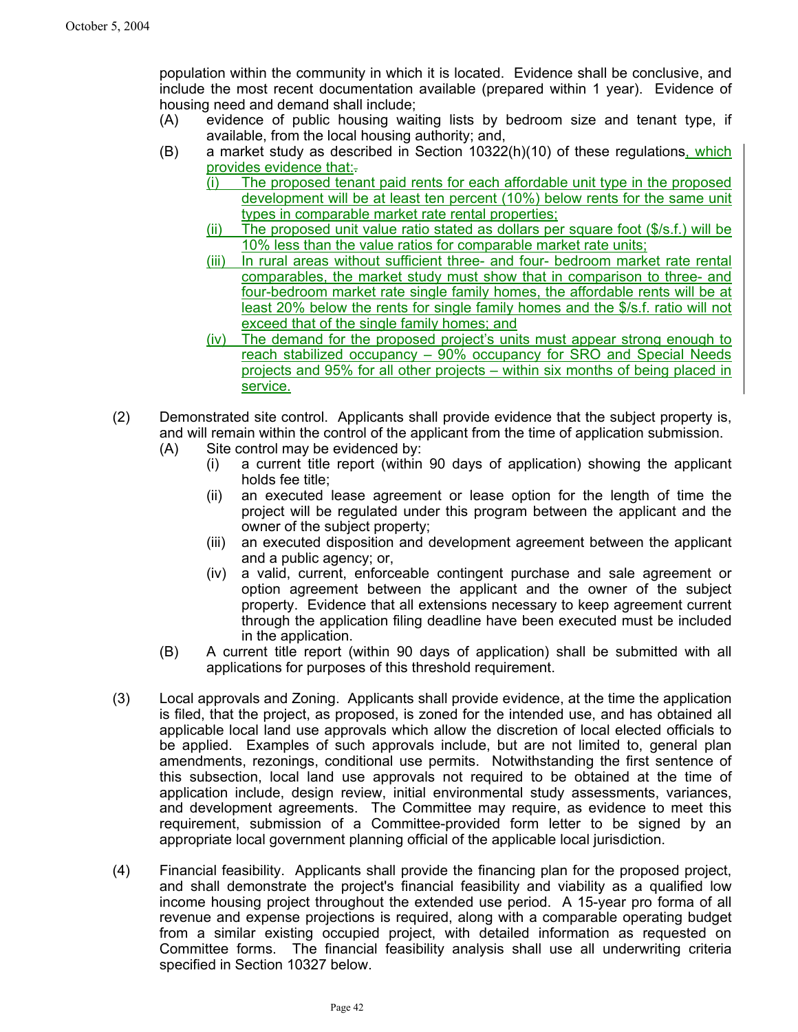population within the community in which it is located. Evidence shall be conclusive, and include the most recent documentation available (prepared within 1 year). Evidence of housing need and demand shall include;

- (A) evidence of public housing waiting lists by bedroom size and tenant type, if available, from the local housing authority; and,
- (B) a market study as described in Section 10322(h)(10) of these regulations, which provides evidence that:.
	- (i) The proposed tenant paid rents for each affordable unit type in the proposed development will be at least ten percent (10%) below rents for the same unit types in comparable market rate rental properties;
	- (ii) The proposed unit value ratio stated as dollars per square foot (\$/s.f.) will be 10% less than the value ratios for comparable market rate units;
	- (iii) In rural areas without sufficient three- and four- bedroom market rate rental comparables, the market study must show that in comparison to three- and four-bedroom market rate single family homes, the affordable rents will be at least 20% below the rents for single family homes and the \$/s.f. ratio will not exceed that of the single family homes; and
	- (iv) The demand for the proposed project's units must appear strong enough to reach stabilized occupancy – 90% occupancy for SRO and Special Needs projects and 95% for all other projects – within six months of being placed in service.
- (2) Demonstrated site control. Applicants shall provide evidence that the subject property is, and will remain within the control of the applicant from the time of application submission.
	- (A) Site control may be evidenced by:
		- (i) a current title report (within 90 days of application) showing the applicant holds fee title;
		- (ii) an executed lease agreement or lease option for the length of time the project will be regulated under this program between the applicant and the owner of the subject property;
		- (iii) an executed disposition and development agreement between the applicant and a public agency; or,
		- (iv) a valid, current, enforceable contingent purchase and sale agreement or option agreement between the applicant and the owner of the subject property. Evidence that all extensions necessary to keep agreement current through the application filing deadline have been executed must be included in the application.
	- (B) A current title report (within 90 days of application) shall be submitted with all applications for purposes of this threshold requirement.
- (3) Local approvals and Zoning. Applicants shall provide evidence, at the time the application is filed, that the project, as proposed, is zoned for the intended use, and has obtained all applicable local land use approvals which allow the discretion of local elected officials to be applied. Examples of such approvals include, but are not limited to, general plan amendments, rezonings, conditional use permits. Notwithstanding the first sentence of this subsection, local land use approvals not required to be obtained at the time of application include, design review, initial environmental study assessments, variances, and development agreements. The Committee may require, as evidence to meet this requirement, submission of a Committee-provided form letter to be signed by an appropriate local government planning official of the applicable local jurisdiction.
- (4) Financial feasibility. Applicants shall provide the financing plan for the proposed project, and shall demonstrate the project's financial feasibility and viability as a qualified low income housing project throughout the extended use period. A 15-year pro forma of all revenue and expense projections is required, along with a comparable operating budget from a similar existing occupied project, with detailed information as requested on Committee forms. The financial feasibility analysis shall use all underwriting criteria specified in Section 10327 below.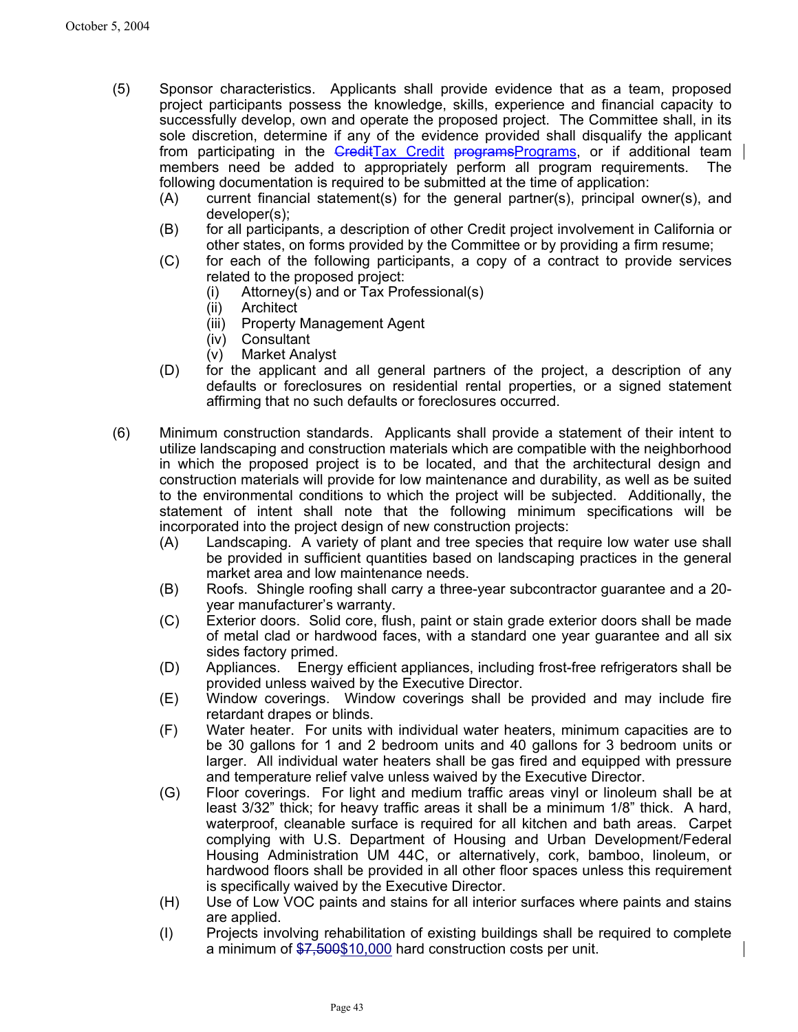- (5) Sponsor characteristics. Applicants shall provide evidence that as a team, proposed project participants possess the knowledge, skills, experience and financial capacity to successfully develop, own and operate the proposed project. The Committee shall, in its sole discretion, determine if any of the evidence provided shall disqualify the applicant from participating in the GreditTax Credit programsPrograms, or if additional team members need be added to appropriately perform all program requirements. The following documentation is required to be submitted at the time of application:
	- (A) current financial statement(s) for the general partner(s), principal owner(s), and developer(s);
	- (B) for all participants, a description of other Credit project involvement in California or other states, on forms provided by the Committee or by providing a firm resume;
	- (C) for each of the following participants, a copy of a contract to provide services related to the proposed project:
		- (i) Attorney(s) and or Tax Professional(s)
		- (ii) Architect
		- (iii) Property Management Agent
		- (iv) Consultant
		- (v) Market Analyst
	- (D) for the applicant and all general partners of the project, a description of any defaults or foreclosures on residential rental properties, or a signed statement affirming that no such defaults or foreclosures occurred.
- (6) Minimum construction standards. Applicants shall provide a statement of their intent to utilize landscaping and construction materials which are compatible with the neighborhood in which the proposed project is to be located, and that the architectural design and construction materials will provide for low maintenance and durability, as well as be suited to the environmental conditions to which the project will be subjected. Additionally, the statement of intent shall note that the following minimum specifications will be incorporated into the project design of new construction projects:
	- (A) Landscaping. A variety of plant and tree species that require low water use shall be provided in sufficient quantities based on landscaping practices in the general market area and low maintenance needs.
	- (B) Roofs. Shingle roofing shall carry a three-year subcontractor guarantee and a 20 year manufacturer's warranty.
	- (C) Exterior doors. Solid core, flush, paint or stain grade exterior doors shall be made of metal clad or hardwood faces, with a standard one year guarantee and all six sides factory primed.
	- (D) Appliances. Energy efficient appliances, including frost-free refrigerators shall be provided unless waived by the Executive Director.
	- (E) Window coverings. Window coverings shall be provided and may include fire retardant drapes or blinds.
	- (F) Water heater. For units with individual water heaters, minimum capacities are to be 30 gallons for 1 and 2 bedroom units and 40 gallons for 3 bedroom units or larger. All individual water heaters shall be gas fired and equipped with pressure and temperature relief valve unless waived by the Executive Director.
	- (G) Floor coverings. For light and medium traffic areas vinyl or linoleum shall be at least 3/32" thick; for heavy traffic areas it shall be a minimum 1/8" thick. A hard, waterproof, cleanable surface is required for all kitchen and bath areas. Carpet complying with U.S. Department of Housing and Urban Development/Federal Housing Administration UM 44C, or alternatively, cork, bamboo, linoleum, or hardwood floors shall be provided in all other floor spaces unless this requirement is specifically waived by the Executive Director.
	- (H) Use of Low VOC paints and stains for all interior surfaces where paints and stains are applied.
	- (I) Projects involving rehabilitation of existing buildings shall be required to complete a minimum of \$7,500\$10,000 hard construction costs per unit.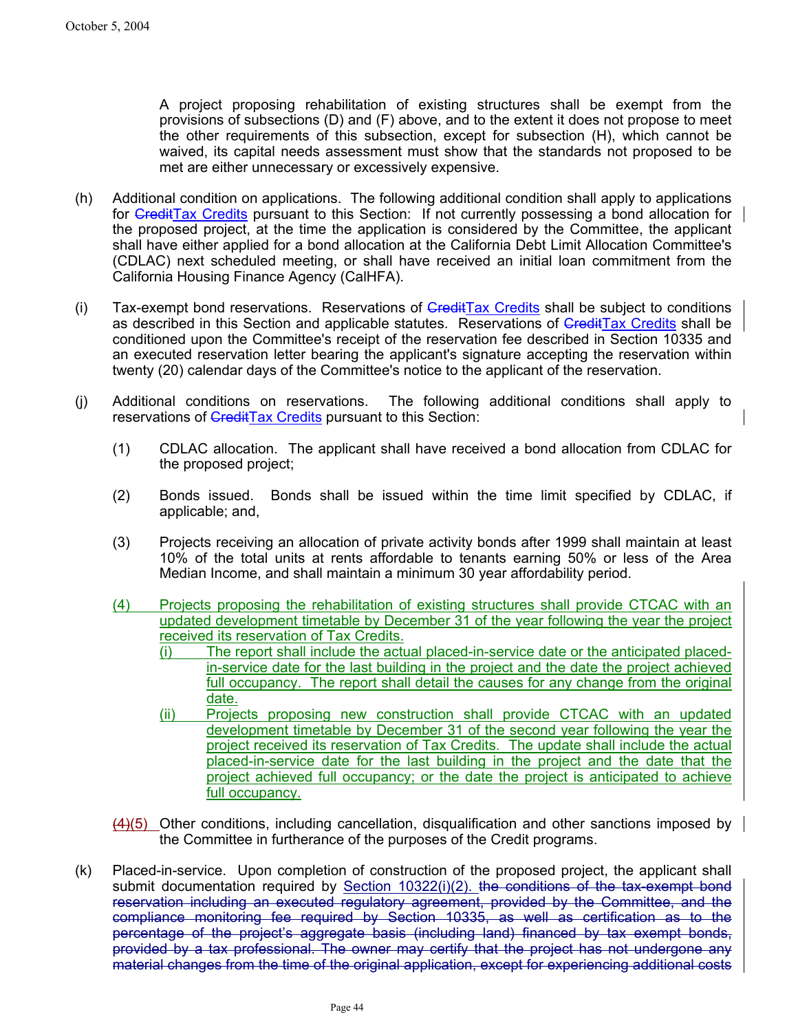A project proposing rehabilitation of existing structures shall be exempt from the provisions of subsections (D) and (F) above, and to the extent it does not propose to meet the other requirements of this subsection, except for subsection (H), which cannot be waived, its capital needs assessment must show that the standards not proposed to be met are either unnecessary or excessively expensive.

- (h) Additional condition on applications. The following additional condition shall apply to applications for  $G$ reditTax Credits pursuant to this Section: If not currently possessing a bond allocation for the proposed project, at the time the application is considered by the Committee, the applicant shall have either applied for a bond allocation at the California Debt Limit Allocation Committee's (CDLAC) next scheduled meeting, or shall have received an initial loan commitment from the California Housing Finance Agency (CalHFA).
- (i) Tax-exempt bond reservations. Reservations of  $G_{\text{redit}}$ Tax Credits shall be subject to conditions as described in this Section and applicable statutes. Reservations of CreditTax Credits shall be conditioned upon the Committee's receipt of the reservation fee described in Section 10335 and an executed reservation letter bearing the applicant's signature accepting the reservation within twenty (20) calendar days of the Committee's notice to the applicant of the reservation.
- (j) Additional conditions on reservations. The following additional conditions shall apply to reservations of CreditTax Credits pursuant to this Section:
	- (1) CDLAC allocation. The applicant shall have received a bond allocation from CDLAC for the proposed project;
	- (2) Bonds issued. Bonds shall be issued within the time limit specified by CDLAC, if applicable; and,
	- (3) Projects receiving an allocation of private activity bonds after 1999 shall maintain at least 10% of the total units at rents affordable to tenants earning 50% or less of the Area Median Income, and shall maintain a minimum 30 year affordability period.
	- (4) Projects proposing the rehabilitation of existing structures shall provide CTCAC with an updated development timetable by December 31 of the year following the year the project received its reservation of Tax Credits.
		- (i) The report shall include the actual placed-in-service date or the anticipated placedin-service date for the last building in the project and the date the project achieved full occupancy. The report shall detail the causes for any change from the original date.
		- (ii) Projects proposing new construction shall provide CTCAC with an updated development timetable by December 31 of the second year following the year the project received its reservation of Tax Credits. The update shall include the actual placed-in-service date for the last building in the project and the date that the project achieved full occupancy; or the date the project is anticipated to achieve full occupancy.
	- $\frac{(4)}{(5)}$  Other conditions, including cancellation, disqualification and other sanctions imposed by the Committee in furtherance of the purposes of the Credit programs.
- (k) Placed-in-service. Upon completion of construction of the proposed project, the applicant shall submit documentation required by Section 10322(i)(2). the conditions of the tax-exempt bond reservation including an executed regulatory agreement, provided by the Committee, and the compliance monitoring fee required by Section 10335, as well as certification as to the percentage of the project's aggregate basis (including land) financed by tax exempt bonds, provided by a tax professional. The owner may certify that the project has not undergone any material changes from the time of the original application, except for experiencing additional costs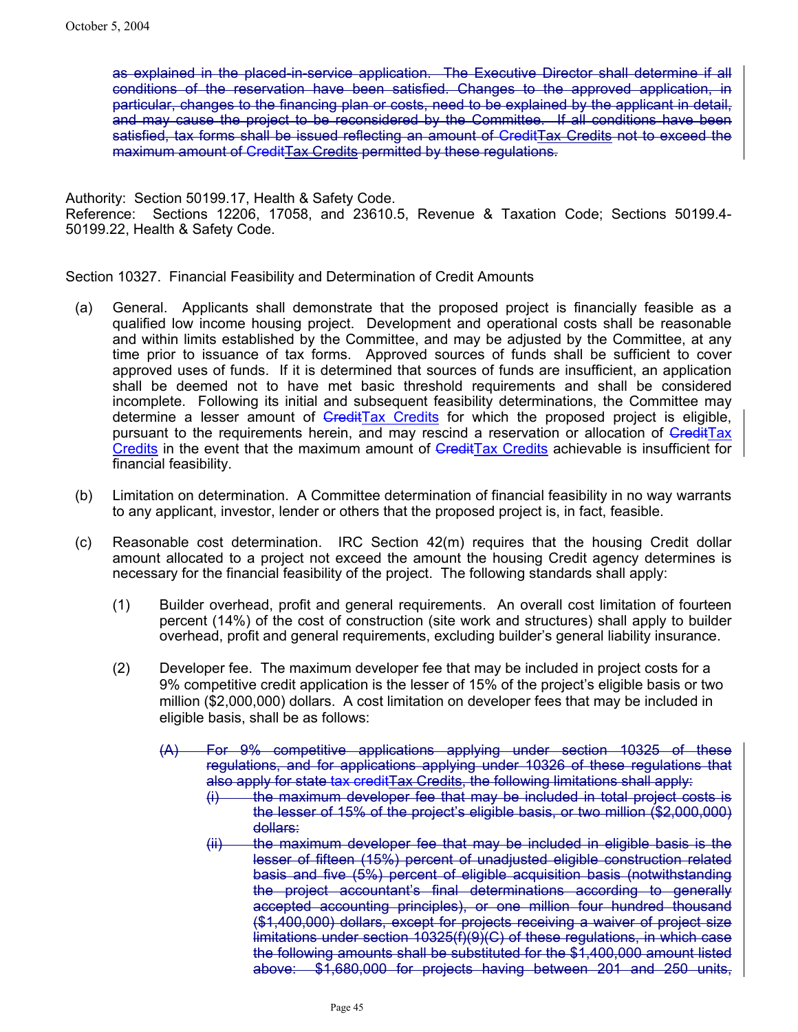as explained in the placed-in-service application.The Executive Director shall determine if all conditions of the reservation have been satisfied. Changes to the approved application, in particular, changes to the financing plan or costs, need to be explained by the applicant in detail, and may cause the project to be reconsidered by the Committee. If all conditions have been satisfied, tax forms shall be issued reflecting an amount of CreditTax Credits not to exceed the maximum amount of CreditTax Credits permitted by these regulations.

Authority: Section 50199.17, Health & Safety Code. Reference: Sections 12206, 17058, and 23610.5, Revenue & Taxation Code; Sections 50199.4- 50199.22, Health & Safety Code.

Section 10327. Financial Feasibility and Determination of Credit Amounts

- (a) General. Applicants shall demonstrate that the proposed project is financially feasible as a qualified low income housing project. Development and operational costs shall be reasonable and within limits established by the Committee, and may be adjusted by the Committee, at any time prior to issuance of tax forms. Approved sources of funds shall be sufficient to cover approved uses of funds. If it is determined that sources of funds are insufficient, an application shall be deemed not to have met basic threshold requirements and shall be considered incomplete. Following its initial and subsequent feasibility determinations, the Committee may determine a lesser amount of  $G$ redit $Tax$  Credits for which the proposed project is eligible, pursuant to the requirements herein, and may rescind a reservation or allocation of CreditTax Credits in the event that the maximum amount of  $G$ redit $Tax$  Credits achievable is insufficient for financial feasibility.
- (b) Limitation on determination. A Committee determination of financial feasibility in no way warrants to any applicant, investor, lender or others that the proposed project is, in fact, feasible.
- (c) Reasonable cost determination. IRC Section 42(m) requires that the housing Credit dollar amount allocated to a project not exceed the amount the housing Credit agency determines is necessary for the financial feasibility of the project. The following standards shall apply:
	- (1) Builder overhead, profit and general requirements. An overall cost limitation of fourteen percent (14%) of the cost of construction (site work and structures) shall apply to builder overhead, profit and general requirements, excluding builder's general liability insurance.
	- (2) Developer fee. The maximum developer fee that may be included in project costs for a 9% competitive credit application is the lesser of 15% of the project's eligible basis or two million (\$2,000,000) dollars. A cost limitation on developer fees that may be included in eligible basis, shall be as follows:
		- (A) For 9% competitive applications applying under section 10325 of these regulations, and for applications applying under 10326 of these regulations that also apply for state tax creditTax Credits, the following limitations shall apply:
			- $(i)$  the maximum developer fee that may be included in total project costs is the lesser of 15% of the project's eligible basis, or two million (\$2,000,000) dollars:
			- (ii) the maximum developer fee that may be included in eligible basis is the lesser of fifteen (15%) percent of unadjusted eligible construction related basis and five (5%) percent of eligible acquisition basis (notwithstanding the project accountant's final determinations according to generally accepted accounting principles), or one million four hundred thousand (\$1,400,000) dollars, except for projects receiving a waiver of project size limitations under section 10325(f)(9)(C) of these regulations, in which case the following amounts shall be substituted for the \$1,400,000 amount listed above: \$1,680,000 for projects having between 201 and 250 units,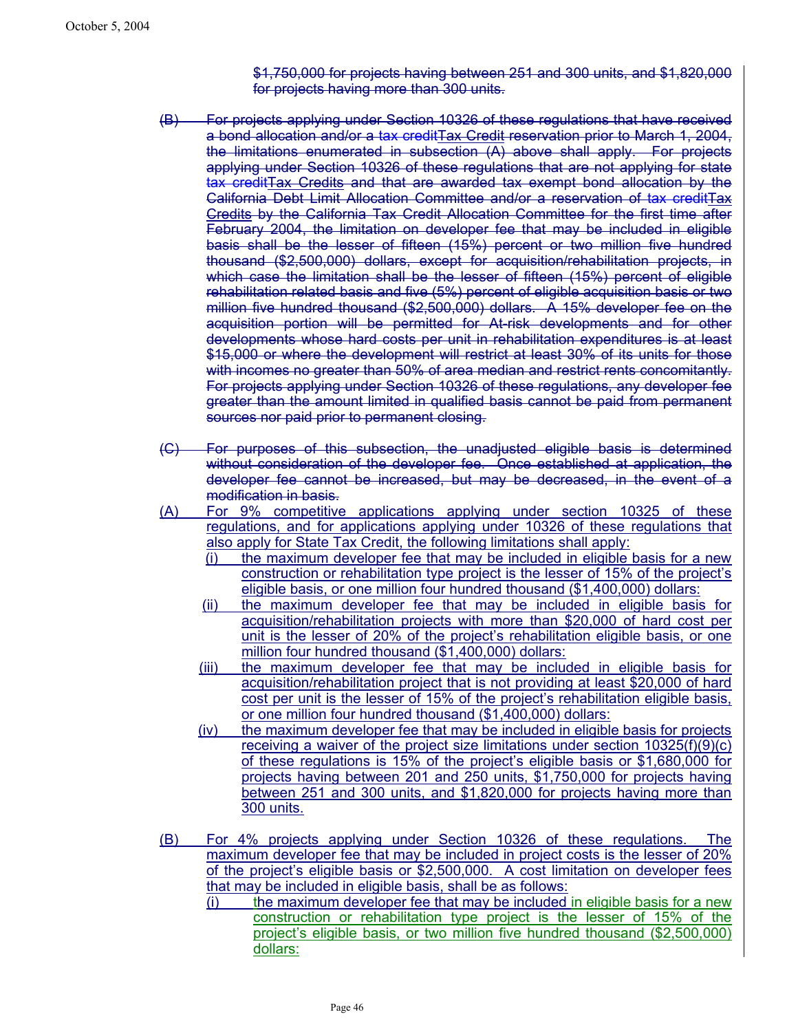\$1,750,000 for projects having between 251 and 300 units, and \$1,820,000 for projects having more than 300 units.

- (B) For projects applying under Section 10326 of these regulations that have received a bond allocation and/or a tax creditTax Credit reservation prior to March 1, 2004, the limitations enumerated in subsection (A) above shall apply. For projects applying under Section 10326 of these regulations that are not applying for state tax creditTax Credits and that are awarded tax exempt bond allocation by the California Debt Limit Allocation Committee and/or a reservation of tax creditTax Credits by the California Tax Credit Allocation Committee for the first time after February 2004, the limitation on developer fee that may be included in eligible basis shall be the lesser of fifteen (15%) percent or two million five hundred thousand (\$2,500,000) dollars, except for acquisition/rehabilitation projects, in which case the limitation shall be the lesser of fifteen (15%) percent of eligible rehabilitation related basis and five (5%) percent of eligible acquisition basis or two million five hundred thousand (\$2,500,000) dollars. A 15% developer fee on the acquisition portion will be permitted for At-risk developments and for other developments whose hard costs per unit in rehabilitation expenditures is at least \$15,000 or where the development will restrict at least 30% of its units for those with incomes no greater than 50% of area median and restrict rents concomitantly. For projects applying under Section 10326 of these regulations, any developer fee greater than the amount limited in qualified basis cannot be paid from permanent sources nor paid prior to permanent closing.
- (C) For purposes of this subsection, the unadjusted eligible basis is determined without consideration of the developer fee. Once established at application, the developer fee cannot be increased, but may be decreased, in the event of a modification in basis.
- (A) For 9% competitive applications applying under section 10325 of these regulations, and for applications applying under 10326 of these regulations that also apply for State Tax Credit, the following limitations shall apply:
	- (i) the maximum developer fee that may be included in eligible basis for a new construction or rehabilitation type project is the lesser of 15% of the project's eligible basis, or one million four hundred thousand (\$1,400,000) dollars:
	- (ii) the maximum developer fee that may be included in eligible basis for acquisition/rehabilitation projects with more than \$20,000 of hard cost per unit is the lesser of 20% of the project's rehabilitation eligible basis, or one million four hundred thousand (\$1,400,000) dollars:
	- (iii) the maximum developer fee that may be included in eligible basis for acquisition/rehabilitation project that is not providing at least \$20,000 of hard cost per unit is the lesser of 15% of the project's rehabilitation eligible basis, or one million four hundred thousand (\$1,400,000) dollars:
	- (iv) the maximum developer fee that may be included in eligible basis for projects receiving a waiver of the project size limitations under section 10325(f)(9)(c) of these regulations is 15% of the project's eligible basis or \$1,680,000 for projects having between 201 and 250 units, \$1,750,000 for projects having between 251 and 300 units, and \$1,820,000 for projects having more than 300 units.
- (B) For 4% projects applying under Section 10326 of these regulations. The maximum developer fee that may be included in project costs is the lesser of 20% of the project's eligible basis or \$2,500,000. A cost limitation on developer fees that may be included in eligible basis, shall be as follows:
	- (i) the maximum developer fee that may be included in eligible basis for a new construction or rehabilitation type project is the lesser of 15% of the project's eligible basis, or two million five hundred thousand (\$2,500,000) dollars: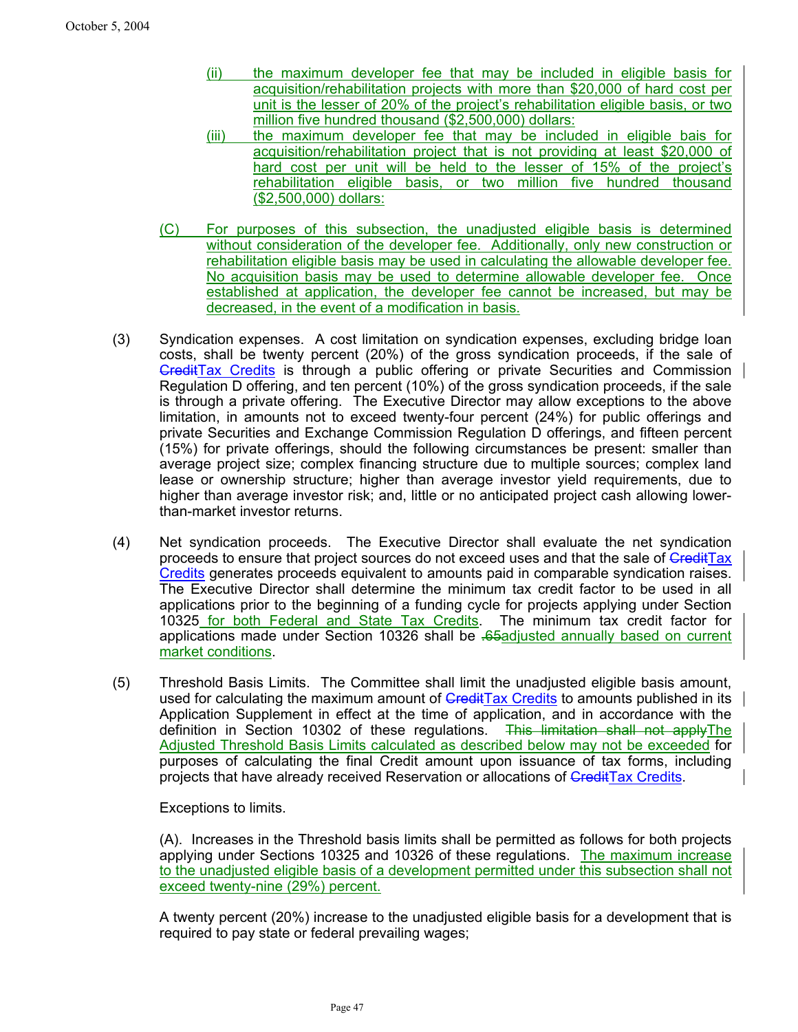- (ii) the maximum developer fee that may be included in eligible basis for acquisition/rehabilitation projects with more than \$20,000 of hard cost per unit is the lesser of 20% of the project's rehabilitation eligible basis, or two million five hundred thousand (\$2,500,000) dollars:
- (iii) the maximum developer fee that may be included in eligible bais for acquisition/rehabilitation project that is not providing at least \$20,000 of hard cost per unit will be held to the lesser of 15% of the project's rehabilitation eligible basis, or two million five hundred thousand (\$2,500,000) dollars:
- (C) For purposes of this subsection, the unadjusted eligible basis is determined without consideration of the developer fee. Additionally, only new construction or rehabilitation eligible basis may be used in calculating the allowable developer fee. No acquisition basis may be used to determine allowable developer fee. Once established at application, the developer fee cannot be increased, but may be decreased, in the event of a modification in basis.
- (3) Syndication expenses. A cost limitation on syndication expenses, excluding bridge loan costs, shall be twenty percent (20%) of the gross syndication proceeds, if the sale of CreditTax Credits is through a public offering or private Securities and Commission Regulation D offering, and ten percent (10%) of the gross syndication proceeds, if the sale is through a private offering. The Executive Director may allow exceptions to the above limitation, in amounts not to exceed twenty-four percent (24%) for public offerings and private Securities and Exchange Commission Regulation D offerings, and fifteen percent (15%) for private offerings, should the following circumstances be present: smaller than average project size; complex financing structure due to multiple sources; complex land lease or ownership structure; higher than average investor yield requirements, due to higher than average investor risk; and, little or no anticipated project cash allowing lowerthan-market investor returns.
- (4) Net syndication proceeds. The Executive Director shall evaluate the net syndication proceeds to ensure that project sources do not exceed uses and that the sale of **CreditTax** Credits generates proceeds equivalent to amounts paid in comparable syndication raises. The Executive Director shall determine the minimum tax credit factor to be used in all applications prior to the beginning of a funding cycle for projects applying under Section 10325 for both Federal and State Tax Credits. The minimum tax credit factor for applications made under Section 10326 shall be .65adjusted annually based on current market conditions.
- (5) Threshold Basis Limits. The Committee shall limit the unadjusted eligible basis amount, used for calculating the maximum amount of GreditTax Credits to amounts published in its Application Supplement in effect at the time of application, and in accordance with the definition in Section 10302 of these regulations. This limitation shall not apply The Adjusted Threshold Basis Limits calculated as described below may not be exceeded for purposes of calculating the final Credit amount upon issuance of tax forms, including projects that have already received Reservation or allocations of CreditTax Credits.

Exceptions to limits.

(A). Increases in the Threshold basis limits shall be permitted as follows for both projects applying under Sections 10325 and 10326 of these regulations. The maximum increase to the unadjusted eligible basis of a development permitted under this subsection shall not exceed twenty-nine (29%) percent.

A twenty percent (20%) increase to the unadjusted eligible basis for a development that is required to pay state or federal prevailing wages;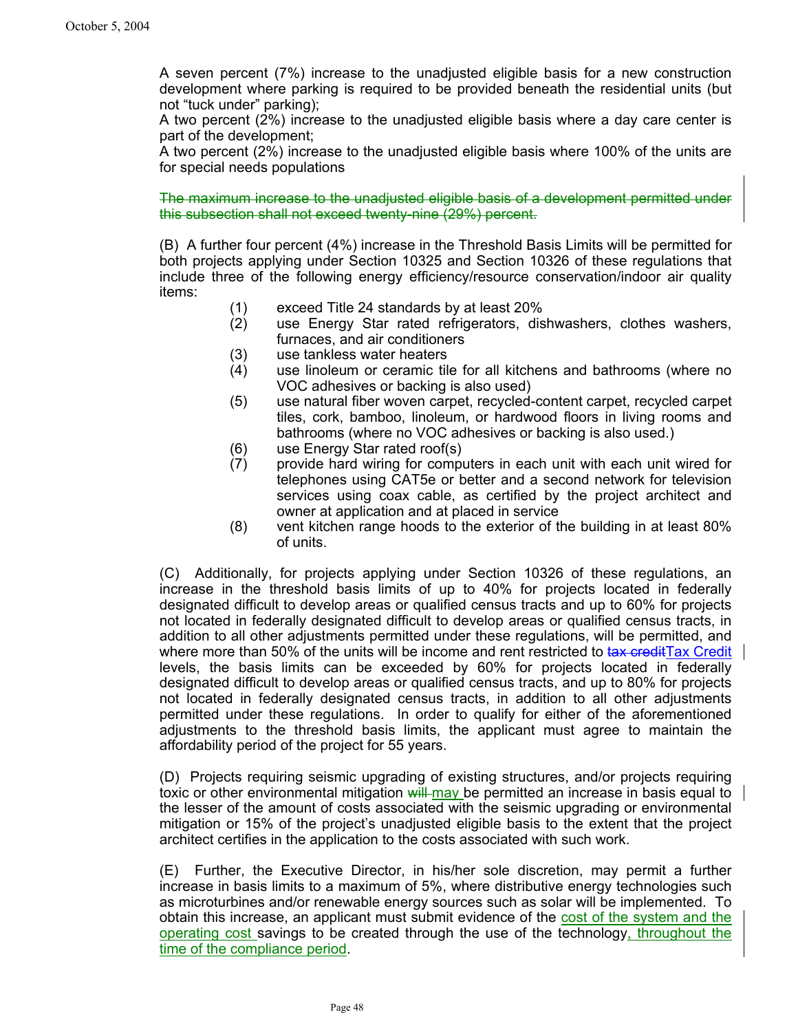A seven percent (7%) increase to the unadjusted eligible basis for a new construction development where parking is required to be provided beneath the residential units (but not "tuck under" parking);

A two percent (2%) increase to the unadjusted eligible basis where a day care center is part of the development;

A two percent (2%) increase to the unadjusted eligible basis where 100% of the units are for special needs populations

The maximum increase to the unadjusted eligible basis of a development permitted under this subsection shall not exceed twenty-nine (29%) percent.

(B) A further four percent (4%) increase in the Threshold Basis Limits will be permitted for both projects applying under Section 10325 and Section 10326 of these regulations that include three of the following energy efficiency/resource conservation/indoor air quality items:

- (1) exceed Title 24 standards by at least 20%
- (2) use Energy Star rated refrigerators, dishwashers, clothes washers, furnaces, and air conditioners
- (3) use tankless water heaters
- (4) use linoleum or ceramic tile for all kitchens and bathrooms (where no VOC adhesives or backing is also used)
- (5) use natural fiber woven carpet, recycled-content carpet, recycled carpet tiles, cork, bamboo, linoleum, or hardwood floors in living rooms and bathrooms (where no VOC adhesives or backing is also used.)
- (6) use Energy Star rated roof(s)
- (7) provide hard wiring for computers in each unit with each unit wired for telephones using CAT5e or better and a second network for television services using coax cable, as certified by the project architect and owner at application and at placed in service
- (8) vent kitchen range hoods to the exterior of the building in at least 80% of units.

(C) Additionally, for projects applying under Section 10326 of these regulations, an increase in the threshold basis limits of up to 40% for projects located in federally designated difficult to develop areas or qualified census tracts and up to 60% for projects not located in federally designated difficult to develop areas or qualified census tracts, in addition to all other adjustments permitted under these regulations, will be permitted, and where more than 50% of the units will be income and rent restricted to tax credit Tax Credit levels, the basis limits can be exceeded by 60% for projects located in federally designated difficult to develop areas or qualified census tracts, and up to 80% for projects not located in federally designated census tracts, in addition to all other adjustments permitted under these regulations. In order to qualify for either of the aforementioned adjustments to the threshold basis limits, the applicant must agree to maintain the affordability period of the project for 55 years.

(D) Projects requiring seismic upgrading of existing structures, and/or projects requiring toxic or other environmental mitigation will may be permitted an increase in basis equal to the lesser of the amount of costs associated with the seismic upgrading or environmental mitigation or 15% of the project's unadjusted eligible basis to the extent that the project architect certifies in the application to the costs associated with such work.

(E) Further, the Executive Director, in his/her sole discretion, may permit a further increase in basis limits to a maximum of 5%, where distributive energy technologies such as microturbines and/or renewable energy sources such as solar will be implemented. To obtain this increase, an applicant must submit evidence of the cost of the system and the operating cost savings to be created through the use of the technology, throughout the time of the compliance period.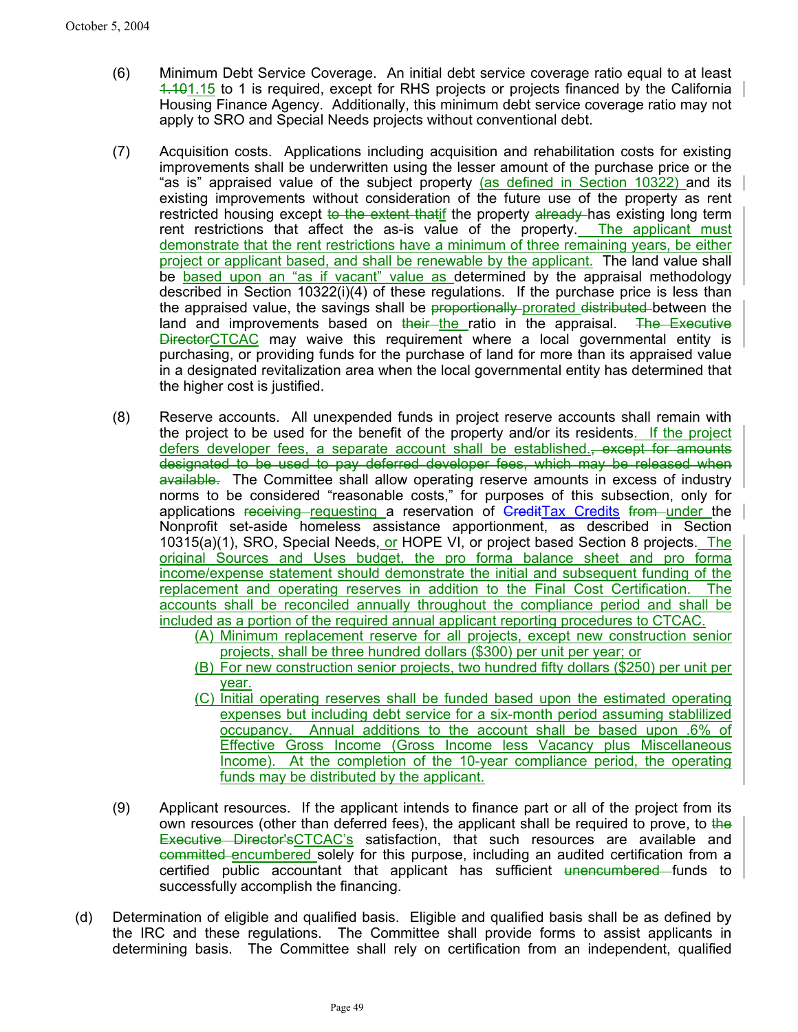- (6) Minimum Debt Service Coverage. An initial debt service coverage ratio equal to at least 1.101.15 to 1 is required, except for RHS projects or projects financed by the California Housing Finance Agency. Additionally, this minimum debt service coverage ratio may not apply to SRO and Special Needs projects without conventional debt.
- (7) Acquisition costs. Applications including acquisition and rehabilitation costs for existing improvements shall be underwritten using the lesser amount of the purchase price or the "as is" appraised value of the subject property (as defined in Section 10322) and its existing improvements without consideration of the future use of the property as rent restricted housing except to the extent thatif the property already has existing long term rent restrictions that affect the as-is value of the property. The applicant must demonstrate that the rent restrictions have a minimum of three remaining years, be either project or applicant based, and shall be renewable by the applicant. The land value shall be based upon an "as if vacant" value as determined by the appraisal methodology described in Section 10322(i)(4) of these regulations. If the purchase price is less than the appraised value, the savings shall be proportionally prorated distributed between the land and improvements based on their the ratio in the appraisal. The Executive **DirectorCTCAC** may waive this requirement where a local governmental entity is purchasing, or providing funds for the purchase of land for more than its appraised value in a designated revitalization area when the local governmental entity has determined that the higher cost is justified.
- (8) Reserve accounts. All unexpended funds in project reserve accounts shall remain with the project to be used for the benefit of the property and/or its residents. If the project defers developer fees, a separate account shall be established., except for amounts designated to be used to pay deferred developer fees, which may be released when available. The Committee shall allow operating reserve amounts in excess of industry norms to be considered "reasonable costs," for purposes of this subsection, only for applications receiving requesting a reservation of GreditTax Credits from under the Nonprofit set-aside homeless assistance apportionment, as described in Section 10315(a)(1), SRO, Special Needs, or HOPE VI, or project based Section 8 projects. The original Sources and Uses budget, the pro forma balance sheet and pro forma income/expense statement should demonstrate the initial and subsequent funding of the replacement and operating reserves in addition to the Final Cost Certification. The accounts shall be reconciled annually throughout the compliance period and shall be included as a portion of the required annual applicant reporting procedures to CTCAC.
	- (A) Minimum replacement reserve for all projects, except new construction senior projects, shall be three hundred dollars (\$300) per unit per year; or
	- (B) For new construction senior projects, two hundred fifty dollars (\$250) per unit per year.
	- (C) Initial operating reserves shall be funded based upon the estimated operating expenses but including debt service for a six-month period assuming stablilized occupancy. Annual additions to the account shall be based upon .6% of Effective Gross Income (Gross Income less Vacancy plus Miscellaneous Income). At the completion of the 10-year compliance period, the operating funds may be distributed by the applicant.
- (9) Applicant resources. If the applicant intends to finance part or all of the project from its own resources (other than deferred fees), the applicant shall be required to prove, to the **Executive Director'sCTCAC's** satisfaction, that such resources are available and committed encumbered solely for this purpose, including an audited certification from a certified public accountant that applicant has sufficient unencumbered funds to successfully accomplish the financing.
- (d) Determination of eligible and qualified basis. Eligible and qualified basis shall be as defined by the IRC and these regulations. The Committee shall provide forms to assist applicants in determining basis. The Committee shall rely on certification from an independent, qualified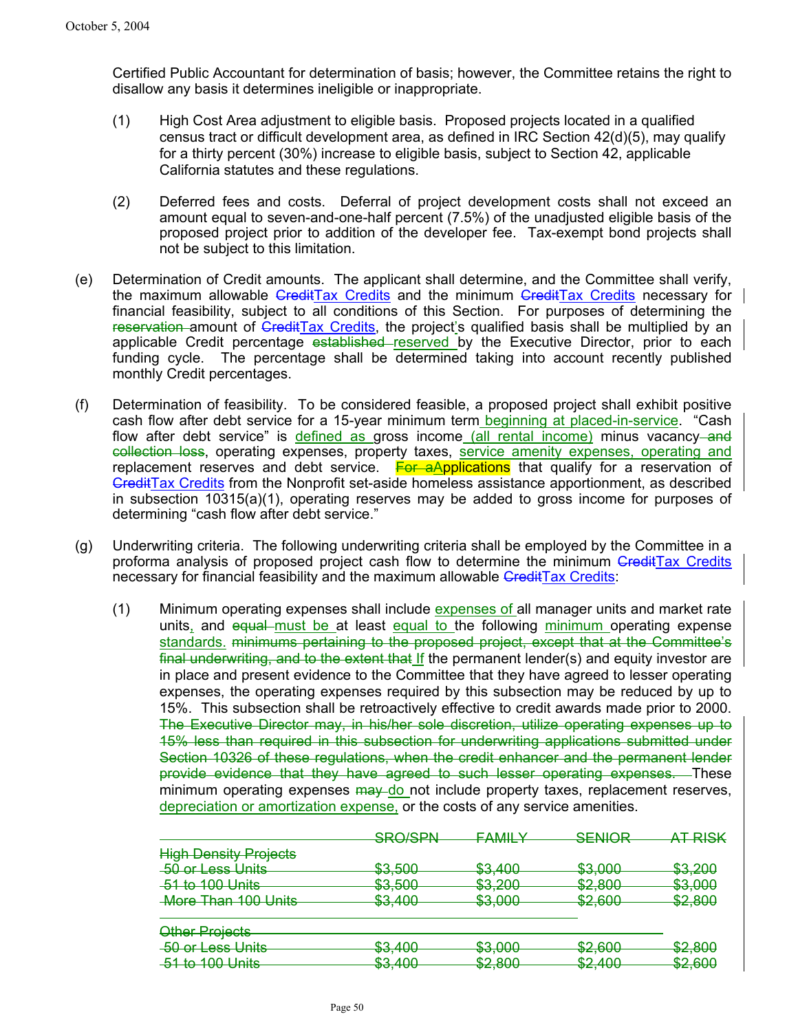Certified Public Accountant for determination of basis; however, the Committee retains the right to disallow any basis it determines ineligible or inappropriate.

- (1) High Cost Area adjustment to eligible basis. Proposed projects located in a qualified census tract or difficult development area, as defined in IRC Section 42(d)(5), may qualify for a thirty percent (30%) increase to eligible basis, subject to Section 42, applicable California statutes and these regulations.
- (2) Deferred fees and costs. Deferral of project development costs shall not exceed an amount equal to seven-and-one-half percent (7.5%) of the unadjusted eligible basis of the proposed project prior to addition of the developer fee. Tax-exempt bond projects shall not be subject to this limitation.
- (e) Determination of Credit amounts. The applicant shall determine, and the Committee shall verify, the maximum allowable *CreditTax Credits* and the minimum *CreditTax Credits* necessary for financial feasibility, subject to all conditions of this Section. For purposes of determining the reservation amount of GreditTax Credits, the project's qualified basis shall be multiplied by an applicable Credit percentage established reserved by the Executive Director, prior to each funding cycle. The percentage shall be determined taking into account recently published monthly Credit percentages.
- (f) Determination of feasibility. To be considered feasible, a proposed project shall exhibit positive cash flow after debt service for a 15-year minimum term beginning at placed-in-service. "Cash flow after debt service" is defined as gross income (all rental income) minus vacancy—and collection loss, operating expenses, property taxes, service amenity expenses, operating and replacement reserves and debt service.  $\frac{F}{G}$  **For aApplications** that qualify for a reservation of CreditTax Credits from the Nonprofit set-aside homeless assistance apportionment, as described in subsection 10315(a)(1), operating reserves may be added to gross income for purposes of determining "cash flow after debt service."
- (g) Underwriting criteria. The following underwriting criteria shall be employed by the Committee in a proforma analysis of proposed project cash flow to determine the minimum CreditTax Credits necessary for financial feasibility and the maximum allowable CreditTax Credits:
	- (1) Minimum operating expenses shall include expenses of all manager units and market rate units, and equal must be at least equal to the following minimum operating expense standards. minimums pertaining to the proposed project, except that at the Committee's final underwriting, and to the extent that If the permanent lender(s) and equity investor are in place and present evidence to the Committee that they have agreed to lesser operating expenses, the operating expenses required by this subsection may be reduced by up to 15%. This subsection shall be retroactively effective to credit awards made prior to 2000. The Executive Director may, in his/her sole discretion, utilize operating expenses up to 15% less than required in this subsection for underwriting applications submitted under Section 10326 of these regulations, when the credit enhancer and the permanent lender provide evidence that they have agreed to such lesser operating expenses. These minimum operating expenses  $\frac{1}{2}$  may do not include property taxes, replacement reserves, depreciation or amortization expense, or the costs of any service amenities.

|                                                   | SRO/SPN<br><del>onorom</del>      | ΕΔΜΙΙ Υ                         | <b>SENIOR</b><br><del>ocnon v</del>          | <b>AT RISK</b><br>$\overline{\phantom{a}}$ |
|---------------------------------------------------|-----------------------------------|---------------------------------|----------------------------------------------|--------------------------------------------|
| <b>High Density Projects</b>                      |                                   |                                 |                                              |                                            |
| 50 or Less Units                                  | ድ3 ደበበ<br>ᢦᠣᡕᠣᠣ                   | <b>ድ</b> ვ <i>Δ</i> በበ<br>ᢦᠣ,᠇ᡂ | ድ3 በበበ<br>ᢦᠣᡕᠣᠣ                              | ፍ3 200<br>ᢦᠣᠶ᠌ᠴᠣᠣ                          |
| 51 to 100 Units                                   | ድ3 ደበበ                            | ድ3 ኃበበ                          | ፍን ጸበበ                                       | ፍ3 በበበ                                     |
| <del>More Than 100 Units</del>                    | ᢦᠣᡕᠣᠣ<br><b>ደ3 400</b><br>ᢦᠣᡕ᠊᠇ᠦᠥ | ᢦᠣᡵᡄᡃᠣᠣ<br>ፍ3 በበበ<br>᠊ᢦᢦᡕᢦᢦ     | ᢦᡄᡕᠣᠥᠣ<br><b>ዩን ጸበበ</b><br>ᢦᡄᡕᠣᠥᠣ            | ᠊ᢦᠣ᠍ᡪᠣᠣᡃ<br>ፍን ጸበበ<br>ᢦ <del>᠘ᡪ</del> ᠣᠣᠣ  |
| Other Projects                                    |                                   |                                 |                                              |                                            |
| 50 or Less Units                                  | ድ3 400<br>ᢦᠣ,᠇ᢦᠣ                  | ድ3 በበበ<br>ᢦᠣᡕᠣᠣ                 | ഭവ<br>ΦΩ<br>ᢦᡄᡕᠣᠥᠣ                           | <del>\$2,800</del>                         |
| $51$ to $100$ Unite<br><del>טוווט טטו טו וט</del> | ድ3 400<br>ᢦᠣᡕ᠇ᠥᠥ                  | ፍን ጸበበ<br>᠊ᢦᡄ᠍ᡪᠣᡃᠦᠣ             | <b>ደ</b> ን <i>ለ</i> በበ<br><del>v=, 100</del> | <b>ዩን ጸበበ</b><br>᠊ᢦᡄ᠍ᡪᠣᠦᠣ                  |
|                                                   |                                   |                                 |                                              |                                            |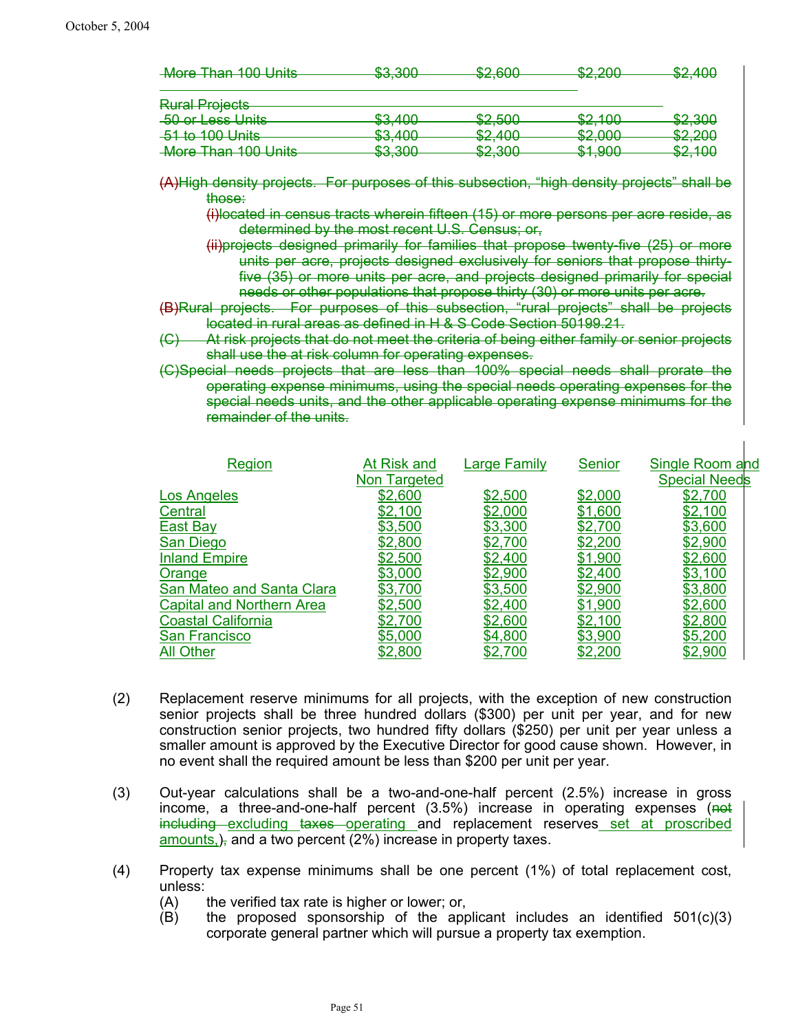| ሮ2 200 | <b>CO GOO</b>                       | രോ റററ                                                                          | ድኃ <i>ለ</i> በር                                                                                              |
|--------|-------------------------------------|---------------------------------------------------------------------------------|-------------------------------------------------------------------------------------------------------------|
|        |                                     |                                                                                 | ᠊ <del>ᢦ᠘ᡕᡃ᠇ᢦᢦ</del>                                                                                        |
|        |                                     |                                                                                 |                                                                                                             |
|        |                                     |                                                                                 |                                                                                                             |
| ድ2 400 | ድን ደሰበ                              | ድኃ 4ስስ                                                                          | \$2,300                                                                                                     |
|        |                                     |                                                                                 |                                                                                                             |
| ድ2 400 | ድኃ <i>ለ</i> ሰሰ                      | ድኃ ሰሰሰ                                                                          | \$2,200                                                                                                     |
|        |                                     |                                                                                 |                                                                                                             |
| ድ2 200 | eo suu                              | <b>C1 000</b>                                                                   | <b>¢</b> ? 1ስስ                                                                                              |
|        |                                     |                                                                                 | ᠊ᢦ <del>᠘</del> ᠋ᡣᠣᠣ                                                                                        |
|        | ᢦᠣᡕᡂᠣ<br>᠊ᢦᠣ,᠇ᠣᠣ<br>ᢦᠣᡕ᠇ᠥᠥ<br>᠊ᢦᠣᡕᡂ | ᠊ᢦ <del>᠘</del> ,ᠸᠣᠣ<br>᠊ᢦ <del>᠘</del> ,ᢒ᠋ᢦᠦ<br>᠊ᢦ <del>᠘</del> ᠋ᡕ᠇ᠦᠥ<br>ᢦᡔᡕᠣᠥ | ᢦ <del>ᡔᡕᡔᢦ</del> ᢦ<br>$\overline{\mathsf{v}}$ and $\overline{\mathsf{v}}$<br>᠊ᢦ <del>᠘</del> ,ᠸᠸ<br>᠊ᢦ᠇ᡕᡂᠣ |

(A)High density projects. For purposes of this subsection, "high density projects" shall be those:

(i)located in census tracts wherein fifteen (15) or more persons per acre reside, as determined by the most recent U.S. Census; or,

(ii)projects designed primarily for families that propose twenty-five (25) or more units per acre, projects designed exclusively for seniors that propose thirtyfive (35) or more units per acre, and projects designed primarily for special needs or other populations that propose thirty (30) or more units per acre.

(B)Rural projects. For purposes of this subsection, "rural projects" shall be projects located in rural areas as defined in H & S Code Section 50199.21.

At risk projects that do not meet the criteria of being either family or senior projects shall use the at risk column for operating expenses.

(C)Special needs projects that are less than 100% special needs shall prorate the operating expense minimums, using the special needs operating expenses for the special needs units, and the other applicable operating expense minimums for the remainder of the units.

| Region                           | At Risk and  | <b>Large Family</b> | Senior  | Single Room and      |
|----------------------------------|--------------|---------------------|---------|----------------------|
|                                  | Non Targeted |                     |         | <b>Special Needs</b> |
| Los Angeles                      | \$2,600      | <u>\$2,500</u>      | \$2,000 | \$2,700              |
| Central                          | \$2,100      | \$2,000             | \$1,600 | \$2,100              |
| East Bay                         | \$3,500      | \$3,300             | \$2,700 | \$3,600              |
| San Diego                        | \$2,800      | \$2,700             | \$2,200 | \$2,900              |
| <b>Inland Empire</b>             | \$2,500      | \$2,400             | \$1,900 | \$2,600              |
| Orange                           | \$3,000      | \$2,900             | \$2,400 | \$3,100              |
| San Mateo and Santa Clara        | \$3,700      | \$3,500             | \$2,900 | \$3,800              |
| <b>Capital and Northern Area</b> | \$2,500      | \$2,400             | \$1,900 | \$2,600              |
| <b>Coastal California</b>        | \$2,700      | \$2,600             | \$2,100 | \$2,800              |
| San Francisco                    | \$5,000      | \$4,800             | \$3,900 | \$5,200              |
| <b>All Other</b>                 | \$2,800      | \$2,700             | \$2,200 | \$2,900              |

- (2) Replacement reserve minimums for all projects, with the exception of new construction senior projects shall be three hundred dollars (\$300) per unit per year, and for new construction senior projects, two hundred fifty dollars (\$250) per unit per year unless a smaller amount is approved by the Executive Director for good cause shown. However, in no event shall the required amount be less than \$200 per unit per year.
- (3) Out-year calculations shall be a two-and-one-half percent (2.5%) increase in gross income, a three-and-one-half percent  $(3.5%)$  increase in operating expenses  $(not)$ including excluding taxes operating and replacement reserves set at proscribed amounts, ), and a two percent (2%) increase in property taxes.
- (4) Property tax expense minimums shall be one percent (1%) of total replacement cost, unless:
	- (A) the verified tax rate is higher or lower; or,
	- $(B)$  the proposed sponsorship of the applicant includes an identified  $501(c)(3)$ corporate general partner which will pursue a property tax exemption.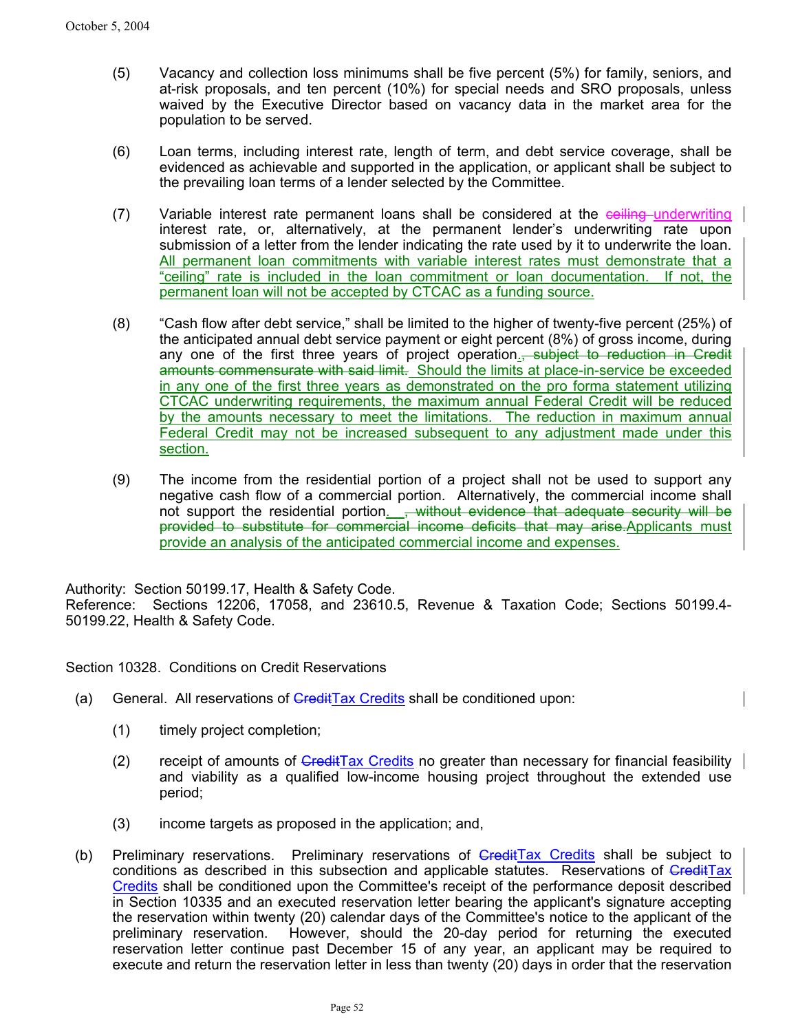- (5) Vacancy and collection loss minimums shall be five percent (5%) for family, seniors, and at-risk proposals, and ten percent (10%) for special needs and SRO proposals, unless waived by the Executive Director based on vacancy data in the market area for the population to be served.
- (6) Loan terms, including interest rate, length of term, and debt service coverage, shall be evidenced as achievable and supported in the application, or applicant shall be subject to the prevailing loan terms of a lender selected by the Committee.
- (7) Variable interest rate permanent loans shall be considered at the ceiling underwriting interest rate, or, alternatively, at the permanent lender's underwriting rate upon submission of a letter from the lender indicating the rate used by it to underwrite the loan. All permanent loan commitments with variable interest rates must demonstrate that a "ceiling" rate is included in the loan commitment or loan documentation. If not, the permanent loan will not be accepted by CTCAC as a funding source.
- (8) "Cash flow after debt service," shall be limited to the higher of twenty-five percent (25%) of the anticipated annual debt service payment or eight percent (8%) of gross income, during any one of the first three years of project operation.<del>, subject to reduction in Credit</del> amounts commensurate with said limit. Should the limits at place-in-service be exceeded in any one of the first three years as demonstrated on the pro forma statement utilizing CTCAC underwriting requirements, the maximum annual Federal Credit will be reduced by the amounts necessary to meet the limitations. The reduction in maximum annual Federal Credit may not be increased subsequent to any adjustment made under this section.
- (9) The income from the residential portion of a project shall not be used to support any negative cash flow of a commercial portion. Alternatively, the commercial income shall not support the residential portion. <del>, without evidence that adequate security will be</del> provided to substitute for commercial income deficits that may arise.Applicants must provide an analysis of the anticipated commercial income and expenses.

Authority: Section 50199.17, Health & Safety Code.

Reference: Sections 12206, 17058, and 23610.5, Revenue & Taxation Code; Sections 50199.4- 50199.22, Health & Safety Code.

Section 10328. Conditions on Credit Reservations

- (a) General. All reservations of GreditTax Credits shall be conditioned upon:
	- (1) timely project completion;
	- (2) receipt of amounts of  $\overline{Gredit}$ Tax Credits no greater than necessary for financial feasibility  $\overline{G}$ and viability as a qualified low-income housing project throughout the extended use period;
	- (3) income targets as proposed in the application; and,
- (b) Preliminary reservations. Preliminary reservations of CreditTax Credits shall be subject to conditions as described in this subsection and applicable statutes. Reservations of CreditTax Credits shall be conditioned upon the Committee's receipt of the performance deposit described in Section 10335 and an executed reservation letter bearing the applicant's signature accepting the reservation within twenty (20) calendar days of the Committee's notice to the applicant of the preliminary reservation. However, should the 20-day period for returning the executed reservation letter continue past December 15 of any year, an applicant may be required to execute and return the reservation letter in less than twenty (20) days in order that the reservation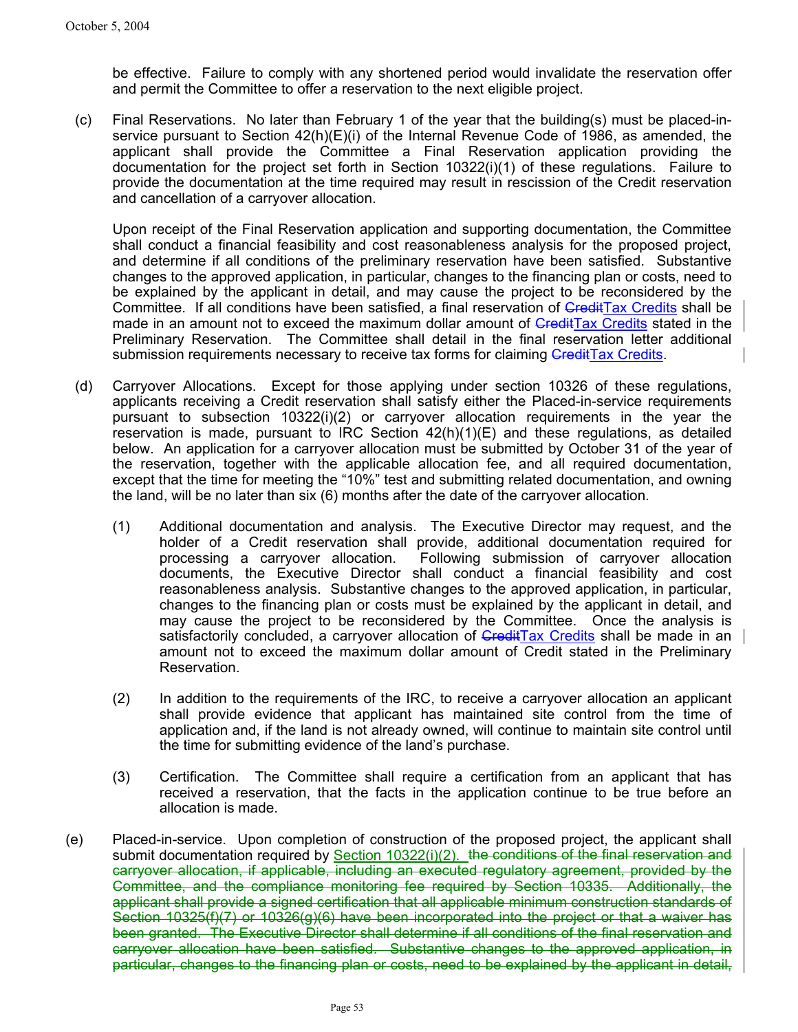be effective. Failure to comply with any shortened period would invalidate the reservation offer and permit the Committee to offer a reservation to the next eligible project.

(c) Final Reservations. No later than February 1 of the year that the building(s) must be placed-inservice pursuant to Section 42(h)(E)(i) of the Internal Revenue Code of 1986, as amended, the applicant shall provide the Committee a Final Reservation application providing the documentation for the project set forth in Section 10322(i)(1) of these regulations. Failure to provide the documentation at the time required may result in rescission of the Credit reservation and cancellation of a carryover allocation.

Upon receipt of the Final Reservation application and supporting documentation, the Committee shall conduct a financial feasibility and cost reasonableness analysis for the proposed project, and determine if all conditions of the preliminary reservation have been satisfied. Substantive changes to the approved application, in particular, changes to the financing plan or costs, need to be explained by the applicant in detail, and may cause the project to be reconsidered by the Committee. If all conditions have been satisfied, a final reservation of CreditTax Credits shall be made in an amount not to exceed the maximum dollar amount of CreditTax Credits stated in the Preliminary Reservation. The Committee shall detail in the final reservation letter additional submission requirements necessary to receive tax forms for claiming CreditTax Credits.

- (d) Carryover Allocations. Except for those applying under section 10326 of these regulations, applicants receiving a Credit reservation shall satisfy either the Placed-in-service requirements pursuant to subsection 10322(i)(2) or carryover allocation requirements in the year the reservation is made, pursuant to IRC Section  $42(h)(1)(E)$  and these regulations, as detailed below. An application for a carryover allocation must be submitted by October 31 of the year of the reservation, together with the applicable allocation fee, and all required documentation, except that the time for meeting the "10%" test and submitting related documentation, and owning the land, will be no later than six (6) months after the date of the carryover allocation.
	- (1) Additional documentation and analysis. The Executive Director may request, and the holder of a Credit reservation shall provide, additional documentation required for processing a carryover allocation. Following submission of carryover allocation documents, the Executive Director shall conduct a financial feasibility and cost reasonableness analysis. Substantive changes to the approved application, in particular, changes to the financing plan or costs must be explained by the applicant in detail, and may cause the project to be reconsidered by the Committee. Once the analysis is satisfactorily concluded, a carryover allocation of GreditTax Credits shall be made in an amount not to exceed the maximum dollar amount of Credit stated in the Preliminary Reservation.
	- (2) In addition to the requirements of the IRC, to receive a carryover allocation an applicant shall provide evidence that applicant has maintained site control from the time of application and, if the land is not already owned, will continue to maintain site control until the time for submitting evidence of the land's purchase.
	- (3) Certification. The Committee shall require a certification from an applicant that has received a reservation, that the facts in the application continue to be true before an allocation is made.
- (e) Placed-in-service. Upon completion of construction of the proposed project, the applicant shall submit documentation required by Section 10322(i)(2). the conditions of the final reservation and carryover allocation, if applicable, including an executed regulatory agreement, provided by the Committee, and the compliance monitoring fee required by Section 10335. Additionally, the applicant shall provide a signed certification that all applicable minimum construction standards of Section 10325(f)(7) or 10326(g)(6) have been incorporated into the project or that a waiver has been granted. The Executive Director shall determine if all conditions of the final reservation and carryover allocation have been satisfied. Substantive changes to the approved application, in particular, changes to the financing plan or costs, need to be explained by the applicant in detail,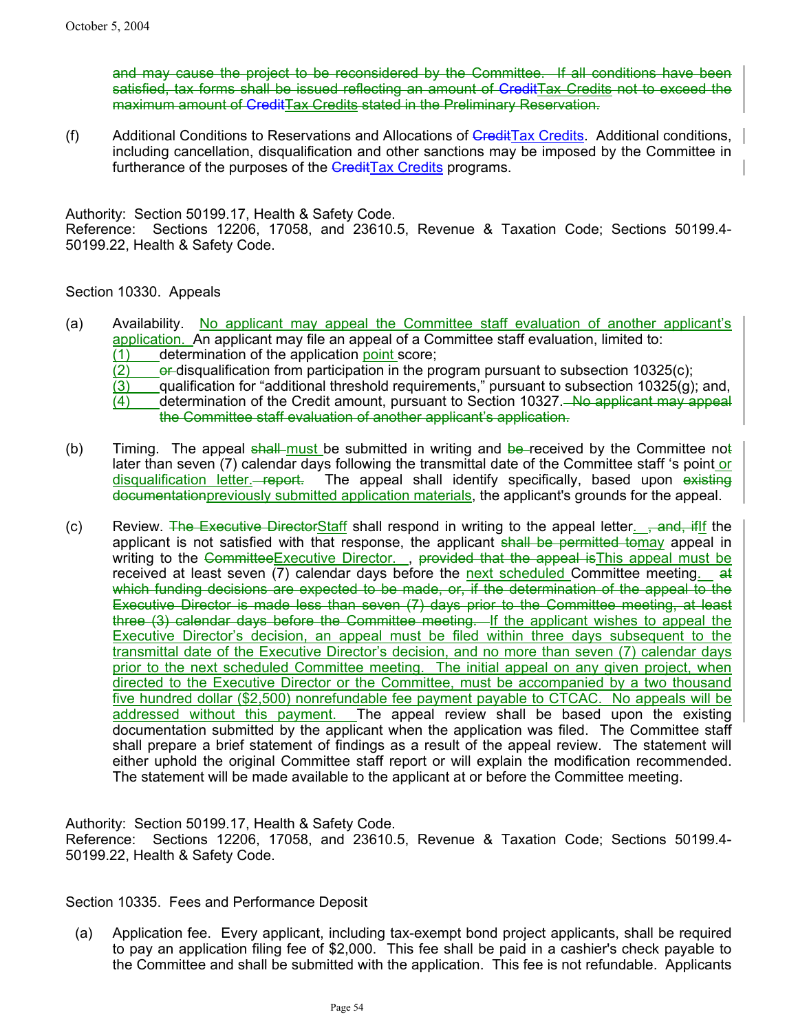and may cause the project to be reconsidered by the Committee. If all conditions have been satisfied, tax forms shall be issued reflecting an amount of CreditTax Credits not to exceed the maximum amount of CreditTax Credits stated in the Preliminary Reservation.

(f) Additional Conditions to Reservations and Allocations of CreditTax Credits. Additional conditions, including cancellation, disqualification and other sanctions may be imposed by the Committee in furtherance of the purposes of the **CreditTax Credits programs.** 

Authority: Section 50199.17, Health & Safety Code.

Reference: Sections 12206, 17058, and 23610.5, Revenue & Taxation Code; Sections 50199.4- 50199.22, Health & Safety Code.

Section 10330. Appeals

- (a) Availability. No applicant may appeal the Committee staff evaluation of another applicant's application. An applicant may file an appeal of a Committee staff evaluation, limited to: (1) determination of the application point score;
	- $(2)$  or disqualification from participation in the program pursuant to subsection 10325(c);
	- $(3)$  qualification for "additional threshold requirements," pursuant to subsection 10325(g); and,
	- $(4)$  determination of the Credit amount, pursuant to Section 10327. No applicant may appeal the Committee staff evaluation of another applicant's application.
- (b) Timing. The appeal shall must be submitted in writing and be-received by the Committee not later than seven (7) calendar days following the transmittal date of the Committee staff 's point or disqualification letter. report. The appeal shall identify specifically, based upon existing documentationpreviously submitted application materials, the applicant's grounds for the appeal.
- (c) Review. The Executive DirectorStaff shall respond in writing to the appeal letter.  $\frac{1}{2}$  and, if if the applicant is not satisfied with that response, the applicant shall be permitted tomay appeal in writing to the CommitteeExecutive Director. , provided that the appeal is This appeal must be received at least seven  $(7)$  calendar days before the next scheduled Committee meeting. at which funding decisions are expected to be made, or, if the determination of the appeal to the Executive Director is made less than seven (7) days prior to the Committee meeting, at least three (3) calendar days before the Committee meeting. If the applicant wishes to appeal the Executive Director's decision, an appeal must be filed within three days subsequent to the transmittal date of the Executive Director's decision, and no more than seven (7) calendar days prior to the next scheduled Committee meeting. The initial appeal on any given project, when directed to the Executive Director or the Committee, must be accompanied by a two thousand five hundred dollar (\$2,500) nonrefundable fee payment payable to CTCAC. No appeals will be addressed without this payment. The appeal review shall be based upon the existing documentation submitted by the applicant when the application was filed. The Committee staff shall prepare a brief statement of findings as a result of the appeal review. The statement will either uphold the original Committee staff report or will explain the modification recommended. The statement will be made available to the applicant at or before the Committee meeting.

Authority: Section 50199.17, Health & Safety Code. Reference: Sections 12206, 17058, and 23610.5, Revenue & Taxation Code; Sections 50199.4- 50199.22, Health & Safety Code.

Section 10335. Fees and Performance Deposit

(a) Application fee. Every applicant, including tax-exempt bond project applicants, shall be required to pay an application filing fee of \$2,000. This fee shall be paid in a cashier's check payable to the Committee and shall be submitted with the application. This fee is not refundable. Applicants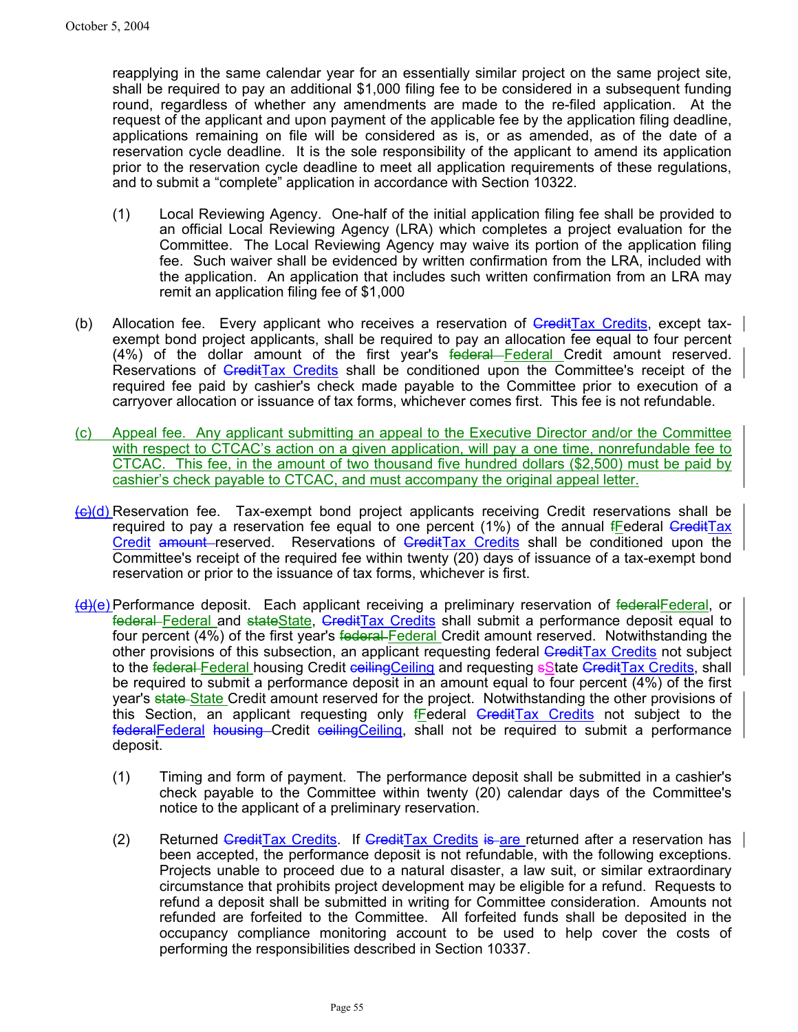reapplying in the same calendar year for an essentially similar project on the same project site, shall be required to pay an additional \$1,000 filing fee to be considered in a subsequent funding round, regardless of whether any amendments are made to the re-filed application. At the request of the applicant and upon payment of the applicable fee by the application filing deadline, applications remaining on file will be considered as is, or as amended, as of the date of a reservation cycle deadline. It is the sole responsibility of the applicant to amend its application prior to the reservation cycle deadline to meet all application requirements of these regulations, and to submit a "complete" application in accordance with Section 10322.

- (1) Local Reviewing Agency. One-half of the initial application filing fee shall be provided to an official Local Reviewing Agency (LRA) which completes a project evaluation for the Committee. The Local Reviewing Agency may waive its portion of the application filing fee. Such waiver shall be evidenced by written confirmation from the LRA, included with the application. An application that includes such written confirmation from an LRA may remit an application filing fee of \$1,000
- (b) Allocation fee. Every applicant who receives a reservation of CreditTax Credits, except taxexempt bond project applicants, shall be required to pay an allocation fee equal to four percent (4%) of the dollar amount of the first year's federal Federal Credit amount reserved. Reservations of CreditTax Credits shall be conditioned upon the Committee's receipt of the required fee paid by cashier's check made payable to the Committee prior to execution of a carryover allocation or issuance of tax forms, whichever comes first. This fee is not refundable.
- (c) Appeal fee. Any applicant submitting an appeal to the Executive Director and/or the Committee with respect to CTCAC's action on a given application, will pay a one time, nonrefundable fee to CTCAC. This fee, in the amount of two thousand five hundred dollars (\$2,500) must be paid by cashier's check payable to CTCAC, and must accompany the original appeal letter.
- $\left\langle \Theta \right\rangle$ (d) Reservation fee. Tax-exempt bond project applicants receiving Credit reservations shall be required to pay a reservation fee equal to one percent  $(1%)$  of the annual fFederal CreditTax Credit amount reserved. Reservations of CreditTax Credits shall be conditioned upon the Committee's receipt of the required fee within twenty (20) days of issuance of a tax-exempt bond reservation or prior to the issuance of tax forms, whichever is first.
- (d)(e) Performance deposit. Each applicant receiving a preliminary reservation of federalFederal, or federal Federal and stateState, GreditTax Credits shall submit a performance deposit equal to four percent (4%) of the first year's federal Federal Credit amount reserved. Notwithstanding the other provisions of this subsection, an applicant requesting federal CreditTax Credits not subject to the federal Federal housing Credit ceilingCeiling and requesting State CreditTax Credits, shall be required to submit a performance deposit in an amount equal to four percent (4%) of the first year's state State Credit amount reserved for the project. Notwithstanding the other provisions of this Section, an applicant requesting only  $f_{\text{E}}$ ederal GreditTax Credits not subject to the federalFederal housing Credit ceilingCeiling, shall not be required to submit a performance deposit.
	- (1) Timing and form of payment. The performance deposit shall be submitted in a cashier's check payable to the Committee within twenty (20) calendar days of the Committee's notice to the applicant of a preliminary reservation.
	- (2) Returned CreditTax Credits. If CreditTax Credits is are returned after a reservation has been accepted, the performance deposit is not refundable, with the following exceptions. Projects unable to proceed due to a natural disaster, a law suit, or similar extraordinary circumstance that prohibits project development may be eligible for a refund. Requests to refund a deposit shall be submitted in writing for Committee consideration. Amounts not refunded are forfeited to the Committee. All forfeited funds shall be deposited in the occupancy compliance monitoring account to be used to help cover the costs of performing the responsibilities described in Section 10337.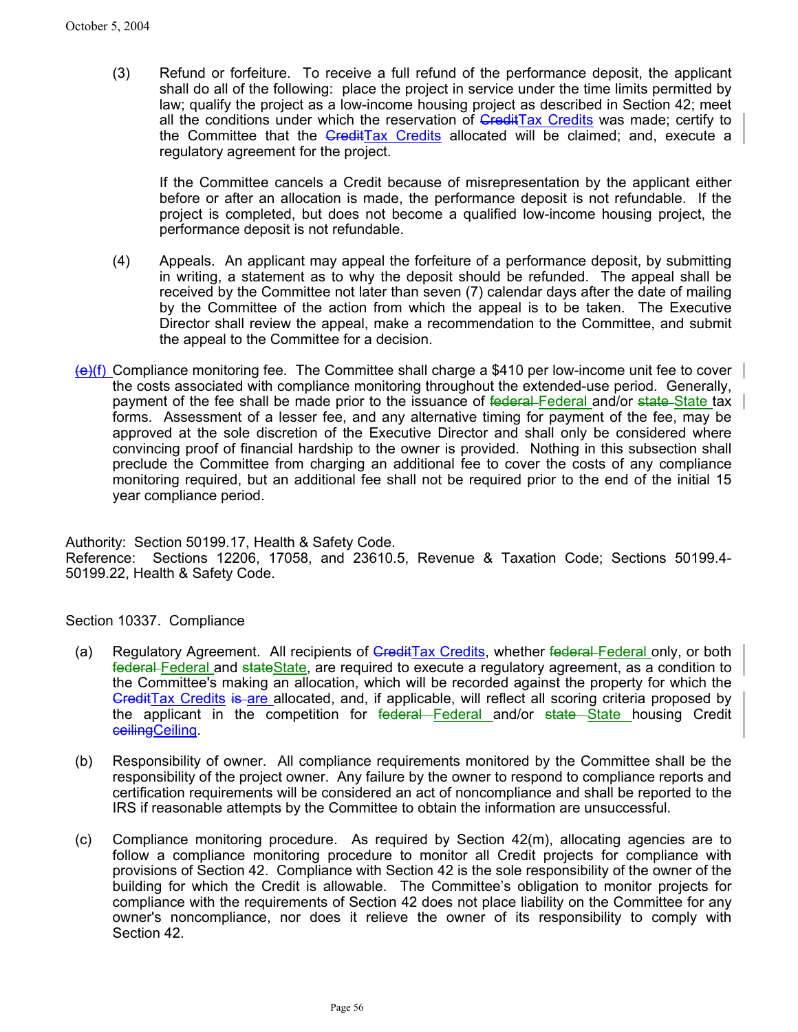(3) Refund or forfeiture. To receive a full refund of the performance deposit, the applicant shall do all of the following: place the project in service under the time limits permitted by law; qualify the project as a low-income housing project as described in Section 42; meet all the conditions under which the reservation of GreditTax Credits was made; certify to the Committee that the *CreditTax Credits* allocated will be claimed; and, execute a regulatory agreement for the project.

If the Committee cancels a Credit because of misrepresentation by the applicant either before or after an allocation is made, the performance deposit is not refundable. If the project is completed, but does not become a qualified low-income housing project, the performance deposit is not refundable.

- (4) Appeals. An applicant may appeal the forfeiture of a performance deposit, by submitting in writing, a statement as to why the deposit should be refunded. The appeal shall be received by the Committee not later than seven (7) calendar days after the date of mailing by the Committee of the action from which the appeal is to be taken. The Executive Director shall review the appeal, make a recommendation to the Committee, and submit the appeal to the Committee for a decision.
- $\left\langle \Theta \right\rangle$ (f) Compliance monitoring fee. The Committee shall charge a \$410 per low-income unit fee to cover the costs associated with compliance monitoring throughout the extended-use period. Generally, payment of the fee shall be made prior to the issuance of federal Federal and/or state State tax forms. Assessment of a lesser fee, and any alternative timing for payment of the fee, may be approved at the sole discretion of the Executive Director and shall only be considered where convincing proof of financial hardship to the owner is provided. Nothing in this subsection shall preclude the Committee from charging an additional fee to cover the costs of any compliance monitoring required, but an additional fee shall not be required prior to the end of the initial 15 year compliance period.

Authority: Section 50199.17, Health & Safety Code. Reference: Sections 12206, 17058, and 23610.5, Revenue & Taxation Code; Sections 50199.4- 50199.22, Health & Safety Code.

Section 10337. Compliance

- (a) Regulatory Agreement. All recipients of **GreditTax Credits**, whether federal Federal only, or both federal Federal and stateState, are required to execute a regulatory agreement, as a condition to the Committee's making an allocation, which will be recorded against the property for which the GreditTax Credits is are allocated, and, if applicable, will reflect all scoring criteria proposed by the applicant in the competition for federal Federal and/or state State housing Credit ceilingCeiling.
- (b) Responsibility of owner. All compliance requirements monitored by the Committee shall be the responsibility of the project owner. Any failure by the owner to respond to compliance reports and certification requirements will be considered an act of noncompliance and shall be reported to the IRS if reasonable attempts by the Committee to obtain the information are unsuccessful.
- (c) Compliance monitoring procedure. As required by Section 42(m), allocating agencies are to follow a compliance monitoring procedure to monitor all Credit projects for compliance with provisions of Section 42. Compliance with Section 42 is the sole responsibility of the owner of the building for which the Credit is allowable. The Committee's obligation to monitor projects for compliance with the requirements of Section 42 does not place liability on the Committee for any owner's noncompliance, nor does it relieve the owner of its responsibility to comply with Section 42.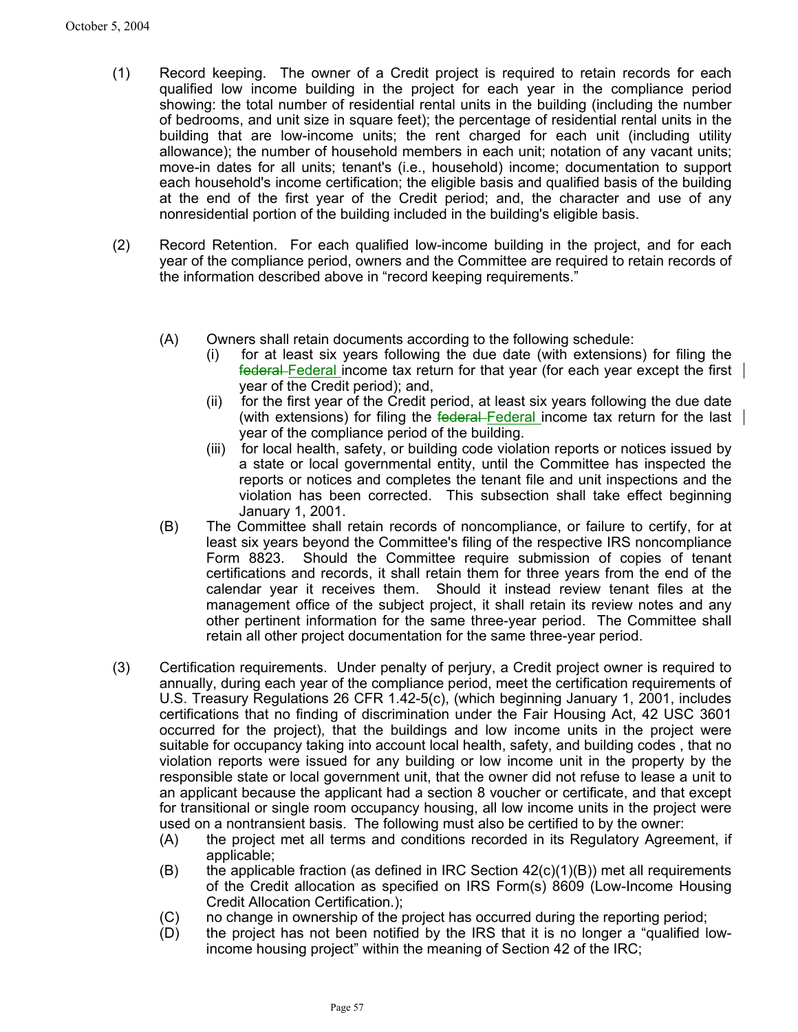- (1) Record keeping. The owner of a Credit project is required to retain records for each qualified low income building in the project for each year in the compliance period showing: the total number of residential rental units in the building (including the number of bedrooms, and unit size in square feet); the percentage of residential rental units in the building that are low-income units; the rent charged for each unit (including utility allowance); the number of household members in each unit; notation of any vacant units; move-in dates for all units; tenant's (i.e., household) income; documentation to support each household's income certification; the eligible basis and qualified basis of the building at the end of the first year of the Credit period; and, the character and use of any nonresidential portion of the building included in the building's eligible basis.
- (2) Record Retention. For each qualified low-income building in the project, and for each year of the compliance period, owners and the Committee are required to retain records of the information described above in "record keeping requirements."
	- (A) Owners shall retain documents according to the following schedule:
		- (i) for at least six years following the due date (with extensions) for filing the federal Federal income tax return for that year (for each year except the first year of the Credit period); and,
		- (ii) for the first year of the Credit period, at least six years following the due date (with extensions) for filing the  $f$ ederal Federal income tax return for the last  $\vert$ year of the compliance period of the building.
		- (iii) for local health, safety, or building code violation reports or notices issued by a state or local governmental entity, until the Committee has inspected the reports or notices and completes the tenant file and unit inspections and the violation has been corrected. This subsection shall take effect beginning January 1, 2001.
	- (B) The Committee shall retain records of noncompliance, or failure to certify, for at least six years beyond the Committee's filing of the respective IRS noncompliance Form 8823. Should the Committee require submission of copies of tenant certifications and records, it shall retain them for three years from the end of the calendar year it receives them. Should it instead review tenant files at the management office of the subject project, it shall retain its review notes and any other pertinent information for the same three-year period. The Committee shall retain all other project documentation for the same three-year period.
- (3) Certification requirements. Under penalty of perjury, a Credit project owner is required to annually, during each year of the compliance period, meet the certification requirements of U.S. Treasury Regulations 26 CFR 1.42-5(c), (which beginning January 1, 2001, includes certifications that no finding of discrimination under the Fair Housing Act, 42 USC 3601 occurred for the project), that the buildings and low income units in the project were suitable for occupancy taking into account local health, safety, and building codes , that no violation reports were issued for any building or low income unit in the property by the responsible state or local government unit, that the owner did not refuse to lease a unit to an applicant because the applicant had a section 8 voucher or certificate, and that except for transitional or single room occupancy housing, all low income units in the project were used on a nontransient basis. The following must also be certified to by the owner:
	- (A) the project met all terms and conditions recorded in its Regulatory Agreement, if applicable;
	- (B) the applicable fraction (as defined in IRC Section  $42(c)(1)(B)$ ) met all requirements of the Credit allocation as specified on IRS Form(s) 8609 (Low-Income Housing Credit Allocation Certification.);
	- (C) no change in ownership of the project has occurred during the reporting period;
	- (D) the project has not been notified by the IRS that it is no longer a "qualified lowincome housing project" within the meaning of Section 42 of the IRC;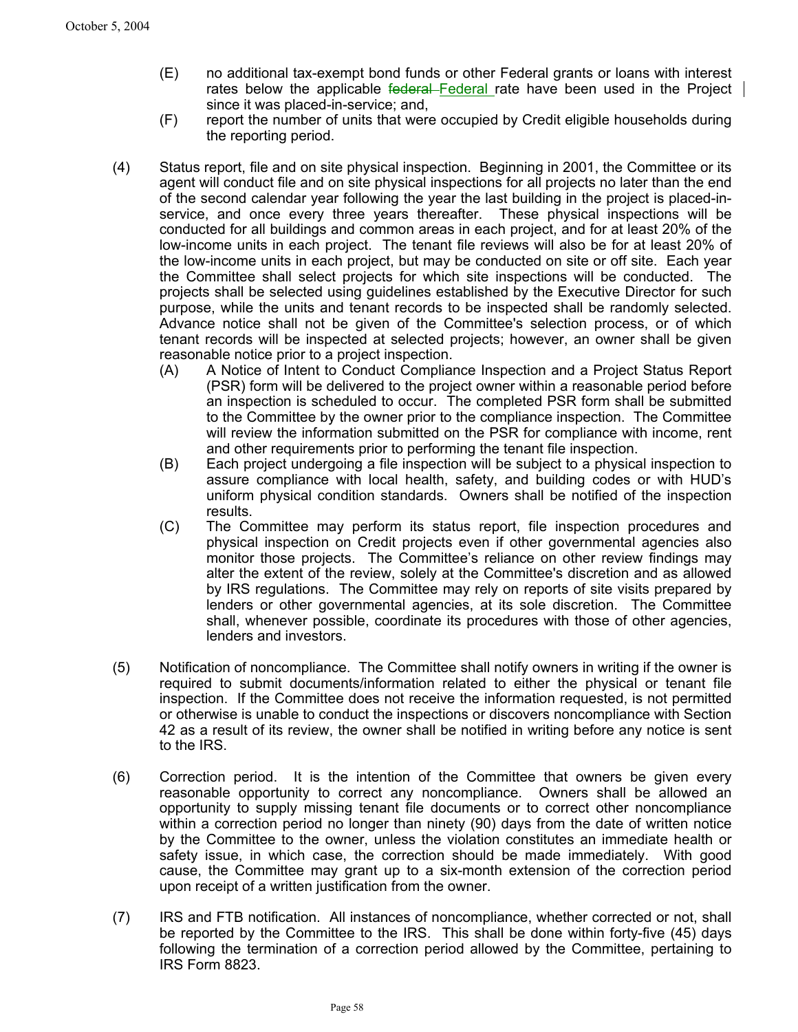- (E) no additional tax-exempt bond funds or other Federal grants or loans with interest rates below the applicable federal Federal rate have been used in the Project since it was placed-in-service; and,
- (F) report the number of units that were occupied by Credit eligible households during the reporting period.
- (4) Status report, file and on site physical inspection. Beginning in 2001, the Committee or its agent will conduct file and on site physical inspections for all projects no later than the end of the second calendar year following the year the last building in the project is placed-inservice, and once every three years thereafter. These physical inspections will be conducted for all buildings and common areas in each project, and for at least 20% of the low-income units in each project. The tenant file reviews will also be for at least 20% of the low-income units in each project, but may be conducted on site or off site. Each year the Committee shall select projects for which site inspections will be conducted. The projects shall be selected using guidelines established by the Executive Director for such purpose, while the units and tenant records to be inspected shall be randomly selected. Advance notice shall not be given of the Committee's selection process, or of which tenant records will be inspected at selected projects; however, an owner shall be given reasonable notice prior to a project inspection.
	- (A) A Notice of Intent to Conduct Compliance Inspection and a Project Status Report (PSR) form will be delivered to the project owner within a reasonable period before an inspection is scheduled to occur. The completed PSR form shall be submitted to the Committee by the owner prior to the compliance inspection. The Committee will review the information submitted on the PSR for compliance with income, rent and other requirements prior to performing the tenant file inspection.
	- (B) Each project undergoing a file inspection will be subject to a physical inspection to assure compliance with local health, safety, and building codes or with HUD's uniform physical condition standards. Owners shall be notified of the inspection results.
	- (C) The Committee may perform its status report, file inspection procedures and physical inspection on Credit projects even if other governmental agencies also monitor those projects. The Committee's reliance on other review findings may alter the extent of the review, solely at the Committee's discretion and as allowed by IRS regulations. The Committee may rely on reports of site visits prepared by lenders or other governmental agencies, at its sole discretion. The Committee shall, whenever possible, coordinate its procedures with those of other agencies, lenders and investors.
- (5) Notification of noncompliance. The Committee shall notify owners in writing if the owner is required to submit documents/information related to either the physical or tenant file inspection. If the Committee does not receive the information requested, is not permitted or otherwise is unable to conduct the inspections or discovers noncompliance with Section 42 as a result of its review, the owner shall be notified in writing before any notice is sent to the IRS.
- (6) Correction period. It is the intention of the Committee that owners be given every reasonable opportunity to correct any noncompliance. Owners shall be allowed an opportunity to supply missing tenant file documents or to correct other noncompliance within a correction period no longer than ninety (90) days from the date of written notice by the Committee to the owner, unless the violation constitutes an immediate health or safety issue, in which case, the correction should be made immediately. With good cause, the Committee may grant up to a six-month extension of the correction period upon receipt of a written justification from the owner.
- (7) IRS and FTB notification. All instances of noncompliance, whether corrected or not, shall be reported by the Committee to the IRS. This shall be done within forty-five (45) days following the termination of a correction period allowed by the Committee, pertaining to IRS Form 8823.